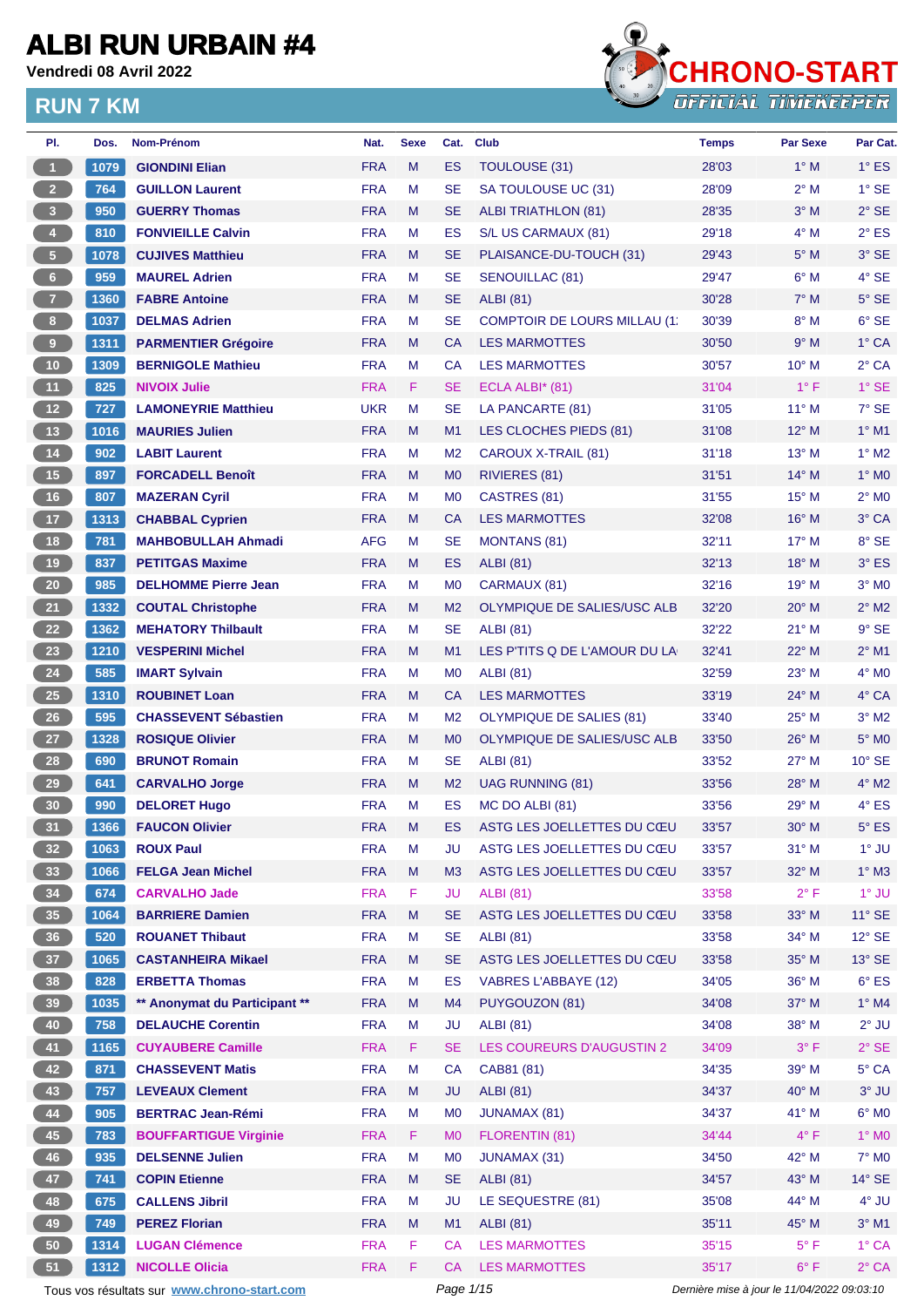**Vendredi 08 Avril 2022**



| PI.                     | Dos. | Nom-Prénom                                  | Nat.       | <b>Sexe</b> | Cat.           | <b>Club</b>                         | <b>Temps</b>                                | <b>Par Sexe</b> | Par Cat.        |
|-------------------------|------|---------------------------------------------|------------|-------------|----------------|-------------------------------------|---------------------------------------------|-----------------|-----------------|
| $\blacktriangleleft$    | 1079 | <b>GIONDINI Elian</b>                       | <b>FRA</b> | M           | <b>ES</b>      | TOULOUSE (31)                       | 28'03                                       | $1^\circ$ M     | $1^\circ$ ES    |
| 2 <sup>2</sup>          | 764  | <b>GUILLON Laurent</b>                      | <b>FRA</b> | М           | <b>SE</b>      | SA TOULOUSE UC (31)                 | 28'09                                       | $2^{\circ}$ M   | $1^\circ$ SE    |
| $\overline{\mathbf{3}}$ | 950  | <b>GUERRY Thomas</b>                        | <b>FRA</b> | M           | SE             | <b>ALBI TRIATHLON (81)</b>          | 28'35                                       | $3°$ M          | $2^{\circ}$ SE  |
| $\blacklozenge$         | 810  | <b>FONVIEILLE Calvin</b>                    | <b>FRA</b> | M           | <b>ES</b>      | S/L US CARMAUX (81)                 | 29'18                                       | $4^\circ$ M     | $2^{\circ}$ ES  |
| $\sqrt{5}$              | 1078 | <b>CUJIVES Matthieu</b>                     | <b>FRA</b> | M           | <b>SE</b>      | PLAISANCE-DU-TOUCH (31)             | 29'43                                       | $5^\circ$ M     | $3^\circ$ SE    |
| $6\phantom{.}6$         | 959  | <b>MAUREL Adrien</b>                        | <b>FRA</b> | M           | <b>SE</b>      | SENOUILLAC (81)                     | 29'47                                       | $6^\circ$ M     | 4° SE           |
| $\overline{7}$          | 1360 | <b>FABRE Antoine</b>                        | <b>FRA</b> | M           | <b>SE</b>      | <b>ALBI</b> (81)                    | 30'28                                       | $7^\circ$ M     | $5^\circ$ SE    |
| $\boldsymbol{8}$        | 1037 | <b>DELMAS Adrien</b>                        | <b>FRA</b> | M           | <b>SE</b>      | <b>COMPTOIR DE LOURS MILLAU (1)</b> | 30'39                                       | $8^\circ$ M     | $6°$ SE         |
| $\overline{9}$          | 1311 | <b>PARMENTIER Grégoire</b>                  | <b>FRA</b> | M           | CA             | <b>LES MARMOTTES</b>                | 30'50                                       | 9° M            | 1° CA           |
| 10                      | 1309 | <b>BERNIGOLE Mathieu</b>                    | <b>FRA</b> | М           | СA             | <b>LES MARMOTTES</b>                | 30'57                                       | $10^{\circ}$ M  | $2°$ CA         |
| 11 <sub>1</sub>         | 825  | <b>NIVOIX Julie</b>                         | <b>FRA</b> | F.          | SE             | ECLA ALBI $*$ (81)                  | 31'04                                       | $1^{\circ}$ F   | $1°$ SE         |
| 12                      | 727  | <b>LAMONEYRIE Matthieu</b>                  | <b>UKR</b> | M           | <b>SE</b>      | LA PANCARTE (81)                    | 31'05                                       | $11^{\circ}$ M  | $7°$ SE         |
| 13                      | 1016 | <b>MAURIES Julien</b>                       | <b>FRA</b> | M           | M1             | LES CLOCHES PIEDS (81)              | 31'08                                       | $12^{\circ}$ M  | $1^\circ$ M1    |
| 14                      | 902  | <b>LABIT Laurent</b>                        | <b>FRA</b> | М           | M <sub>2</sub> | CAROUX X-TRAIL (81)                 | 31'18                                       | $13^{\circ}$ M  | $1^\circ$ M2    |
| 15                      | 897  | <b>FORCADELL Benoît</b>                     | <b>FRA</b> | M           | M <sub>0</sub> | RIVIERES (81)                       | 31'51                                       | $14^{\circ}$ M  | $1^\circ$ MO    |
| 16                      | 807  | <b>MAZERAN Cyril</b>                        | <b>FRA</b> | М           | M <sub>0</sub> | CASTRES (81)                        | 31'55                                       | $15^{\circ}$ M  | $2^{\circ}$ MO  |
| 17                      | 1313 | <b>CHABBAL Cyprien</b>                      | <b>FRA</b> | M           | <b>CA</b>      | <b>LES MARMOTTES</b>                | 32'08                                       | $16^{\circ}$ M  | 3° CA           |
| 18                      | 781  | <b>MAHBOBULLAH Ahmadi</b>                   | <b>AFG</b> | М           | SE             | <b>MONTANS (81)</b>                 | 32'11                                       | $17^\circ$ M    | 8° SE           |
| 19                      | 837  | <b>PETITGAS Maxime</b>                      | <b>FRA</b> | M           | ES             | <b>ALBI</b> (81)                    | 32'13                                       | $18^{\circ}$ M  | $3^\circ$ ES    |
| $20\,$                  | 985  | <b>DELHOMME Pierre Jean</b>                 | <b>FRA</b> | М           | M <sub>0</sub> | CARMAUX (81)                        | 32'16                                       | 19° M           | $3°$ MO         |
| 21                      | 1332 | <b>COUTAL Christophe</b>                    | <b>FRA</b> | M           | M <sub>2</sub> | OLYMPIQUE DE SALIES/USC ALB         | 32'20                                       | 20° M           | $2^{\circ}$ M2  |
| 22                      | 1362 | <b>MEHATORY Thilbault</b>                   | <b>FRA</b> | M           | <b>SE</b>      | <b>ALBI</b> (81)                    | 32'22                                       | $21^{\circ}$ M  | $9°$ SE         |
| 23                      | 1210 | <b>VESPERINI Michel</b>                     | <b>FRA</b> | M           | M1             | LES P'TITS Q DE L'AMOUR DU LA       | 32'41                                       | 22° M           | $2^{\circ}$ M1  |
| 24                      | 585  | <b>IMART Sylvain</b>                        | <b>FRA</b> | М           | M <sub>0</sub> | <b>ALBI</b> (81)                    | 32'59                                       | 23° M           | $4^\circ$ MO    |
| 25                      | 1310 | <b>ROUBINET Loan</b>                        | <b>FRA</b> | M           | CA             | <b>LES MARMOTTES</b>                | 33'19                                       | $24^{\circ}$ M  | $4^\circ$ CA    |
| 26                      | 595  | <b>CHASSEVENT Sébastien</b>                 | <b>FRA</b> | M           | M <sub>2</sub> | <b>OLYMPIQUE DE SALIES (81)</b>     | 33'40                                       | $25^{\circ}$ M  | $3°$ M2         |
| 27                      | 1328 | <b>ROSIQUE Olivier</b>                      | <b>FRA</b> | M           | M <sub>0</sub> | OLYMPIQUE DE SALIES/USC ALB         | 33'50                                       | $26^{\circ}$ M  | $5^\circ$ MO    |
| 28                      | 690  | <b>BRUNOT Romain</b>                        | <b>FRA</b> | М           | <b>SE</b>      | <b>ALBI</b> (81)                    | 33'52                                       | $27^\circ$ M    | $10^{\circ}$ SE |
| 29                      | 641  | <b>CARVALHO Jorge</b>                       | <b>FRA</b> | M           | M <sub>2</sub> | <b>UAG RUNNING (81)</b>             | 33'56                                       | $28^{\circ}$ M  | $4^\circ$ M2    |
| 30                      | 990  | <b>DELORET Hugo</b>                         | <b>FRA</b> | M           | <b>ES</b>      | MC DO ALBI (81)                     | 33'56                                       | 29° M           | $4^\circ$ ES    |
| 31                      | 1366 | <b>FAUCON Olivier</b>                       | <b>FRA</b> | M           | ES             | ASTG LES JOELLETTES DU CŒU          | 33'57                                       | $30^\circ$ M    | $5^{\circ}$ ES  |
| 32 <sup>°</sup>         | 1063 | <b>ROUX Paul</b>                            | <b>FRA</b> | M           | JU             | ASTG LES JOELLETTES DU CŒU          | 33'57                                       | $31^\circ$ M    | $1^\circ$ JU    |
| 33                      | 1066 | <b>FELGA Jean Michel</b>                    | <b>FRA</b> | M           | M <sub>3</sub> | ASTG LES JOELLETTES DU CŒU          | 33'57                                       | $32^\circ$ M    | $1^\circ$ M3    |
| 34                      | 674  | <b>CARVALHO Jade</b>                        | <b>FRA</b> | F.          | JU             | <b>ALBI (81)</b>                    | 33'58                                       | $2^{\circ}$ F   | $1^\circ$ JU    |
| 35                      | 1064 | <b>BARRIERE Damien</b>                      | <b>FRA</b> | M           | <b>SE</b>      | ASTG LES JOELLETTES DU CŒU          | 33'58                                       | 33° M           | $11^{\circ}$ SE |
| 36                      | 520  | <b>ROUANET Thibaut</b>                      | <b>FRA</b> | М           | <b>SE</b>      | <b>ALBI</b> (81)                    | 33'58                                       | $34^\circ$ M    | $12^{\circ}$ SE |
| 37 <sup>°</sup>         | 1065 | <b>CASTANHEIRA Mikael</b>                   | <b>FRA</b> | M           | <b>SE</b>      | ASTG LES JOELLETTES DU CŒU          | 33'58                                       | 35° M           | $13^\circ$ SE   |
| 38                      | 828  | <b>ERBETTA Thomas</b>                       | <b>FRA</b> | М           | ES             | <b>VABRES L'ABBAYE (12)</b>         | 34'05                                       | $36^\circ$ M    | $6^{\circ}$ ES  |
| 39                      | 1035 | ** Anonymat du Participant **               | <b>FRA</b> | M           | M4             | PUYGOUZON (81)                      | 34'08                                       | 37° M           | $1^\circ$ M4    |
| 40                      | 758  | <b>DELAUCHE Corentin</b>                    | <b>FRA</b> | М           | <b>JU</b>      | <b>ALBI</b> (81)                    | 34'08                                       | 38° M           | $2^{\circ}$ JU  |
| 41                      | 1165 | <b>CUYAUBERE Camille</b>                    | <b>FRA</b> | F.          | <b>SE</b>      | LES COUREURS D'AUGUSTIN 2           | 34'09                                       | $3^{\circ}$ F   | $2^{\circ}$ SE  |
| 42                      | 871  | <b>CHASSEVENT Matis</b>                     | <b>FRA</b> | М           | CA             | CAB81 (81)                          | 34'35                                       | 39° M           | 5° CA           |
|                         |      |                                             |            |             |                |                                     |                                             |                 |                 |
| 43                      | 757  | <b>LEVEAUX Clement</b>                      | <b>FRA</b> | M           | <b>JU</b>      | <b>ALBI</b> (81)                    | 34'37                                       | 40° M           | 3° JU           |
| 44                      | 905  | <b>BERTRAC Jean-Rémi</b>                    | <b>FRA</b> | M           | M <sub>0</sub> | <b>JUNAMAX (81)</b>                 | 34'37                                       | $41^{\circ}$ M  | $6^\circ$ MO    |
| 45                      | 783  | <b>BOUFFARTIGUE Virginie</b>                | <b>FRA</b> | F.          | M <sub>0</sub> | FLORENTIN (81)                      | 34'44                                       | $4^{\circ}$ F   | 1° MO           |
| 46                      | 935  | <b>DELSENNE Julien</b>                      | <b>FRA</b> | М           | M <sub>0</sub> | <b>JUNAMAX (31)</b>                 | 34'50                                       | 42° M           | 7° M0           |
| 47                      | 741  | <b>COPIN Etienne</b>                        | <b>FRA</b> | M           | <b>SE</b>      | <b>ALBI</b> (81)                    | 34'57                                       | 43° M           | $14^\circ$ SE   |
| 48                      | 675  | <b>CALLENS Jibril</b>                       | <b>FRA</b> | M           | <b>JU</b>      | LE SEQUESTRE (81)                   | 35'08                                       | 44° M           | $4^{\circ}$ JU  |
| 49                      | 749  | <b>PEREZ Florian</b>                        | <b>FRA</b> | M           | M1             | <b>ALBI</b> (81)                    | 35'11                                       | 45° M           | $3°$ M1         |
| $50\,$                  | 1314 | <b>LUGAN Clémence</b>                       | <b>FRA</b> | F.          | СA             | <b>LES MARMOTTES</b>                | 35'15                                       | $5^{\circ}$ F   | 1° CA           |
| 51                      | 1312 | <b>NICOLLE Olicia</b>                       | <b>FRA</b> | F.          | СA             | <b>LES MARMOTTES</b>                | 35'17                                       | $6^{\circ}$ F   | $2^{\circ}$ CA  |
|                         |      | Tous vos résultats sur www.chrono-start.com |            |             | Page 1/15      |                                     | Dernière mise à jour le 11/04/2022 09:03:10 |                 |                 |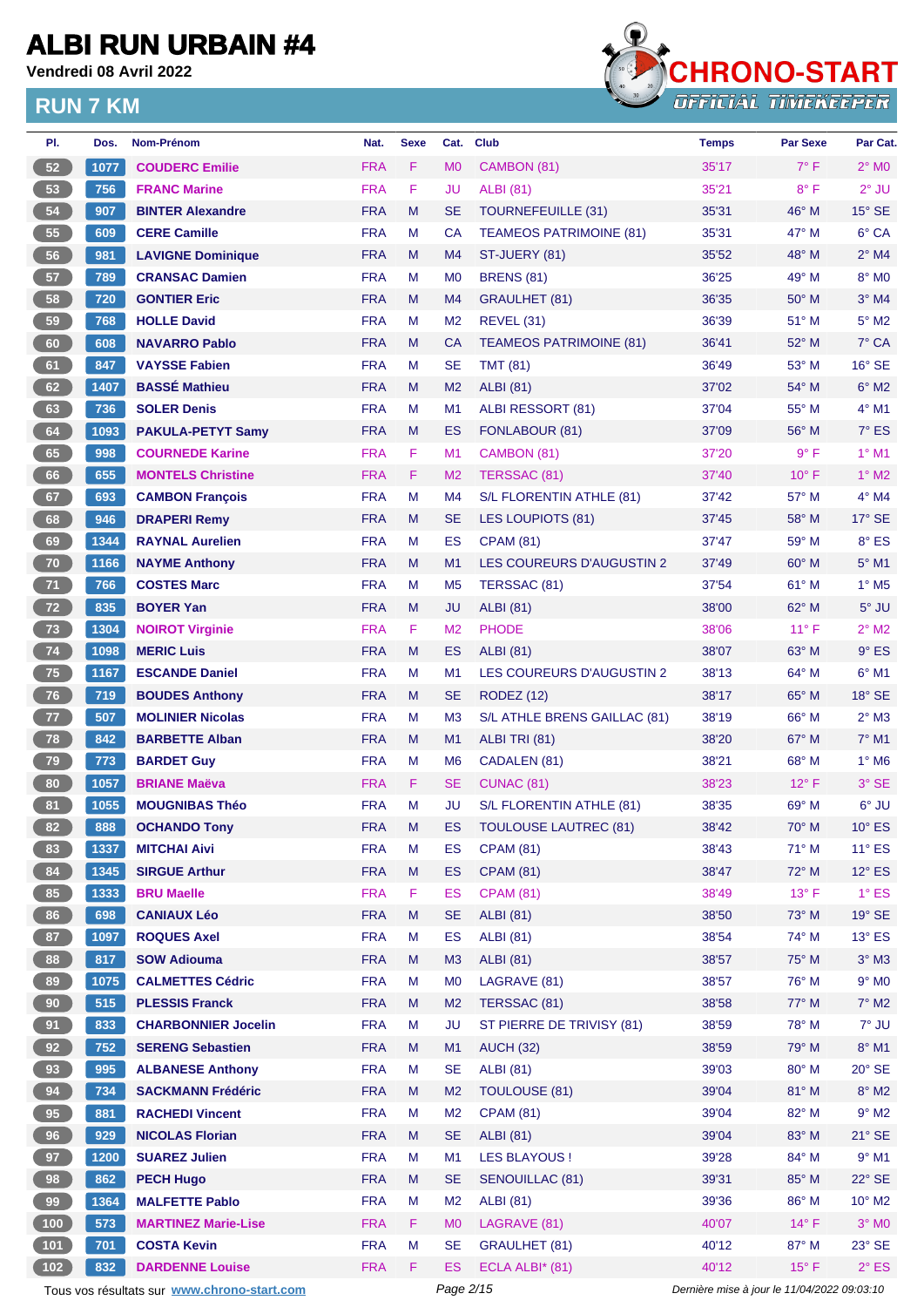**Vendredi 08 Avril 2022**



| PI.             | Dos. | Nom-Prénom                                  | Nat.       | <b>Sexe</b> | Cat.           | <b>Club</b>                    | <b>Temps</b>                                | Par Sexe       | Par Cat.                 |
|-----------------|------|---------------------------------------------|------------|-------------|----------------|--------------------------------|---------------------------------------------|----------------|--------------------------|
| 52              | 1077 | <b>COUDERC Emilie</b>                       | <b>FRA</b> | F.          | M <sub>0</sub> | CAMBON (81)                    | 35'17                                       | $7^\circ$ F    | $2^{\circ}$ MO           |
| 53              | 756  | <b>FRANC Marine</b>                         | <b>FRA</b> | F           | JU             | <b>ALBI</b> (81)               | 35'21                                       | $8^{\circ}$ F  | $2^{\circ}$ JU           |
| 54              | 907  | <b>BINTER Alexandre</b>                     | <b>FRA</b> | M           | <b>SE</b>      | <b>TOURNEFEUILLE (31)</b>      | 35'31                                       | 46° M          | $15^\circ$ SE            |
| 55              | 609  | <b>CERE Camille</b>                         | <b>FRA</b> | М           | CA             | <b>TEAMEOS PATRIMOINE (81)</b> | 35'31                                       | 47° M          | 6° CA                    |
| 56              | 981  | <b>LAVIGNE Dominique</b>                    | <b>FRA</b> | M           | M4             | ST-JUERY (81)                  | 35'52                                       | 48° M          | $2^{\circ}$ M4           |
| 57              | 789  | <b>CRANSAC Damien</b>                       | <b>FRA</b> | М           | M <sub>0</sub> | <b>BRENS (81)</b>              | 36'25                                       | 49° M          | 8° MO                    |
| 58              | 720  | <b>GONTIER Eric</b>                         | <b>FRA</b> | M           | M <sub>4</sub> | <b>GRAULHET (81)</b>           | 36'35                                       | $50^\circ$ M   | $3°$ M4                  |
| 59              | 768  | <b>HOLLE David</b>                          | <b>FRA</b> | М           | M <sub>2</sub> | <b>REVEL (31)</b>              | 36'39                                       | 51° M          | $5^\circ$ M2             |
| 60              | 608  | <b>NAVARRO Pablo</b>                        | <b>FRA</b> | M           | <b>CA</b>      | <b>TEAMEOS PATRIMOINE (81)</b> | 36'41                                       | 52° M          | $7^\circ$ CA             |
| 61              | 847  | <b>VAYSSE Fabien</b>                        | <b>FRA</b> | М           | <b>SE</b>      | <b>TMT (81)</b>                | 36'49                                       | 53° M          | $16°$ SE                 |
| 62              | 1407 | <b>BASSÉ Mathieu</b>                        | <b>FRA</b> | M           | M <sub>2</sub> | <b>ALBI</b> (81)               | 37'02                                       | 54° M          | $6^\circ$ M2             |
| 63              | 736  | <b>SOLER Denis</b>                          | <b>FRA</b> | М           | M1             | ALBI RESSORT (81)              | 37'04                                       | 55° M          | $4^{\circ}$ M1           |
| 64              | 1093 | <b>PAKULA-PETYT Samy</b>                    | <b>FRA</b> | M           | <b>ES</b>      | FONLABOUR (81)                 | 37'09                                       | $56^{\circ}$ M | $7^\circ$ ES             |
| 65              | 998  | <b>COURNEDE Karine</b>                      | <b>FRA</b> | F.          | M <sub>1</sub> | CAMBON (81)                    | 37'20                                       | $9^{\circ}$ F  | $1^\circ$ M1             |
| 66              | 655  | <b>MONTELS Christine</b>                    | <b>FRA</b> | F           | M <sub>2</sub> | TERSSAC (81)                   | 37'40                                       | $10^{\circ}$ F | $1^\circ$ M2             |
| 67              | 693  | <b>CAMBON François</b>                      | <b>FRA</b> | M           | M4             | S/L FLORENTIN ATHLE (81)       | 37'42                                       | 57° M          | $4^\circ$ M4             |
| 68              | 946  | <b>DRAPERI Remy</b>                         | <b>FRA</b> | M           | <b>SE</b>      | <b>LES LOUPIOTS (81)</b>       | 37'45                                       | 58° M          | $17^\circ$ SE            |
| 69              | 1344 | <b>RAYNAL Aurelien</b>                      | <b>FRA</b> | М           | ES             | <b>CPAM (81)</b>               | 37'47                                       | 59° M          | 8° ES                    |
| 70              | 1166 | <b>NAYME Anthony</b>                        | <b>FRA</b> | M           | M1             | LES COUREURS D'AUGUSTIN 2      | 37'49                                       | 60° M          | $5^{\circ}$ M1           |
| $71$            | 766  | <b>COSTES Marc</b>                          | <b>FRA</b> | М           | M <sub>5</sub> | TERSSAC (81)                   | 37'54                                       | $61^{\circ}$ M | $1^\circ$ M <sub>5</sub> |
| 72              | 835  | <b>BOYER Yan</b>                            | <b>FRA</b> | M           | <b>JU</b>      | <b>ALBI</b> (81)               | 38'00                                       | 62° M          | $5^\circ$ JU             |
| 73              | 1304 | <b>NOIROT Virginie</b>                      | <b>FRA</b> | F.          | M <sub>2</sub> | <b>PHODE</b>                   | 38'06                                       | $11^{\circ}$ F | $2^{\circ}$ M2           |
| 74              | 1098 | <b>MERIC Luis</b>                           | <b>FRA</b> | M           | ES             | <b>ALBI</b> (81)               | 38'07                                       | 63° M          | $9°$ ES                  |
| 75              | 1167 | <b>ESCANDE Daniel</b>                       | <b>FRA</b> | М           | M1             | LES COUREURS D'AUGUSTIN 2      | 38'13                                       | $64^{\circ}$ M | $6^{\circ}$ M1           |
| 76              | 719  | <b>BOUDES Anthony</b>                       | <b>FRA</b> | M           | <b>SE</b>      | <b>RODEZ (12)</b>              | 38'17                                       | 65° M          | $18^\circ$ SE            |
| 77 <sub>z</sub> | 507  | <b>MOLINIER Nicolas</b>                     | <b>FRA</b> | М           | M <sub>3</sub> | S/L ATHLE BRENS GAILLAC (81)   | 38'19                                       | 66° M          | $2^{\circ}$ M3           |
| 78              | 842  | <b>BARBETTE Alban</b>                       | <b>FRA</b> | M           | M1             | ALBI TRI (81)                  | 38'20                                       | 67° M          | $7^\circ$ M1             |
| $\bf 79$        | 773  | <b>BARDET Guy</b>                           | <b>FRA</b> | М           | M <sub>6</sub> | CADALEN (81)                   | 38'21                                       | $68^{\circ}$ M | $1^\circ$ M6             |
| 80              | 1057 | <b>BRIANE Maëva</b>                         | <b>FRA</b> | F.          | <b>SE</b>      | CUNAC (81)                     | 38'23                                       | $12^{\circ}$ F | $3°$ SE                  |
| 81              | 1055 | <b>MOUGNIBAS Théo</b>                       | <b>FRA</b> | M           | JU             | S/L FLORENTIN ATHLE (81)       | 38'35                                       | 69° M          | $6^\circ$ JU             |
| 82              | 888  | <b>OCHANDO Tony</b>                         | <b>FRA</b> | M           | ES             | <b>TOULOUSE LAUTREC (81)</b>   | 38'42                                       | 70° M          | $10^{\circ}$ ES          |
| 83              | 1337 | <b>MITCHAI Aivi</b>                         | <b>FRA</b> | M           | ES             | <b>CPAM (81)</b>               | 38'43                                       | 71° M          | $11^{\circ}$ ES          |
| 84              | 1345 | <b>SIRGUE Arthur</b>                        | <b>FRA</b> | M           | <b>ES</b>      | <b>CPAM (81)</b>               | 38'47                                       | 72° M          | $12^{\circ}$ ES          |
| 85              | 1333 | <b>BRU Maelle</b>                           | <b>FRA</b> | F           | <b>ES</b>      | <b>CPAM (81)</b>               | 38'49                                       | $13^{\circ}$ F | $1^{\circ}$ ES           |
| 86              | 698  | <b>CANIAUX Léo</b>                          | <b>FRA</b> | M           | <b>SE</b>      | <b>ALBI (81)</b>               | 38'50                                       | 73° M          | 19° SE                   |
| 87              | 1097 | <b>ROQUES Axel</b>                          | <b>FRA</b> | M           | ES             | <b>ALBI</b> (81)               | 38'54                                       | 74° M          | $13^\circ$ ES            |
| 88              | 817  | <b>SOW Adiouma</b>                          | <b>FRA</b> | M           | M <sub>3</sub> | <b>ALBI</b> (81)               | 38'57                                       | 75° M          | $3^\circ$ M3             |
| 89              | 1075 | <b>CALMETTES Cédric</b>                     | <b>FRA</b> | M           | M <sub>0</sub> | LAGRAVE (81)                   | 38'57                                       | 76° M          | $9°$ MO                  |
| 90              | 515  | <b>PLESSIS Franck</b>                       | <b>FRA</b> | M           | M <sub>2</sub> | TERSSAC (81)                   | 38'58                                       | 77° M          | $7^\circ$ M2             |
| 91              | 833  | <b>CHARBONNIER Jocelin</b>                  | <b>FRA</b> | M           | JU             | ST PIERRE DE TRIVISY (81)      | 38'59                                       | 78° M          | 7° JU                    |
| 92              | 752  | <b>SERENG Sebastien</b>                     | <b>FRA</b> | M           | M1             | <b>AUCH (32)</b>               | 38'59                                       | 79° M          | $8^\circ$ M1             |
| 93              | 995  | <b>ALBANESE Anthony</b>                     | <b>FRA</b> | M           | <b>SE</b>      | <b>ALBI</b> (81)               | 39'03                                       | 80° M          | $20^\circ$ SE            |
| 94              | 734  | <b>SACKMANN Frédéric</b>                    | <b>FRA</b> | M           | M <sub>2</sub> | <b>TOULOUSE (81)</b>           | 39'04                                       | 81° M          | $8^\circ$ M2             |
| 95              | 881  | <b>RACHEDI Vincent</b>                      | <b>FRA</b> | M           | M <sub>2</sub> | <b>CPAM (81)</b>               | 39'04                                       | 82° M          | $9^\circ$ M2             |
| 96              | 929  | <b>NICOLAS Florian</b>                      | <b>FRA</b> | M           | <b>SE</b>      | <b>ALBI</b> (81)               | 39'04                                       | 83° M          | $21^\circ$ SE            |
| 97              | 1200 | <b>SUAREZ Julien</b>                        | <b>FRA</b> | M           | M1             | <b>LES BLAYOUS!</b>            | 39'28                                       | 84° M          | $9°$ M1                  |
| 98              | 862  | <b>PECH Hugo</b>                            | <b>FRA</b> | M           | <b>SE</b>      | <b>SENOUILLAC (81)</b>         | 39'31                                       | 85° M          | 22° SE                   |
| 99              | 1364 | <b>MALFETTE Pablo</b>                       | <b>FRA</b> | M           | M <sub>2</sub> | <b>ALBI</b> (81)               | 39'36                                       | 86° M          | $10^{\circ}$ M2          |
| (100)           | 573  | <b>MARTINEZ Marie-Lise</b>                  | <b>FRA</b> | F           | <b>MO</b>      | LAGRAVE (81)                   | 40'07                                       | $14^{\circ}$ F | $3^\circ$ MO             |
| 101             | 701  | <b>COSTA Kevin</b>                          | <b>FRA</b> | М           | <b>SE</b>      | <b>GRAULHET (81)</b>           | 40'12                                       | 87° M          | 23° SE                   |
| 102             | 832  | <b>DARDENNE Louise</b>                      | <b>FRA</b> | F.          | <b>ES</b>      | ECLA ALBI <sup>*</sup> (81)    | 40'12                                       | $15^{\circ}$ F | $2^{\circ}$ ES           |
|                 |      | Tous vos résultats sur www.chrono-start.com |            |             | Page 2/15      |                                | Dernière mise à jour le 11/04/2022 09:03:10 |                |                          |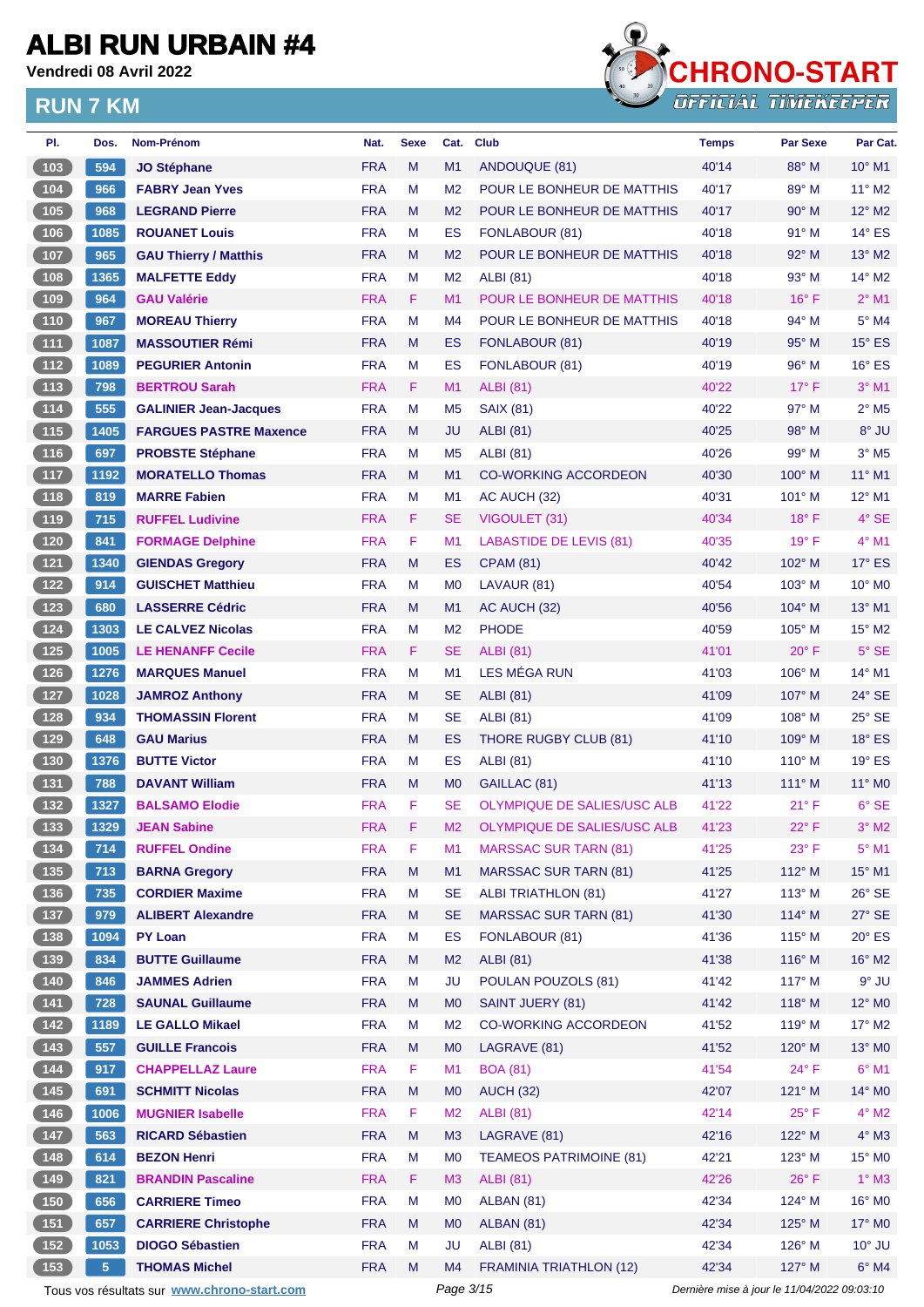**Vendredi 08 Avril 2022**



| PI.                                                                         | Dos.            | Nom-Prénom                                  | Nat.       | <b>Sexe</b> | Cat.           | <b>Club</b>                        | <b>Temps</b>                                | <b>Par Sexe</b> | Par Cat.                   |
|-----------------------------------------------------------------------------|-----------------|---------------------------------------------|------------|-------------|----------------|------------------------------------|---------------------------------------------|-----------------|----------------------------|
| 103                                                                         | 594             | <b>JO Stéphane</b>                          | <b>FRA</b> | M           | M1             | ANDOUQUE (81)                      | 40'14                                       | 88° M           | $10^{\circ}$ M1            |
| 104                                                                         | 966             | <b>FABRY Jean Yves</b>                      | <b>FRA</b> | M           | M <sub>2</sub> | POUR LE BONHEUR DE MATTHIS         | 40'17                                       | 89° M           | 11° M2                     |
| (105)                                                                       | 968             | <b>LEGRAND Pierre</b>                       | <b>FRA</b> | M           | M <sub>2</sub> | POUR LE BONHEUR DE MATTHIS         | 40'17                                       | $90^\circ$ M    | $12^{\circ}$ M2            |
| $106$                                                                       | 1085            | <b>ROUANET Louis</b>                        | <b>FRA</b> | M           | ES             | FONLABOUR (81)                     | 40'18                                       | $91^\circ$ M    | $14^{\circ}$ ES            |
| $\begin{array}{c} \n \begin{array}{c} \n 107 \n \end{array} \n \end{array}$ | 965             | <b>GAU Thierry / Matthis</b>                | <b>FRA</b> | M           | M <sub>2</sub> | POUR LE BONHEUR DE MATTHIS         | 40'18                                       | $92^\circ$ M    | 13° M2                     |
| (108)                                                                       | 1365            | <b>MALFETTE Eddy</b>                        | <b>FRA</b> | м           | M <sub>2</sub> | <b>ALBI</b> (81)                   | 40'18                                       | 93° M           | $14^{\circ}$ M2            |
| (109)                                                                       | 964             | <b>GAU Valérie</b>                          | <b>FRA</b> | F           | M1             | POUR LE BONHEUR DE MATTHIS         | 40'18                                       | $16^{\circ}$ F  | $2^{\circ}$ M1             |
| $\begin{array}{c} \n \begin{array}{c} \n 110 \n \end{array} \n \end{array}$ | 967             | <b>MOREAU Thierry</b>                       | <b>FRA</b> | M           | M <sub>4</sub> | POUR LE BONHEUR DE MATTHIS         | 40'18                                       | $94^{\circ}$ M  | $5^\circ$ M4               |
| (111)                                                                       | 1087            | <b>MASSOUTIER Rémi</b>                      | <b>FRA</b> | M           | ES             | FONLABOUR (81)                     | 40'19                                       | $95^\circ$ M    | $15^\circ$ ES              |
| $\sqrt{112}$                                                                | 1089            | <b>PEGURIER Antonin</b>                     | <b>FRA</b> | M           | ES             | FONLABOUR (81)                     | 40'19                                       | $96^\circ$ M    | $16^\circ$ ES              |
| (113)                                                                       | 798             | <b>BERTROU Sarah</b>                        | <b>FRA</b> | F           | M1             | <b>ALBI</b> (81)                   | 40'22                                       | $17^{\circ}$ F  | $3°$ M1                    |
| (114)                                                                       | 555             | <b>GALINIER Jean-Jacques</b>                | <b>FRA</b> | M           | M <sub>5</sub> | <b>SAIX (81)</b>                   | 40'22                                       | 97° M           | $2^{\circ}$ M <sub>5</sub> |
| (115)                                                                       | 1405            | <b>FARGUES PASTRE Maxence</b>               | <b>FRA</b> | M           | JU             | <b>ALBI</b> (81)                   | 40'25                                       | $98^\circ$ M    | 8° JU                      |
| $116$                                                                       | 697             | <b>PROBSTE Stéphane</b>                     | <b>FRA</b> | M           | M <sub>5</sub> | <b>ALBI</b> (81)                   | 40'26                                       | $99^\circ$ M    | $3°$ M <sub>5</sub>        |
| (117)                                                                       | 1192            | <b>MORATELLO Thomas</b>                     | <b>FRA</b> | M           | M1             | <b>CO-WORKING ACCORDEON</b>        | 40'30                                       | $100^\circ$ M   | 11° M1                     |
| $\boxed{118}$                                                               | 819             | <b>MARRE Fabien</b>                         | <b>FRA</b> | M           | M <sub>1</sub> | AC AUCH (32)                       | 40'31                                       | 101° M          | 12° M1                     |
| (119                                                                        | 715             | <b>RUFFEL Ludivine</b>                      | <b>FRA</b> | F           | <b>SE</b>      | VIGOULET (31)                      | 40'34                                       | $18^{\circ}$ F  | $4°$ SE                    |
| $\begin{array}{c} \hline 120 \end{array}$                                   | 841             | <b>FORMAGE Delphine</b>                     | <b>FRA</b> | F           | M1             | <b>LABASTIDE DE LEVIS (81)</b>     | 40'35                                       | 19° F           | $4^{\circ}$ M1             |
| (121)                                                                       | 1340            | <b>GIENDAS Gregory</b>                      | <b>FRA</b> | M           | ES             | <b>CPAM (81)</b>                   | 40'42                                       | 102° M          | $17^\circ$ ES              |
| $122$                                                                       | 914             | <b>GUISCHET Matthieu</b>                    | <b>FRA</b> | м           | M <sub>0</sub> | LAVAUR (81)                        | 40'54                                       | 103° M          | 10° M <sub>0</sub>         |
| (123)                                                                       | 680             | <b>LASSERRE Cédric</b>                      | <b>FRA</b> | M           | M1             | AC AUCH (32)                       | 40'56                                       | $104^\circ$ M   | 13° M1                     |
| $124$                                                                       | 1303            | <b>LE CALVEZ Nicolas</b>                    | <b>FRA</b> | M           | M <sub>2</sub> | <b>PHODE</b>                       | 40'59                                       | $105^\circ$ M   | 15° M2                     |
| (125)                                                                       | 1005            | <b>LE HENANFF Cecile</b>                    | <b>FRA</b> | F           | <b>SE</b>      | <b>ALBI</b> (81)                   | 41'01                                       | $20^{\circ}$ F  | $5^\circ$ SE               |
| $\boxed{126}$                                                               | 1276            | <b>MARQUES Manuel</b>                       | <b>FRA</b> | M           | M1             | LES MÉGA RUN                       | 41'03                                       | $106^\circ$ M   | 14° M1                     |
| (127)                                                                       | 1028            | <b>JAMROZ Anthony</b>                       | <b>FRA</b> | M           | <b>SE</b>      | <b>ALBI</b> (81)                   | 41'09                                       | 107° M          | $24^{\circ}$ SE            |
| $128$                                                                       | 934             | <b>THOMASSIN Florent</b>                    | <b>FRA</b> | м           | SE             | <b>ALBI</b> (81)                   | 41'09                                       | $108^\circ$ M   | 25° SE                     |
| 129                                                                         | 648             | <b>GAU Marius</b>                           | <b>FRA</b> | M           | ES             | THORE RUGBY CLUB (81)              | 41'10                                       | $109^\circ$ M   | $18^\circ$ ES              |
| (130)                                                                       | 1376            | <b>BUTTE Victor</b>                         | <b>FRA</b> | м           | ES             | <b>ALBI (81)</b>                   | 41'10                                       | $110^{\circ}$ M | $19°$ ES                   |
| (131)                                                                       | 788             | <b>DAVANT William</b>                       | <b>FRA</b> | M           | M <sub>0</sub> | GAILLAC (81)                       | 41'13                                       | $111^\circ$ M   | 11° MO                     |
| 132                                                                         | 1327            | <b>BALSAMO Elodie</b>                       | <b>FRA</b> | F           | <b>SE</b>      | <b>OLYMPIQUE DE SALIES/USC ALB</b> | 41'22                                       | $21^{\circ}$ F  | $6^{\circ}$ SE             |
| (133)                                                                       | 1329            | <b>JEAN Sabine</b>                          | <b>FRA</b> | F           | M2             | OLYMPIQUE DE SALIES/USC ALB        | 41'23                                       | 22°F            | $3°$ M2                    |
|                                                                             | 714             | <b>RUFFEL Ondine</b>                        | <b>FRA</b> | F           | M1             | <b>MARSSAC SUR TARN (81)</b>       | 41'25                                       | $23^{\circ}$ F  | $5^\circ$ M1               |
| (135)                                                                       | 713             | <b>BARNA Gregory</b>                        | <b>FRA</b> | M           | M1             | <b>MARSSAC SUR TARN (81)</b>       | 41'25                                       | 112° M          | $15^{\circ}$ M1            |
| $136$                                                                       | 735             | <b>CORDIER Maxime</b>                       | <b>FRA</b> | M           | <b>SE</b>      | <b>ALBI TRIATHLON (81)</b>         | 41'27                                       | 113° M          | 26° SE                     |
| (137)                                                                       | 979             | <b>ALIBERT Alexandre</b>                    | <b>FRA</b> | M           | <b>SE</b>      | <b>MARSSAC SUR TARN (81)</b>       | 41'30                                       | 114° M          | $27^\circ$ SE              |
| $\begin{array}{c} \n \text{138}\n \end{array}$                              | 1094            | <b>PY Loan</b>                              | <b>FRA</b> | М           | ES             | FONLABOUR (81)                     | 41'36                                       | 115° M          | $20^\circ$ ES              |
| (139)                                                                       | 834             | <b>BUTTE Guillaume</b>                      | <b>FRA</b> | M           | M <sub>2</sub> | <b>ALBI</b> (81)                   | 41'38                                       | 116° M          | 16° M2                     |
| $\begin{array}{c} \hline 140 \end{array}$                                   | 846             | <b>JAMMES Adrien</b>                        | <b>FRA</b> | M           | JU             | POULAN POUZOLS (81)                | 41'42                                       | $117^\circ$ M   | $9°$ JU                    |
| (141)                                                                       | 728             | <b>SAUNAL Guillaume</b>                     | <b>FRA</b> | M           | M <sub>0</sub> | <b>SAINT JUERY (81)</b>            | 41'42                                       | 118° M          | 12° M <sub>0</sub>         |
| (142)                                                                       | 1189            | <b>LE GALLO Mikael</b>                      | <b>FRA</b> | M           | M <sub>2</sub> | <b>CO-WORKING ACCORDEON</b>        | 41'52                                       | 119° M          | 17° M2                     |
| (143)                                                                       | 557             | <b>GUILLE Francois</b>                      | <b>FRA</b> | M           | M <sub>0</sub> | LAGRAVE (81)                       | 41'52                                       | 120° M          | 13° MO                     |
| $\begin{array}{c} \n \text{144}\n \end{array}$                              | 917             | <b>CHAPPELLAZ Laure</b>                     | <b>FRA</b> | F           | M1             | <b>BOA (81)</b>                    | 41'54                                       | $24^{\circ}$ F  | $6^{\circ}$ M1             |
| (145)                                                                       | 691             | <b>SCHMITT Nicolas</b>                      | <b>FRA</b> | M           | M <sub>0</sub> | <b>AUCH (32)</b>                   | 42'07                                       | 121° M          | 14° MO                     |
| $146$                                                                       | 1006            | <b>MUGNIER Isabelle</b>                     | <b>FRA</b> | F           | M <sub>2</sub> |                                    | 42'14                                       | $25^{\circ}$ F  | $4^\circ$ M2               |
| 147                                                                         | 563             | <b>RICARD Sébastien</b>                     | <b>FRA</b> | M           | M <sub>3</sub> | <b>ALBI</b> (81)<br>LAGRAVE (81)   | 42'16                                       | $122^{\circ}$ M | $4^\circ$ M3               |
|                                                                             |                 | <b>BEZON Henri</b>                          | <b>FRA</b> | M           | M <sub>0</sub> | <b>TEAMEOS PATRIMOINE (81)</b>     |                                             | $123^\circ$ M   | 15° MO                     |
| 148                                                                         | 614             | <b>BRANDIN Pascaline</b>                    | <b>FRA</b> | F.          |                |                                    | 42'21                                       | $26^{\circ}$ F  | $1^\circ$ M3               |
| (149)                                                                       | 821             |                                             |            |             | M <sub>3</sub> | <b>ALBI</b> (81)                   | 42'26                                       |                 |                            |
| (150)                                                                       | 656             | <b>CARRIERE Timeo</b>                       | <b>FRA</b> | M           | M <sub>0</sub> | ALBAN (81)                         | 42'34                                       | 124° M          | 16° MO                     |
| (151)                                                                       | 657             | <b>CARRIERE Christophe</b>                  | <b>FRA</b> | M           | M <sub>0</sub> | <b>ALBAN (81)</b>                  | 42'34                                       | 125° M          | 17° M0                     |
| $152$                                                                       | 1053            | <b>DIOGO Sébastien</b>                      | <b>FRA</b> | М           | JU             | <b>ALBI</b> (81)                   | 42'34                                       | $126^\circ$ M   | $10^{\circ}$ JU            |
| (153)                                                                       | $5\phantom{.0}$ | <b>THOMAS Michel</b>                        | <b>FRA</b> | M           | M4             | <b>FRAMINIA TRIATHLON (12)</b>     | 42'34                                       | 127° M          | $6^\circ$ M4               |
|                                                                             |                 | Tous vos résultats sur www.chrono-start.com |            |             | Page 3/15      |                                    | Dernière mise à jour le 11/04/2022 09:03:10 |                 |                            |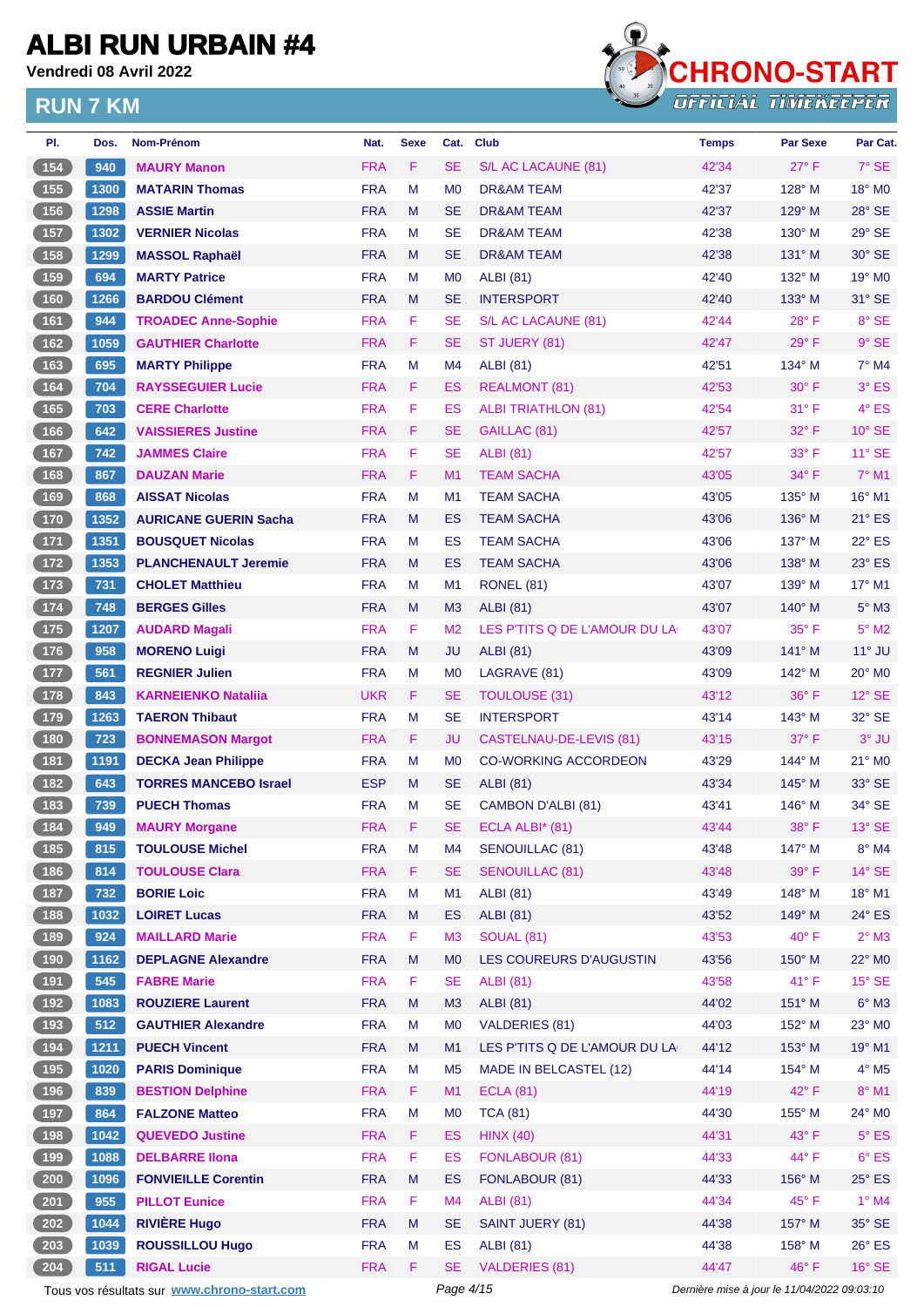**Vendredi 08 Avril 2022**



| PI.                                                | Dos. | Nom-Prénom                                  | Nat.       | <b>Sexe</b> | Cat.           | <b>Club</b>                   | <b>Temps</b>                                | <b>Par Sexe</b> | Par Cat.           |
|----------------------------------------------------|------|---------------------------------------------|------------|-------------|----------------|-------------------------------|---------------------------------------------|-----------------|--------------------|
| (154)                                              | 940  | <b>MAURY Manon</b>                          | <b>FRA</b> | F           | <b>SE</b>      | S/L AC LACAUNE (81)           | 42'34                                       | $27^\circ$ F    | $7°$ SE            |
| 155                                                | 1300 | <b>MATARIN Thomas</b>                       | <b>FRA</b> | M           | M <sub>0</sub> | DR&AM TEAM                    | 42'37                                       | $128^\circ$ M   | $18^\circ$ MO      |
| 156                                                | 1298 | <b>ASSIE Martin</b>                         | <b>FRA</b> | M           | <b>SE</b>      | <b>DR&amp;AM TEAM</b>         | 42'37                                       | 129° M          | 28° SE             |
| 157                                                | 1302 | <b>VERNIER Nicolas</b>                      | <b>FRA</b> | M           | <b>SE</b>      | DR&AM TEAM                    | 42'38                                       | $130^\circ$ M   | 29° SE             |
| (158)                                              | 1299 | <b>MASSOL Raphaël</b>                       | <b>FRA</b> | M           | <b>SE</b>      | DR&AM TEAM                    | 42'38                                       | $131^\circ$ M   | $30^\circ$ SE      |
| 159                                                | 694  | <b>MARTY Patrice</b>                        | <b>FRA</b> | M           | M <sub>0</sub> | <b>ALBI</b> (81)              | 42'40                                       | 132° M          | 19° M <sub>0</sub> |
| (160)                                              | 1266 | <b>BARDOU Clément</b>                       | <b>FRA</b> | M           | <b>SE</b>      | <b>INTERSPORT</b>             | 42'40                                       | $133^\circ$ M   | $31^\circ$ SE      |
| (161)                                              | 944  | <b>TROADEC Anne-Sophie</b>                  | <b>FRA</b> | F           | SE             | S/L AC LACAUNE (81)           | 42'44                                       | $28^{\circ}$ F  | 8° SE              |
| $\boxed{162}$                                      | 1059 | <b>GAUTHIER Charlotte</b>                   | <b>FRA</b> | F           | <b>SE</b>      | ST JUERY (81)                 | 42'47                                       | $29^\circ$ F    | $9°$ SE            |
| 163                                                | 695  | <b>MARTY Philippe</b>                       | <b>FRA</b> | M           | M4             | <b>ALBI</b> (81)              | 42'51                                       | 134° M          | $7^\circ$ M4       |
| (164)                                              | 704  | <b>RAYSSEGUIER Lucie</b>                    | <b>FRA</b> | F           | ES             | REALMONT (81)                 | 42'53                                       | $30^\circ$ F    | $3^{\circ}$ ES     |
| 165                                                | 703  | <b>CERE Charlotte</b>                       | <b>FRA</b> | F           | <b>ES</b>      | <b>ALBI TRIATHLON (81)</b>    | 42'54                                       | $31^{\circ}$ F  | $4^\circ$ ES       |
| 166                                                | 642  | <b>VAISSIERES Justine</b>                   | <b>FRA</b> | F           | <b>SE</b>      | GAILLAC (81)                  | 42'57                                       | 32° F           | $10^{\circ}$ SE    |
| 167                                                | 742  | <b>JAMMES Claire</b>                        | <b>FRA</b> | F           | SE             | <b>ALBI</b> (81)              | 42'57                                       | $33^\circ$ F    | $11^\circ$ SE      |
| (168)                                              | 867  | <b>DAUZAN Marie</b>                         | <b>FRA</b> | F           | M1             | <b>TEAM SACHA</b>             | 43'05                                       | $34^{\circ}$ F  | $7°$ M1            |
| 169                                                | 868  | <b>AISSAT Nicolas</b>                       | <b>FRA</b> | M           | M <sub>1</sub> | <b>TEAM SACHA</b>             | 43'05                                       | $135^\circ$ M   | 16° M1             |
| 170                                                | 1352 | <b>AURICANE GUERIN Sacha</b>                | <b>FRA</b> | M           | ES             | <b>TEAM SACHA</b>             | 43'06                                       | $136^\circ$ M   | $21^\circ$ ES      |
| $\begin{array}{c} \hline 171 \end{array}$          | 1351 | <b>BOUSQUET Nicolas</b>                     | <b>FRA</b> | M           | ES             | <b>TEAM SACHA</b>             | 43'06                                       | $137^\circ$ M   | $22^{\circ}$ ES    |
| (172)                                              | 1353 | <b>PLANCHENAULT Jeremie</b>                 | <b>FRA</b> | M           | ES             | <b>TEAM SACHA</b>             | 43'06                                       | 138° M          | $23^\circ$ ES      |
| $173$                                              | 731  | <b>CHOLET Matthieu</b>                      | <b>FRA</b> | М           | M1             | RONEL (81)                    | 43'07                                       | $139^\circ$ M   | 17° M1             |
| (174)                                              | 748  | <b>BERGES Gilles</b>                        | <b>FRA</b> | M           | M <sub>3</sub> | <b>ALBI</b> (81)              | 43'07                                       | $140^\circ$ M   | $5^\circ$ M3       |
| $\boxed{175}$                                      | 1207 | <b>AUDARD Magali</b>                        | <b>FRA</b> | F           | M <sub>2</sub> | LES P'TITS Q DE L'AMOUR DU LA | 43'07                                       | $35^{\circ}$ F  | $5^\circ$ M2       |
| (176)                                              | 958  | <b>MORENO Luigi</b>                         | <b>FRA</b> | M           | <b>JU</b>      | <b>ALBI</b> (81)              | 43'09                                       | $141^\circ$ M   | $11^\circ$ JU      |
| 177                                                | 561  | <b>REGNIER Julien</b>                       | <b>FRA</b> | M           | M <sub>0</sub> | LAGRAVE (81)                  | 43'09                                       | 142° M          | $20^\circ$ MO      |
| (178)                                              | 843  | <b>KARNEIENKO Natalija</b>                  | <b>UKR</b> | F           | <b>SE</b>      | <b>TOULOUSE (31)</b>          | 43'12                                       | $36^{\circ}$ F  | $12^{\circ}$ SE    |
| 179                                                | 1263 | <b>TAERON Thibaut</b>                       | <b>FRA</b> | M           | <b>SE</b>      | <b>INTERSPORT</b>             | 43'14                                       | 143° M          | 32° SE             |
| (180)                                              | 723  | <b>BONNEMASON Margot</b>                    | <b>FRA</b> | F           | JU             | CASTELNAU-DE-LEVIS (81)       | 43'15                                       | $37^\circ$ F    | $3°$ JU            |
| (181)                                              | 1191 | <b>DECKA Jean Philippe</b>                  | <b>FRA</b> | м           | M <sub>0</sub> | <b>CO-WORKING ACCORDEON</b>   | 43'29                                       | 144° M          | 21° MO             |
| (182)                                              | 643  | <b>TORRES MANCEBO Israel</b>                | <b>ESP</b> | M           | <b>SE</b>      | <b>ALBI</b> (81)              | 43'34                                       | $145^\circ$ M   | 33° SE             |
| (183)                                              | 739  | <b>PUECH Thomas</b>                         | <b>FRA</b> | м           | SE             | CAMBON D'ALBI (81)            | 43'41                                       | $146^\circ$ M   | 34° SE             |
| $\begin{array}{ c c c }\n\hline\n184\n\end{array}$ | 949  | <b>MAURY Morgane</b>                        | <b>FRA</b> | F.          | <b>SE</b>      | ECLA ALBI* (81)               | 43'44                                       | $38^\circ$ F    | $13^\circ$ SE      |
| (185)                                              | 815  | <b>TOULOUSE Michel</b>                      | <b>FRA</b> | M           | M4             | SENOUILLAC (81)               | 43'48                                       | 147° M          | $8^\circ$ M4       |
| (186)                                              | 814  | <b>TOULOUSE Clara</b>                       | <b>FRA</b> | F.          | <b>SE</b>      | <b>SENOUILLAC (81)</b>        | 43'48                                       | 39° F           | $14^\circ$ SE      |
| 187                                                | 732  | <b>BORIE Loic</b>                           | <b>FRA</b> | M           | M1             | <b>ALBI</b> (81)              | 43'49                                       | 148° M          | 18° M1             |
| (188)                                              | 1032 | <b>LOIRET Lucas</b>                         | <b>FRA</b> | M           | <b>ES</b>      | <b>ALBI</b> (81)              | 43'52                                       | 149° M          | $24^\circ$ ES      |
| $\begin{array}{c} \n \textbf{189} \\ \end{array}$  | 924  | <b>MAILLARD Marie</b>                       | <b>FRA</b> | F.          | M <sub>3</sub> | <b>SOUAL (81)</b>             | 43'53                                       | 40°F            | $2^{\circ}$ M3     |
| (190)                                              | 1162 | <b>DEPLAGNE Alexandre</b>                   | <b>FRA</b> | M           | M <sub>0</sub> | LES COUREURS D'AUGUSTIN       | 43'56                                       | 150° M          | 22° MO             |
| (191)                                              | 545  | <b>FABRE Marie</b>                          | <b>FRA</b> | F           | <b>SE</b>      | <b>ALBI</b> (81)              | 43'58                                       | $41^{\circ}$ F  | $15^\circ$ SE      |
| (192)                                              | 1083 | <b>ROUZIERE Laurent</b>                     | <b>FRA</b> | M           | M <sub>3</sub> | <b>ALBI</b> (81)              | 44'02                                       | 151° M          | $6^\circ$ M3       |
| (193)                                              | 512  | <b>GAUTHIER Alexandre</b>                   | <b>FRA</b> | M           | M <sub>0</sub> | <b>VALDERIES (81)</b>         | 44'03                                       | 152° M          | 23° MO             |
| (194)                                              | 1211 | <b>PUECH Vincent</b>                        | <b>FRA</b> | M           | M1             | LES P'TITS Q DE L'AMOUR DU LA | 44'12                                       | 153° M          | 19° M1             |
| $\begin{array}{c} \hline 195 \end{array}$          | 1020 | <b>PARIS Dominique</b>                      | <b>FRA</b> | M           | M <sub>5</sub> | MADE IN BELCASTEL (12)        | 44'14                                       | 154° M          | $4^\circ$ M5       |
| (196)                                              | 839  | <b>BESTION Delphine</b>                     | <b>FRA</b> | F.          | M1             | <b>ECLA (81)</b>              | 44'19                                       | $42^{\circ}$ F  | $8^\circ$ M1       |
| $197$                                              | 864  | <b>FALZONE Matteo</b>                       | <b>FRA</b> | M           | M <sub>0</sub> | <b>TCA (81)</b>               | 44'30                                       | 155° M          | 24° M0             |
| (198)                                              | 1042 | <b>QUEVEDO Justine</b>                      | <b>FRA</b> | F           | <b>ES</b>      | <b>HINX (40)</b>              | 44'31                                       | 43° F           | $5^{\circ}$ ES     |
| 199                                                | 1088 | <b>DELBARRE IIona</b>                       | <b>FRA</b> | F           | ES             | FONLABOUR (81)                | 44'33                                       | 44°F            | $6^{\circ}$ ES     |
| $\sqrt{200}$                                       | 1096 | <b>FONVIEILLE Corentin</b>                  | <b>FRA</b> | M           | ES             | FONLABOUR (81)                | 44'33                                       | 156° M          | $25^{\circ}$ ES    |
| $201$                                              | 955  | <b>PILLOT Eunice</b>                        | <b>FRA</b> | F.          | M4             | <b>ALBI</b> (81)              | 44'34                                       | 45°F            | $1^\circ$ M4       |
| 202                                                | 1044 | <b>RIVIÈRE Hugo</b>                         | <b>FRA</b> | M           | <b>SE</b>      | SAINT JUERY (81)              | 44'38                                       | 157° M          | $35^\circ$ SE      |
| 203                                                | 1039 | <b>ROUSSILLOU Hugo</b>                      | <b>FRA</b> | М           | ES             | <b>ALBI</b> (81)              | 44'38                                       | 158° M          | $26^{\circ}$ ES    |
| $204$                                              | 511  | <b>RIGAL Lucie</b>                          | <b>FRA</b> | F.          | <b>SE</b>      | <b>VALDERIES (81)</b>         | 44'47                                       | 46°F            | $16^{\circ}$ SE    |
|                                                    |      | Tous vos résultats sur www.chrono-start.com |            |             | Page 4/15      |                               | Dernière mise à jour le 11/04/2022 09:03:10 |                 |                    |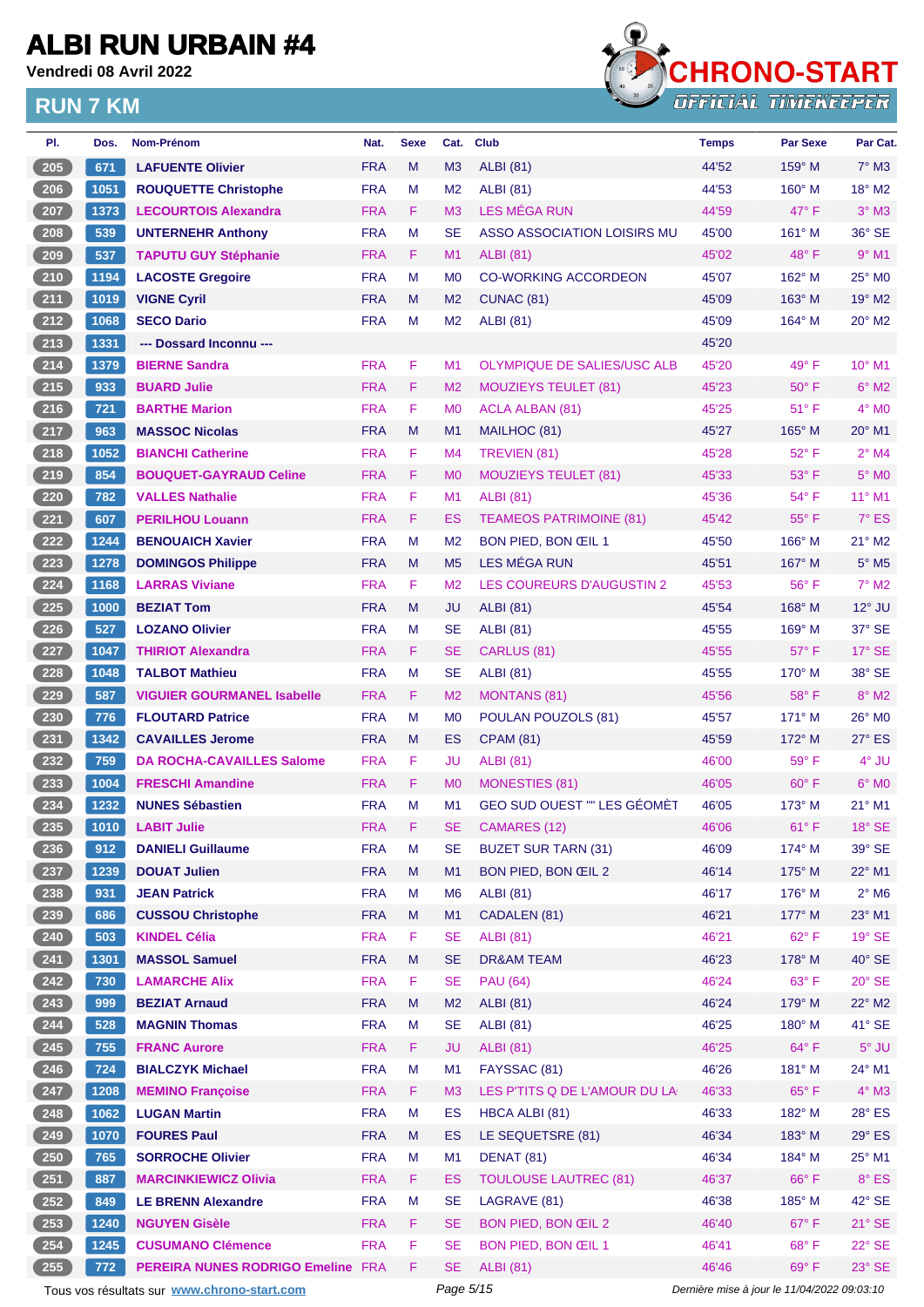**Vendredi 08 Avril 2022**



| PI.                 | Dos. | <b>Nom-Prénom</b>                           | Nat.       | <b>Sexe</b> | Cat.           | <b>Club</b>                        | <b>Temps</b>                                | <b>Par Sexe</b> | Par Cat.                  |
|---------------------|------|---------------------------------------------|------------|-------------|----------------|------------------------------------|---------------------------------------------|-----------------|---------------------------|
| 205                 | 671  | <b>LAFUENTE Olivier</b>                     | <b>FRA</b> | M           | M3             | <b>ALBI</b> (81)                   | 44'52                                       | $159^\circ$ M   | $7°$ M3                   |
| 206                 | 1051 | <b>ROUQUETTE Christophe</b>                 | <b>FRA</b> | M           | M <sub>2</sub> | <b>ALBI</b> (81)                   | 44'53                                       | $160^\circ$ M   | 18° M2                    |
| 207                 | 1373 | <b>LECOURTOIS Alexandra</b>                 | <b>FRA</b> | F           | M <sub>3</sub> | LES MÉGA RUN                       | 44'59                                       | $47^\circ$ F    | $3°$ M3                   |
| $208$               | 539  | <b>UNTERNEHR Anthony</b>                    | <b>FRA</b> | M           | <b>SE</b>      | ASSO ASSOCIATION LOISIRS MU        | 45'00                                       | $161^\circ$ M   | 36° SE                    |
| 209                 | 537  | <b>TAPUTU GUY Stéphanie</b>                 | <b>FRA</b> | F           | M1             | <b>ALBI</b> (81)                   | 45'02                                       | 48°F            | $9°$ M1                   |
| $210$               | 1194 | <b>LACOSTE Gregoire</b>                     | <b>FRA</b> | М           | M <sub>0</sub> | <b>CO-WORKING ACCORDEON</b>        | 45'07                                       | $162^\circ$ M   | 25° M0                    |
| $211$               | 1019 | <b>VIGNE Cyril</b>                          | <b>FRA</b> | M           | M <sub>2</sub> | CUNAC (81)                         | 45'09                                       | $163^\circ$ M   | 19° M2                    |
| $212$               | 1068 | <b>SECO Dario</b>                           | <b>FRA</b> | M           | M2             | <b>ALBI</b> (81)                   | 45'09                                       | $164^\circ$ M   | $20^\circ$ M <sub>2</sub> |
| 213                 | 1331 | --- Dossard Inconnu ---                     |            |             |                |                                    | 45'20                                       |                 |                           |
| $214$               | 1379 | <b>BIERNE Sandra</b>                        | <b>FRA</b> | F           | M <sub>1</sub> | OLYMPIQUE DE SALIES/USC ALB        | 45'20                                       | $49^{\circ}$ F  | $10^{\circ}$ M1           |
| $215$               | 933  | <b>BUARD Julie</b>                          | <b>FRA</b> | F           | M <sub>2</sub> | <b>MOUZIEYS TEULET (81)</b>        | 45'23                                       | $50^\circ$ F    | $6°$ M2                   |
| $216$               | 721  | <b>BARTHE Marion</b>                        | <b>FRA</b> | F           | M <sub>0</sub> | <b>ACLA ALBAN (81)</b>             | 45'25                                       | $51^{\circ}$ F  | $4^\circ$ MO              |
| $217$               | 963  | <b>MASSOC Nicolas</b>                       | <b>FRA</b> | M           | M1             | MAILHOC (81)                       | 45'27                                       | $165^\circ$ M   | 20° M1                    |
| $218$               | 1052 | <b>BIANCHI Catherine</b>                    | <b>FRA</b> | F           | M4             | TREVIEN (81)                       | 45'28                                       | 52° F           | $2^{\circ}$ M4            |
| 219                 | 854  | <b>BOUQUET-GAYRAUD Celine</b>               | <b>FRA</b> | F           | M <sub>0</sub> | <b>MOUZIEYS TEULET (81)</b>        | 45'33                                       | $53^\circ$ F    | $5^\circ$ MO              |
| $220$               | 782  | <b>VALLES Nathalie</b>                      | <b>FRA</b> | F           | M1             | <b>ALBI</b> (81)                   | 45'36                                       | $54^{\circ}$ F  | $11^{\circ}$ M1           |
| 221                 | 607  | <b>PERILHOU Louann</b>                      | <b>FRA</b> | F           | ES             | <b>TEAMEOS PATRIMOINE (81)</b>     | 45'42                                       | $55^{\circ}$ F  | $7^\circ$ ES              |
| 222                 | 1244 | <b>BENOUAICH Xavier</b>                     | <b>FRA</b> | М           | M <sub>2</sub> | BON PIED, BON ŒIL 1                | 45'50                                       | 166° M          | 21° M2                    |
| $223$               | 1278 | <b>DOMINGOS Philippe</b>                    | <b>FRA</b> | M           | M <sub>5</sub> | <b>LES MÉGA RUN</b>                | 45'51                                       | $167^\circ$ M   | $5^\circ$ M5              |
| 224                 | 1168 | <b>LARRAS Viviane</b>                       | <b>FRA</b> | F           | M <sub>2</sub> | LES COUREURS D'AUGUSTIN 2          | 45'53                                       | 56°F            | $7^\circ$ M2              |
| 225                 | 1000 | <b>BEZIAT Tom</b>                           | <b>FRA</b> | M           | JU             | <b>ALBI</b> (81)                   | 45'54                                       | $168^\circ$ M   | $12^{\circ}$ JU           |
| $226$               | 527  | <b>LOZANO Olivier</b>                       | <b>FRA</b> | M           | <b>SE</b>      | <b>ALBI</b> (81)                   | 45'55                                       | $169^\circ$ M   | 37° SE                    |
| 227                 | 1047 | <b>THIRIOT Alexandra</b>                    | <b>FRA</b> | F           | SE             | CARLUS (81)                        | 45'55                                       | $57^\circ$ F    | 17° SE                    |
| 228                 | 1048 | <b>TALBOT Mathieu</b>                       | <b>FRA</b> | M           | SE             | <b>ALBI</b> (81)                   | 45'55                                       | $170^\circ$ M   | 38° SE                    |
| 229                 | 587  | <b>VIGUIER GOURMANEL Isabelle</b>           | <b>FRA</b> | F           | M <sub>2</sub> | <b>MONTANS (81)</b>                | 45'56                                       | 58°F            | $8^\circ$ M2              |
| $230$               | 776  | <b>FLOUTARD Patrice</b>                     | <b>FRA</b> | М           | M <sub>0</sub> | POULAN POUZOLS (81)                | 45'57                                       | $171^\circ$ M   | 26° M0                    |
| $231$               | 1342 | <b>CAVAILLES Jerome</b>                     | <b>FRA</b> | M           | ES             | <b>CPAM (81)</b>                   | 45'59                                       | $172^\circ$ M   | 27° ES                    |
| 232                 | 759  | <b>DA ROCHA-CAVAILLES Salome</b>            | <b>FRA</b> | F           | JU             | ALBI (81)                          | 46'00                                       | $59^{\circ}$ F  | 4° JU                     |
| $233$               | 1004 | <b>FRESCHI Amandine</b>                     | <b>FRA</b> | F           | M <sub>0</sub> | <b>MONESTIES (81)</b>              | 46'05                                       | $60^{\circ}$ F  | $6^\circ$ MO              |
| 234                 | 1232 | <b>NUNES Sébastien</b>                      | <b>FRA</b> | M           | M1             | <b>GEO SUD OUEST "" LES GÉOMÈT</b> | 46'05                                       | $173^\circ$ M   | 21° M1                    |
| $\left( 235\right)$ |      | 1010 LABIT Julie                            | <b>FRA</b> | Æ           | <b>SE</b>      | CAMARES (12)                       | 46'06                                       | $61^{\circ}$ F  | 18° SE                    |
| 236                 | 912  | <b>DANIELI Guillaume</b>                    | <b>FRA</b> | M           | SE.            | <b>BUZET SUR TARN (31)</b>         | 46'09                                       | $174^\circ$ M   | 39° SE                    |
| $237$               | 1239 | <b>DOUAT Julien</b>                         | <b>FRA</b> | M           | M1             | BON PIED, BON ŒIL 2                | 46'14                                       | 175° M          | $22^{\circ}$ M1           |
| $238$               | 931  | <b>JEAN Patrick</b>                         | <b>FRA</b> | M           | M6             | <b>ALBI</b> (81)                   | 46'17                                       | $176^\circ$ M   | $2^{\circ}$ M6            |
| $\left( 239\right)$ | 686  | <b>CUSSOU Christophe</b>                    | <b>FRA</b> | M           | M1             | CADALEN (81)                       | 46'21                                       | 177° M          | $23^\circ$ M1             |
| $240$               | 503  | <b>KINDEL Célia</b>                         | <b>FRA</b> | F           | SE             | <b>ALBI</b> (81)                   | 46'21                                       | $62^{\circ}$ F  | 19° SE                    |
| 241                 | 1301 | <b>MASSOL Samuel</b>                        | <b>FRA</b> | M           | <b>SE</b>      | <b>DR&amp;AM TEAM</b>              | 46'23                                       | 178° M          | $40^\circ$ SE             |
| 242                 | 730  | <b>LAMARCHE Alix</b>                        | <b>FRA</b> | F           | SE             | <b>PAU (64)</b>                    | 46'24                                       | $63^\circ$ F    | 20° SE                    |
| $243$               | 999  | <b>BEZIAT Arnaud</b>                        | <b>FRA</b> | M           | M <sub>2</sub> | <b>ALBI</b> (81)                   | 46'24                                       | 179° M          | $22^{\circ}$ M2           |
| 244                 | 528  | <b>MAGNIN Thomas</b>                        | <b>FRA</b> | M           | SE             | <b>ALBI</b> (81)                   | 46'25                                       | 180° M          | 41° SE                    |
| 245                 | 755  | <b>FRANC Aurore</b>                         | <b>FRA</b> | F.          | JU             | <b>ALBI</b> (81)                   | 46'25                                       | $64^{\circ}$ F  | $5^\circ$ JU              |
| $246$               | 724  | <b>BIALCZYK Michael</b>                     | <b>FRA</b> | M           | M1             | FAYSSAC (81)                       | 46'26                                       | $181^\circ$ M   | 24° M1                    |
| 247                 | 1208 | <b>MEMINO Françoise</b>                     | <b>FRA</b> | F           | M <sub>3</sub> | LES P'TITS Q DE L'AMOUR DU LA      | 46'33                                       | $65^{\circ}$ F  | $4^\circ$ M3              |
| $248$               | 1062 | <b>LUGAN Martin</b>                         | <b>FRA</b> | M           | ES             | HBCA ALBI (81)                     | 46'33                                       | 182° M          | 28° ES                    |
| 249                 | 1070 | <b>FOURES Paul</b>                          | <b>FRA</b> | M           | ES.            | LE SEQUETSRE (81)                  | 46'34                                       | $183^\circ$ M   | $29°$ ES                  |
| $\overline{250}$    | 765  | <b>SORROCHE Olivier</b>                     | <b>FRA</b> | M           | M1             | DENAT (81)                         | 46'34                                       | $184^\circ$ M   | 25° M1                    |
| 251                 | 887  | <b>MARCINKIEWICZ Olivia</b>                 | <b>FRA</b> | F.          | ES             | <b>TOULOUSE LAUTREC (81)</b>       | 46'37                                       | $66^{\circ}$ F  | $8^\circ$ ES              |
| $252$               | 849  | <b>LE BRENN Alexandre</b>                   | <b>FRA</b> | M           | SE             | LAGRAVE (81)                       | 46'38                                       | 185° M          | 42° SE                    |
| $\left( 253\right)$ | 1240 | <b>NGUYEN Gisèle</b>                        | <b>FRA</b> | F           | SE.            | BON PIED, BON ŒIL 2                | 46'40                                       | $67^\circ$ F    | $21^\circ$ SE             |
| 254                 | 1245 | <b>CUSUMANO Clémence</b>                    | <b>FRA</b> | F           | SE.            | BON PIED, BON ŒIL 1                | 46'41                                       | 68°F            | 22° SE                    |
| 255                 | 772  | PEREIRA NUNES RODRIGO Emeline FRA           |            | F           | <b>SE</b>      | <b>ALBI</b> (81)                   | 46'46                                       | $69^{\circ}$ F  | $23^\circ$ SE             |
|                     |      | Tous vos résultats sur www.chrono-start.com |            |             | Page 5/15      |                                    | Dernière mise à jour le 11/04/2022 09:03:10 |                 |                           |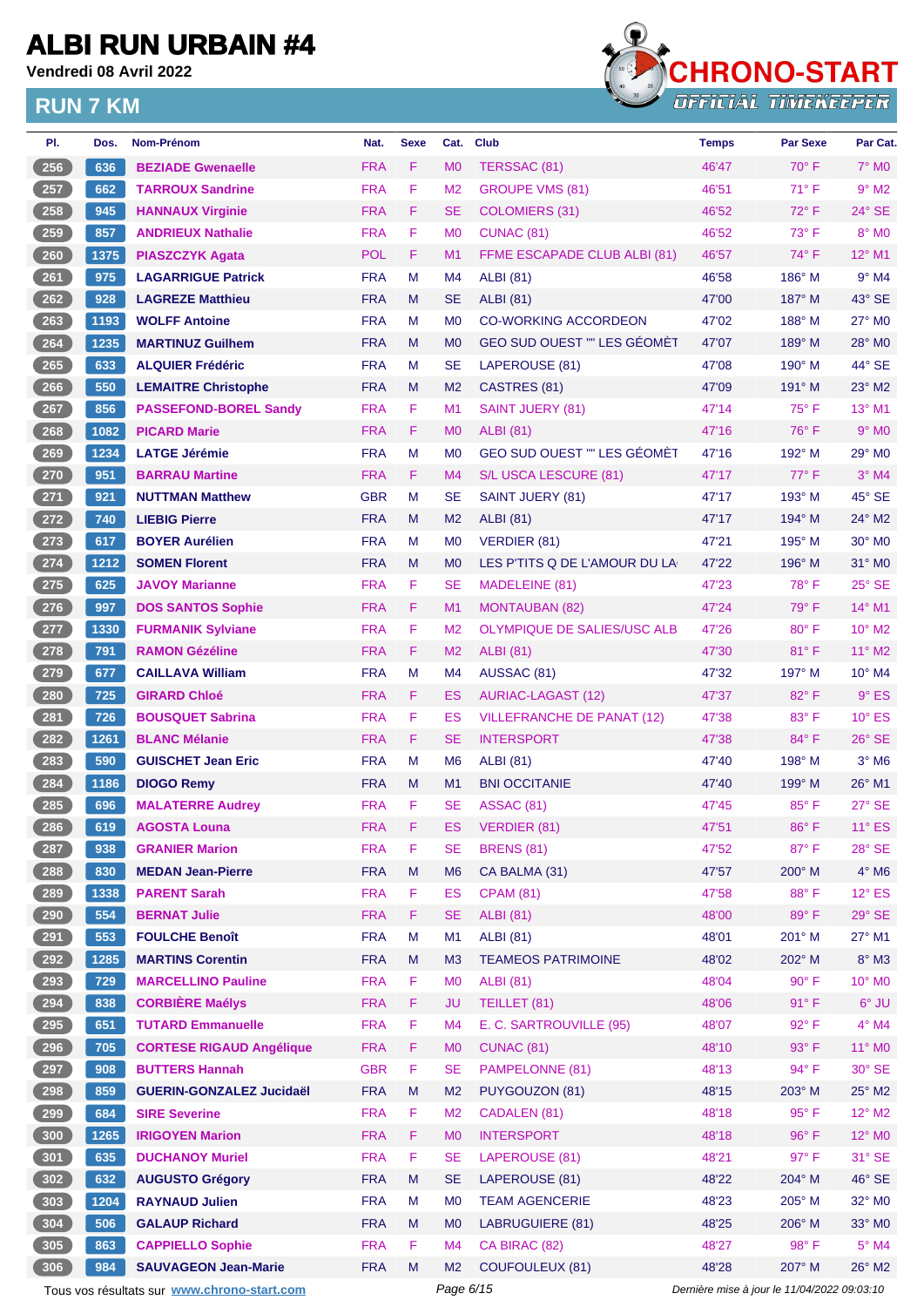**Vendredi 08 Avril 2022**



| PI.              | Dos. | Nom-Prénom                                  | Nat.       | <b>Sexe</b> | Cat.           | Club                               | <b>Temps</b>                                | <b>Par Sexe</b> | Par Cat.            |
|------------------|------|---------------------------------------------|------------|-------------|----------------|------------------------------------|---------------------------------------------|-----------------|---------------------|
| 256              | 636  | <b>BEZIADE Gwenaelle</b>                    | <b>FRA</b> | F           | M <sub>0</sub> | TERSSAC (81)                       | 46'47                                       | $70^\circ$ F    | 7° M0               |
| 257              | 662  | <b>TARROUX Sandrine</b>                     | <b>FRA</b> | F           | M <sub>2</sub> | <b>GROUPE VMS (81)</b>             | 46'51                                       | $71^{\circ}$ F  | $9°$ M2             |
| 258              | 945  | <b>HANNAUX Virginie</b>                     | <b>FRA</b> | F           | SE             | <b>COLOMIERS (31)</b>              | 46'52                                       | $72^{\circ}$ F  | 24° SE              |
| 259              | 857  | <b>ANDRIEUX Nathalie</b>                    | <b>FRA</b> | F           | M <sub>0</sub> | CUNAC <sub>(81)</sub>              | 46'52                                       | $73^\circ$ F    | 8° MO               |
| 260              | 1375 | <b>PIASZCZYK Agata</b>                      | <b>POL</b> | F           | M1             | FFME ESCAPADE CLUB ALBI (81)       | 46'57                                       | 74° F           | 12° M1              |
| 261              | 975  | <b>LAGARRIGUE Patrick</b>                   | <b>FRA</b> | M           | M4             | <b>ALBI</b> (81)                   | 46'58                                       | $186^\circ$ M   | $9°$ M4             |
| 262              | 928  | <b>LAGREZE Matthieu</b>                     | <b>FRA</b> | M           | <b>SE</b>      | <b>ALBI</b> (81)                   | 47'00                                       | $187^\circ$ M   | $43^\circ$ SE       |
| 263              | 1193 | <b>WOLFF Antoine</b>                        | <b>FRA</b> | M           | M <sub>0</sub> | <b>CO-WORKING ACCORDEON</b>        | 47'02                                       | $188^\circ$ M   | 27° M0              |
| 264              | 1235 | <b>MARTINUZ Guilhem</b>                     | <b>FRA</b> | M           | M <sub>0</sub> | GEO SUD OUEST "" LES GÉOMÈT        | 47'07                                       | 189° M          | 28° MO              |
| 265              | 633  | <b>ALQUIER Frédéric</b>                     | <b>FRA</b> | M           | SE             | LAPEROUSE (81)                     | 47'08                                       | $190^\circ$ M   | 44° SE              |
| $\overline{266}$ | 550  | <b>LEMAITRE Christophe</b>                  | <b>FRA</b> | M           | M <sub>2</sub> | CASTRES (81)                       | 47'09                                       | $191^\circ$ M   | 23° M2              |
| 267              | 856  | <b>PASSEFOND-BOREL Sandy</b>                | <b>FRA</b> | F           | M <sub>1</sub> | <b>SAINT JUERY (81)</b>            | 47'14                                       | $75^{\circ}$ F  | 13° M1              |
| 268              | 1082 | <b>PICARD Marie</b>                         | <b>FRA</b> | F           | M <sub>0</sub> | <b>ALBI</b> (81)                   | 47'16                                       | $76^{\circ}$ F  | $9°$ MO             |
| 269              | 1234 | <b>LATGE Jérémie</b>                        | <b>FRA</b> | M           | M <sub>0</sub> | <b>GEO SUD OUEST "" LES GÉOMÈT</b> | 47'16                                       | 192° M          | 29° M0              |
| 270              | 951  | <b>BARRAU Martine</b>                       | <b>FRA</b> | F           | M4             | S/L USCA LESCURE (81)              | 47'17                                       | $77^\circ$ F    | $3^\circ$ M4        |
| 271              | 921  | <b>NUTTMAN Matthew</b>                      | <b>GBR</b> | M           | SE             | SAINT JUERY (81)                   | 47'17                                       | 193° M          | 45° SE              |
| 272              | 740  | <b>LIEBIG Pierre</b>                        | <b>FRA</b> | M           | M <sub>2</sub> | <b>ALBI</b> (81)                   | 47'17                                       | $194^\circ$ M   | 24° M2              |
| 273              | 617  | <b>BOYER Aurélien</b>                       | <b>FRA</b> | M           | M <sub>0</sub> | <b>VERDIER (81)</b>                | 47'21                                       | $195^\circ$ M   | 30° M0              |
| $274$            | 1212 | <b>SOMEN Florent</b>                        | <b>FRA</b> | M           | M <sub>0</sub> | LES P'TITS Q DE L'AMOUR DU LA      | 47'22                                       | $196^\circ$ M   | $31^\circ$ MO       |
| 275              | 625  | <b>JAVOY Marianne</b>                       | <b>FRA</b> | F           | SЕ             | MADELEINE (81)                     | 47'23                                       | $78^\circ$ F    | $25^\circ$ SE       |
| 276              | 997  | <b>DOS SANTOS Sophie</b>                    | <b>FRA</b> | F           | M1             | <b>MONTAUBAN (82)</b>              | 47'24                                       | $79^\circ$ F    | $14^{\circ}$ M1     |
| 277              | 1330 | <b>FURMANIK Sylviane</b>                    | <b>FRA</b> | F           | M <sub>2</sub> | <b>OLYMPIQUE DE SALIES/USC ALB</b> | 47'26                                       | $80^\circ$ F    | 10° M2              |
| 278              | 791  | <b>RAMON Gézéline</b>                       | <b>FRA</b> | F           | M <sub>2</sub> | <b>ALBI</b> (81)                   | 47'30                                       | $81^\circ$ F    | 11° M2              |
| 279              | 677  | <b>CAILLAVA William</b>                     | <b>FRA</b> | М           | M <sub>4</sub> | AUSSAC (81)                        | 47'32                                       | 197° M          | 10° M4              |
| 280              | 725  | <b>GIRARD Chloé</b>                         | <b>FRA</b> | F           | ES             | <b>AURIAC-LAGAST (12)</b>          | 47'37                                       | 82°F            | $9°$ ES             |
| 281              | 726  | <b>BOUSQUET Sabrina</b>                     | <b>FRA</b> | F           | ES             | <b>VILLEFRANCHE DE PANAT (12)</b>  | 47'38                                       | $83^\circ$ F    | $10^{\circ}$ ES     |
| 282              | 1261 | <b>BLANC Mélanie</b>                        | <b>FRA</b> | F           | SE             | <b>INTERSPORT</b>                  | 47'38                                       | 84°F            | 26° SE              |
| 283              | 590  | <b>GUISCHET Jean Eric</b>                   | <b>FRA</b> | М           | M <sub>6</sub> | <b>ALBI</b> (81)                   | 47'40                                       | 198° M          | $3°$ M <sub>6</sub> |
|                  | 1186 |                                             | <b>FRA</b> | M           | M1             | <b>BNI OCCITANIE</b>               | 47'40                                       | 199° M          | 26° M1              |
| 284<br>285       |      | <b>DIOGO Remy</b>                           | <b>FRA</b> | F           |                |                                    |                                             | 85°F            | 27° SE              |
|                  | 696  | <b>MALATERRE Audrey</b>                     |            | F           | SE             | <b>ASSAC (81)</b>                  | 47'45                                       |                 |                     |
| 286              | 619  | <b>AGOSTA Louna</b>                         | <b>FRA</b> |             | ES             | <b>VERDIER (81)</b>                | 47'51                                       | $86^\circ$ F    | $11^\circ$ ES       |
| 287              | 938  | <b>GRANIER Marion</b>                       | <b>FRA</b> | F           | SЕ             | <b>BRENS (81)</b>                  | 47'52                                       | 87°F            | 28° SE              |
| 288              | 830  | <b>MEDAN Jean-Pierre</b>                    | <b>FRA</b> | ${\sf M}$   | M <sub>6</sub> | CA BALMA (31)                      | 47'57                                       | $200^\circ$ M   | $4^\circ$ M6        |
| 289              | 1338 | <b>PARENT Sarah</b>                         | <b>FRA</b> | F           | ES             | <b>CPAM (81)</b>                   | 47'58                                       | 88°F            | $12^{\circ}$ ES     |
| 290              | 554  | <b>BERNAT Julie</b>                         | <b>FRA</b> | F           | <b>SE</b>      | <b>ALBI</b> (81)                   | 48'00                                       | 89°F            | 29° SE              |
| 291              | 553  | <b>FOULCHE Benoît</b>                       | <b>FRA</b> | M           | M <sub>1</sub> | <b>ALBI (81)</b>                   | 48'01                                       | 201° M          | 27° M1              |
| 292              | 1285 | <b>MARTINS Corentin</b>                     | <b>FRA</b> | M           | M <sub>3</sub> | <b>TEAMEOS PATRIMOINE</b>          | 48'02                                       | 202° M          | $8^\circ$ M3        |
| 293              | 729  | <b>MARCELLINO Pauline</b>                   | <b>FRA</b> | F           | M <sub>0</sub> | <b>ALBI (81)</b>                   | 48'04                                       | $90^\circ$ F    | 10° M0              |
| 294              | 838  | <b>CORBIÈRE Maélys</b>                      | <b>FRA</b> | F           | JU             | TEILLET (81)                       | 48'06                                       | $91^{\circ}$ F  | $6^{\circ}$ JU      |
| 295              | 651  | <b>TUTARD Emmanuelle</b>                    | <b>FRA</b> | F           | M4             | E. C. SARTROUVILLE (95)            | 48'07                                       | 92°F            | $4^\circ$ M4        |
| 296              | 705  | <b>CORTESE RIGAUD Angélique</b>             | <b>FRA</b> | F           | M <sub>0</sub> | <b>CUNAC (81)</b>                  | 48'10                                       | 93° F           | 11° MO              |
| 297              | 908  | <b>BUTTERS Hannah</b>                       | <b>GBR</b> | F           | <b>SE</b>      | PAMPELONNE (81)                    | 48'13                                       | 94° F           | 30° SE              |
| 298              | 859  | <b>GUERIN-GONZALEZ Jucidaël</b>             | <b>FRA</b> | M           | M <sub>2</sub> | PUYGOUZON (81)                     | 48'15                                       | 203° M          | $25^\circ$ M2       |
| 299              | 684  | <b>SIRE Severine</b>                        | <b>FRA</b> | F           | M <sub>2</sub> | CADALEN (81)                       | 48'18                                       | 95°F            | $12^{\circ}$ M2     |
| 300              | 1265 | <b>IRIGOYEN Marion</b>                      | <b>FRA</b> | F           | M <sub>0</sub> | <b>INTERSPORT</b>                  | 48'18                                       | 96°F            | 12° MO              |
| 301              | 635  | <b>DUCHANOY Muriel</b>                      | <b>FRA</b> | F           | <b>SE</b>      | LAPEROUSE (81)                     | 48'21                                       | $97^\circ$ F    | 31° SE              |
| 302              | 632  | <b>AUGUSTO Grégory</b>                      | <b>FRA</b> | M           | <b>SE</b>      | LAPEROUSE (81)                     | 48'22                                       | 204° M          | $46^\circ$ SE       |
| 303              | 1204 | <b>RAYNAUD Julien</b>                       | <b>FRA</b> | M           | M <sub>0</sub> | <b>TEAM AGENCERIE</b>              | 48'23                                       | 205° M          | 32° MO              |
| 304              | 506  | <b>GALAUP Richard</b>                       | <b>FRA</b> | M           | M <sub>0</sub> | <b>LABRUGUIERE (81)</b>            | 48'25                                       | 206° M          | $33^\circ$ MO       |
| 305              | 863  | <b>CAPPIELLO Sophie</b>                     | <b>FRA</b> | F           | M4             | CA BIRAC (82)                      | 48'27                                       | 98° F           | $5^\circ$ M4        |
| 306              | 984  | <b>SAUVAGEON Jean-Marie</b>                 | <b>FRA</b> | M           | M <sub>2</sub> | <b>COUFOULEUX (81)</b>             | 48'28                                       | 207° M          | 26° M2              |
|                  |      | Tous vos résultats sur www.chrono-start.com |            |             | Page 6/15      |                                    | Dernière mise à jour le 11/04/2022 09:03:10 |                 |                     |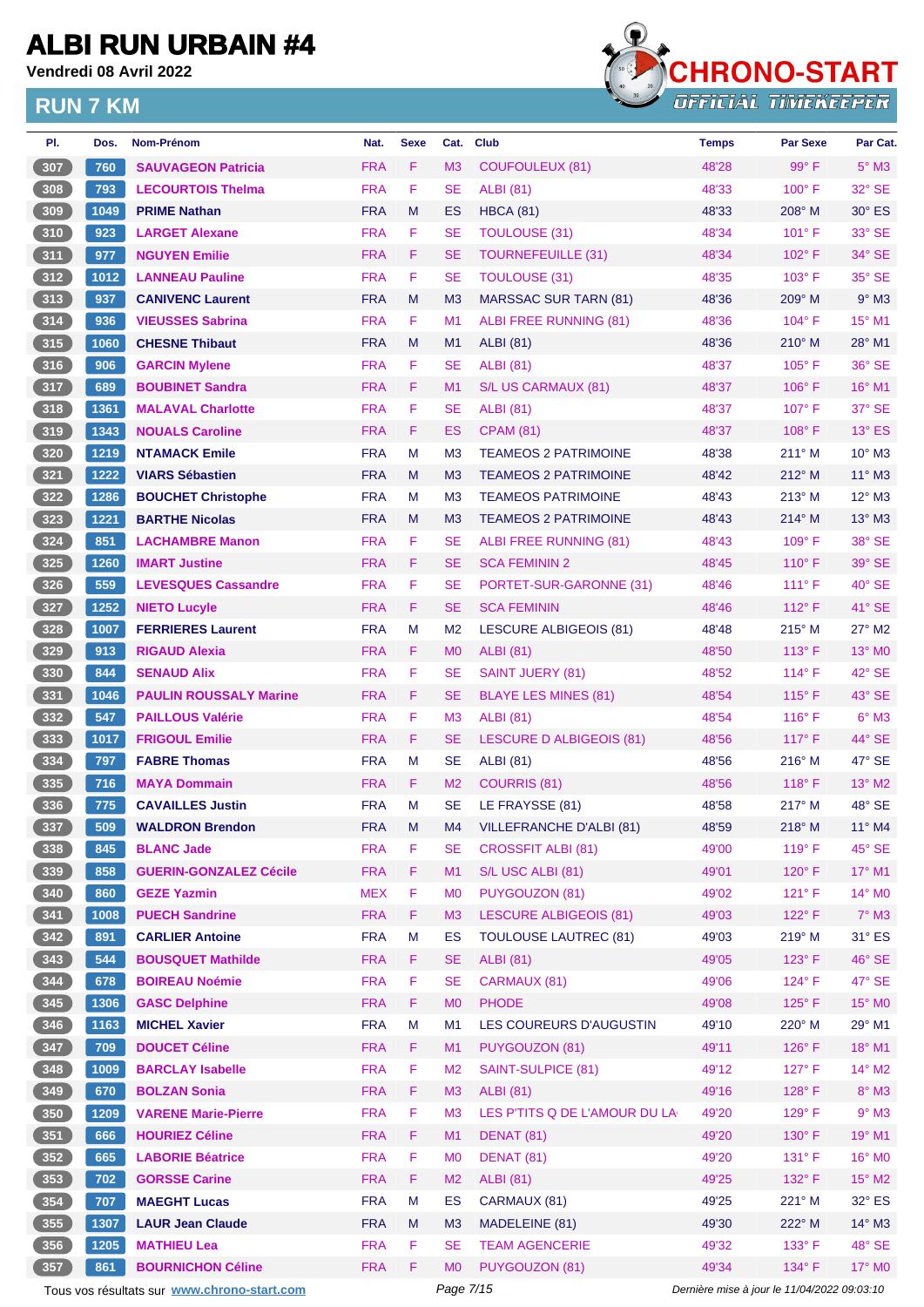**Vendredi 08 Avril 2022**



| PI.              | Dos. | <b>Nom-Prénom</b>                           | Nat.       | <b>Sexe</b> | Cat.           | <b>Club</b>                     | <b>Temps</b>                                | Par Sexe        | Par Cat.        |
|------------------|------|---------------------------------------------|------------|-------------|----------------|---------------------------------|---------------------------------------------|-----------------|-----------------|
| 307              | 760  | <b>SAUVAGEON Patricia</b>                   | <b>FRA</b> | F           | M <sub>3</sub> | COUFOULEUX (81)                 | 48'28                                       | 99° F           | $5^\circ$ M3    |
| 308              | 793  | <b>LECOURTOIS Thelma</b>                    | <b>FRA</b> | F           | <b>SE</b>      | <b>ALBI</b> (81)                | 48'33                                       | $100^\circ$ F   | 32° SE          |
| 309              | 1049 | <b>PRIME Nathan</b>                         | <b>FRA</b> | M           | ES             | <b>HBCA (81)</b>                | 48'33                                       | $208^\circ$ M   | $30^\circ$ ES   |
| 310              | 923  | <b>LARGET Alexane</b>                       | <b>FRA</b> | F           | <b>SE</b>      | <b>TOULOUSE (31)</b>            | 48'34                                       | $101^\circ$ F   | 33° SE          |
| (311)            | 977  | <b>NGUYEN Emilie</b>                        | <b>FRA</b> | F           | <b>SE</b>      | <b>TOURNEFEUILLE (31)</b>       | 48'34                                       | $102^{\circ}$ F | 34° SE          |
| $\boxed{312}$    | 1012 | <b>LANNEAU Pauline</b>                      | <b>FRA</b> | F           | <b>SE</b>      | <b>TOULOUSE (31)</b>            | 48'35                                       | $103^\circ$ F   | 35° SE          |
| $\frac{313}{ }$  | 937  | <b>CANIVENC Laurent</b>                     | <b>FRA</b> | M           | M <sub>3</sub> | <b>MARSSAC SUR TARN (81)</b>    | 48'36                                       | 209° M          | $9°$ M3         |
| 314              | 936  | <b>VIEUSSES Sabrina</b>                     | <b>FRA</b> | F           | M1             | ALBI FREE RUNNING (81)          | 48'36                                       | $104^\circ$ F   | 15° M1          |
| (315)            | 1060 | <b>CHESNE Thibaut</b>                       | <b>FRA</b> | M           | M <sub>1</sub> | <b>ALBI</b> (81)                | 48'36                                       | $210^\circ$ M   | 28° M1          |
| 316              | 906  | <b>GARCIN Mylene</b>                        | <b>FRA</b> | F           | <b>SE</b>      | <b>ALBI (81)</b>                | 48'37                                       | $105^{\circ}$ F | 36° SE          |
| 317              | 689  | <b>BOUBINET Sandra</b>                      | <b>FRA</b> | F           | M1             | S/L US CARMAUX (81)             | 48'37                                       | $106^\circ$ F   | 16° M1          |
| 318              | 1361 | <b>MALAVAL Charlotte</b>                    | <b>FRA</b> | F           | <b>SE</b>      | <b>ALBI (81)</b>                | 48'37                                       | $107^\circ$ F   | 37° SE          |
| (319)            | 1343 | <b>NOUALS Caroline</b>                      | <b>FRA</b> | F           | ES             | <b>CPAM (81)</b>                | 48'37                                       | $108^\circ$ F   | $13^\circ$ ES   |
| 320              | 1219 | <b>NTAMACK Emile</b>                        | <b>FRA</b> | М           | M <sub>3</sub> | <b>TEAMEOS 2 PATRIMOINE</b>     | 48'38                                       | $211^\circ$ M   | $10^{\circ}$ M3 |
| 321              | 1222 | <b>VIARS Sébastien</b>                      | <b>FRA</b> | M           | M <sub>3</sub> | <b>TEAMEOS 2 PATRIMOINE</b>     | 48'42                                       | $212^{\circ}$ M | $11^{\circ}$ M3 |
| $322$            | 1286 | <b>BOUCHET Christophe</b>                   | <b>FRA</b> | М           | M <sub>3</sub> | <b>TEAMEOS PATRIMOINE</b>       | 48'43                                       | $213^\circ$ M   | 12° M3          |
| 323              | 1221 | <b>BARTHE Nicolas</b>                       | <b>FRA</b> | M           | M <sub>3</sub> | <b>TEAMEOS 2 PATRIMOINE</b>     | 48'43                                       | $214^\circ$ M   | $13^\circ$ M3   |
| 324              | 851  | <b>LACHAMBRE Manon</b>                      | <b>FRA</b> | F           | <b>SE</b>      | <b>ALBI FREE RUNNING (81)</b>   | 48'43                                       | 109° F          | 38° SE          |
| $\overline{325}$ | 1260 | <b>IMART Justine</b>                        | <b>FRA</b> | F           | <b>SE</b>      | <b>SCA FEMININ 2</b>            | 48'45                                       | $110^{\circ}$ F | 39° SE          |
| $326$            | 559  | <b>LEVESQUES Cassandre</b>                  | <b>FRA</b> | F           | <b>SE</b>      | PORTET-SUR-GARONNE (31)         | 48'46                                       | $111^\circ F$   | $40^\circ$ SE   |
| 327              | 1252 | <b>NIETO Lucyle</b>                         | <b>FRA</b> | F           | <b>SE</b>      | <b>SCA FEMININ</b>              | 48'46                                       | $112^{\circ}$ F | 41° SE          |
| 328              | 1007 | <b>FERRIERES Laurent</b>                    | <b>FRA</b> | M           | M <sub>2</sub> | <b>LESCURE ALBIGEOIS (81)</b>   | 48'48                                       | 215° M          | $27^\circ$ M2   |
| $\frac{329}{ }$  | 913  | <b>RIGAUD Alexia</b>                        | <b>FRA</b> | F           | M <sub>0</sub> | ALBI (81)                       | 48'50                                       | $113^\circ$ F   | 13° MO          |
| $330$            | 844  | <b>SENAUD Alix</b>                          | <b>FRA</b> | F           | <b>SE</b>      | <b>SAINT JUERY (81)</b>         | 48'52                                       | $114^{\circ}$ F | 42° SE          |
| 331              | 1046 | <b>PAULIN ROUSSALY Marine</b>               | <b>FRA</b> | F           | <b>SE</b>      | <b>BLAYE LES MINES (81)</b>     | 48'54                                       | $115^{\circ}$ F | 43° SE          |
| 332              | 547  | <b>PAILLOUS Valérie</b>                     | <b>FRA</b> | F           | M <sub>3</sub> | <b>ALBI</b> (81)                | 48'54                                       | $116^{\circ}$ F | $6^\circ$ M3    |
| $\frac{333}{ }$  | 1017 | <b>FRIGOUL Emilie</b>                       | <b>FRA</b> | F           | <b>SE</b>      | LESCURE D ALBIGEOIS (81)        | 48'56                                       | $117^\circ$ F   | 44° SE          |
| 334              | 797  | <b>FABRE Thomas</b>                         | <b>FRA</b> | M           | <b>SE</b>      | <b>ALBI</b> (81)                | 48'56                                       | $216^\circ$ M   | 47° SE          |
| 335              | 716  | <b>MAYA Dommain</b>                         | <b>FRA</b> | F.          | M <sub>2</sub> | COURRIS (81)                    | 48'56                                       | $118^\circ$ F   | 13° M2          |
| 336              | 775  | <b>CAVAILLES Justin</b>                     | <b>FRA</b> | М           | <b>SE</b>      | LE FRAYSSE (81)                 | 48'58                                       | $217^\circ$ M   | 48° SE          |
| 337              | 509  | <b>WALDRON Brendon</b>                      | <b>FRA</b> | M           | M <sub>4</sub> | <b>VILLEFRANCHE D'ALBI (81)</b> | 48'59                                       | $218^\circ$ M   | $11^{\circ}$ M4 |
| 338              | 845  | <b>BLANC Jade</b>                           | <b>FRA</b> | F           | <b>SE</b>      | <b>CROSSFIT ALBI (81)</b>       | 49'00                                       | 119° F          | 45° SE          |
| $339$            | 858  | <b>GUERIN-GONZALEZ Cécile</b>               | <b>FRA</b> | F           | M1             | S/L USC ALBI (81)               | 49'01                                       | $120^\circ$ F   | $17^{\circ}$ M1 |
| 340              | 860  | <b>GEZE Yazmin</b>                          | <b>MEX</b> | F           | M <sub>0</sub> | PUYGOUZON (81)                  | 49'02                                       | $121^\circ$ F   | 14° MO          |
| 341              | 1008 | <b>PUECH Sandrine</b>                       | <b>FRA</b> | F           | M <sub>3</sub> | <b>LESCURE ALBIGEOIS (81)</b>   | 49'03                                       | 122°F           | $7^\circ$ M3    |
| 342              | 891  | <b>CARLIER Antoine</b>                      | <b>FRA</b> | M           | ES             | <b>TOULOUSE LAUTREC (81)</b>    | 49'03                                       | 219° M          | $31^\circ$ ES   |
| 343              | 544  | <b>BOUSQUET Mathilde</b>                    | <b>FRA</b> | F.          | <b>SE</b>      | <b>ALBI</b> (81)                | 49'05                                       | $123^\circ$ F   | 46° SE          |
| $344$            | 678  | <b>BOIREAU Noémie</b>                       | <b>FRA</b> | F           | <b>SE</b>      | CARMAUX (81)                    | 49'06                                       | $124^{\circ}$ F | 47° SE          |
| 345              | 1306 | <b>GASC Delphine</b>                        | <b>FRA</b> | F           | M <sub>0</sub> | <b>PHODE</b>                    | 49'08                                       | $125^\circ$ F   | $15^{\circ}$ MO |
| 346              | 1163 | <b>MICHEL Xavier</b>                        | <b>FRA</b> | M           | M <sub>1</sub> | LES COUREURS D'AUGUSTIN         | 49'10                                       | 220° M          | 29° M1          |
| $\frac{347}{2}$  | 709  | <b>DOUCET Céline</b>                        | <b>FRA</b> | F.          | M1             | PUYGOUZON (81)                  | 49'11                                       | $126^\circ$ F   | 18° M1          |
| 348              | 1009 | <b>BARCLAY Isabelle</b>                     | <b>FRA</b> | F           | M <sub>2</sub> | SAINT-SULPICE (81)              | 49'12                                       | $127^\circ$ F   | 14° M2          |
| 349              | 670  | <b>BOLZAN Sonia</b>                         | <b>FRA</b> | F           | M <sub>3</sub> | <b>ALBI</b> (81)                | 49'16                                       | 128°F           | $8^\circ$ M3    |
| 350              | 1209 | <b>VARENE Marie-Pierre</b>                  | <b>FRA</b> | F           | M <sub>3</sub> | LES P'TITS Q DE L'AMOUR DU LA   | 49'20                                       | $129^\circ$ F   | $9°$ M3         |
| 351              | 666  | <b>HOURIEZ Céline</b>                       | <b>FRA</b> | F           | M1             | DENAT (81)                      | 49'20                                       | $130^\circ$ F   | 19° M1          |
| 352              | 665  | <b>LABORIE Béatrice</b>                     | <b>FRA</b> | F           | M <sub>0</sub> | DENAT (81)                      | 49'20                                       | $131^\circ$ F   | 16° MO          |
| 353              | 702  | <b>GORSSE Carine</b>                        | <b>FRA</b> | F           | M <sub>2</sub> | <b>ALBI</b> (81)                | 49'25                                       | 132° F          | 15° M2          |
| 354              | 707  | <b>MAEGHT Lucas</b>                         | <b>FRA</b> | М           | ES             | CARMAUX (81)                    | 49'25                                       | 221° M          | 32° ES          |
| $\frac{355}{2}$  | 1307 | <b>LAUR Jean Claude</b>                     | <b>FRA</b> | M           | M <sub>3</sub> | MADELEINE (81)                  | 49'30                                       | 222° M          | $14^{\circ}$ M3 |
| 356              | 1205 | <b>MATHIEU Lea</b>                          | <b>FRA</b> | F           | <b>SE</b>      | <b>TEAM AGENCERIE</b>           | 49'32                                       | $133^\circ$ F   | 48° SE          |
| 357              | 861  | <b>BOURNICHON Céline</b>                    | <b>FRA</b> | F           | M <sub>0</sub> | PUYGOUZON (81)                  | 49'34                                       | 134° F          | 17° MO          |
|                  |      | Tous vos résultats sur www.chrono-start.com |            |             | Page 7/15      |                                 | Dernière mise à jour le 11/04/2022 09:03:10 |                 |                 |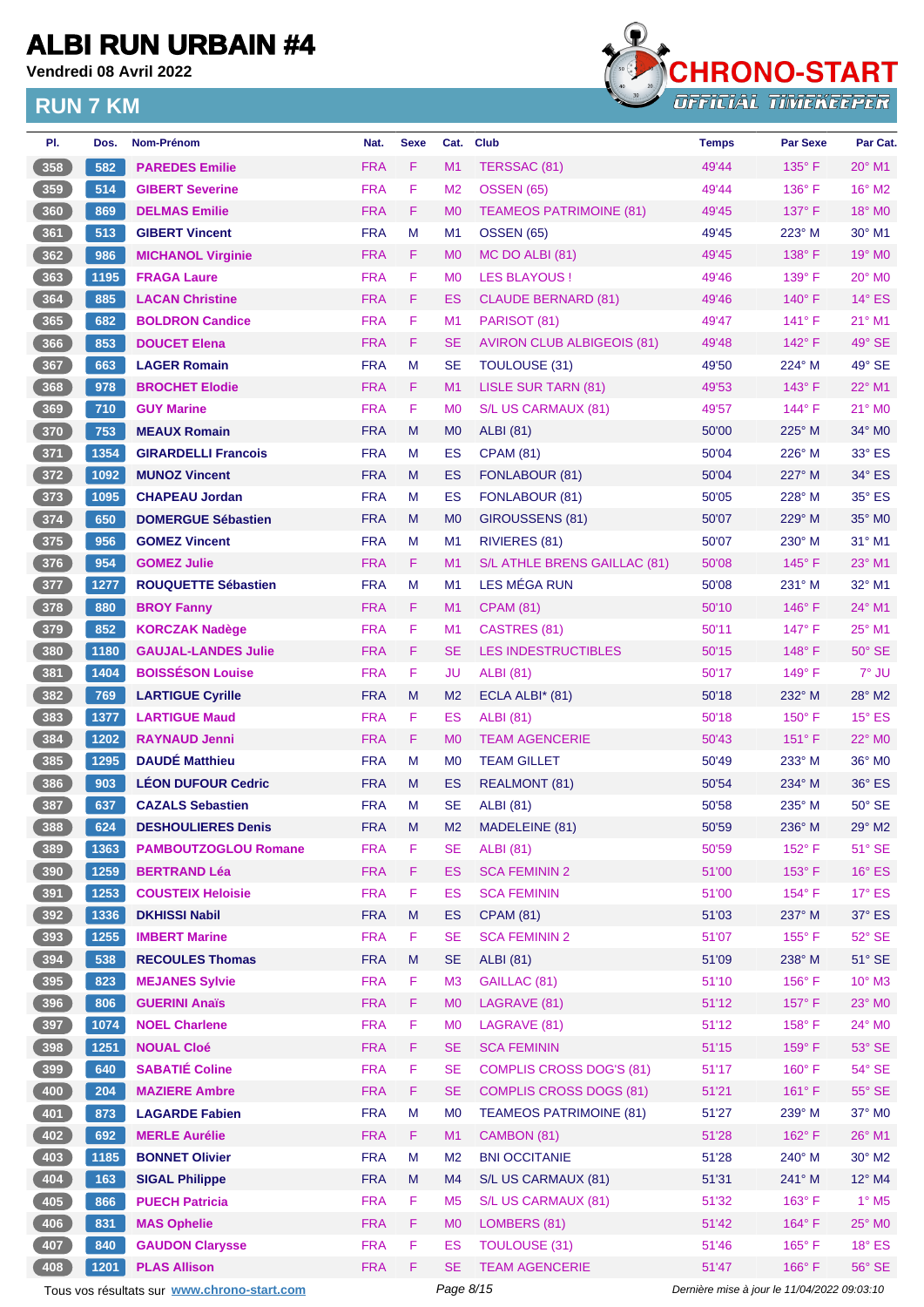**Vendredi 08 Avril 2022**

### **RUN 7 KM**



| PI.             | Dos. | <b>Nom-Prénom</b>           | Nat.       | <b>Sexe</b> | Cat.           | <b>Club</b>                       | <b>Temps</b> | <b>Par Sexe</b> | Par Cat.        |
|-----------------|------|-----------------------------|------------|-------------|----------------|-----------------------------------|--------------|-----------------|-----------------|
| 358             | 582  | <b>PAREDES Emilie</b>       | <b>FRA</b> | F           | M1             | TERSSAC (81)                      | 49'44        | $135^\circ$ F   | $20^\circ$ M1   |
| 359             | 514  | <b>GIBERT Severine</b>      | <b>FRA</b> | F           | M <sub>2</sub> | <b>OSSEN (65)</b>                 | 49'44        | $136^\circ$ F   | 16° M2          |
| 360             | 869  | <b>DELMAS Emilie</b>        | <b>FRA</b> | F.          | M <sub>0</sub> | <b>TEAMEOS PATRIMOINE (81)</b>    | 49'45        | $137^\circ$ F   | 18° MO          |
| 361             | 513  | <b>GIBERT Vincent</b>       | <b>FRA</b> | M           | M <sub>1</sub> | <b>OSSEN (65)</b>                 | 49'45        | 223° M          | 30° M1          |
| 362             | 986  | <b>MICHANOL Virginie</b>    | <b>FRA</b> | F.          | M <sub>0</sub> | MC DO ALBI (81)                   | 49'45        | $138^\circ$ F   | $19^\circ$ MO   |
| 363             | 1195 | <b>FRAGA Laure</b>          | <b>FRA</b> | F           | M <sub>0</sub> | <b>LES BLAYOUS!</b>               | 49'46        | 139° F          | 20° MO          |
| 364             | 885  | <b>LACAN Christine</b>      | <b>FRA</b> | F           | ES             | <b>CLAUDE BERNARD (81)</b>        | 49'46        | $140^\circ$ F   | $14^{\circ}$ ES |
| 365             | 682  | <b>BOLDRON Candice</b>      | <b>FRA</b> | F           | M <sub>1</sub> | PARISOT (81)                      | 49'47        | $141^\circ$ F   | $21^{\circ}$ M1 |
| 366             | 853  | <b>DOUCET Elena</b>         | <b>FRA</b> | F           | <b>SE</b>      | <b>AVIRON CLUB ALBIGEOIS (81)</b> | 49'48        | $142^\circ$ F   | 49° SE          |
| 367             | 663  | <b>LAGER Romain</b>         | <b>FRA</b> | M           | <b>SE</b>      | <b>TOULOUSE (31)</b>              | 49'50        | $224^{\circ}$ M | 49° SE          |
| 368             | 978  | <b>BROCHET Elodie</b>       | <b>FRA</b> | F.          | M <sub>1</sub> | <b>LISLE SUR TARN (81)</b>        | 49'53        | $143^\circ$ F   | 22° M1          |
| 369             | 710  | <b>GUY Marine</b>           | <b>FRA</b> | F           | M <sub>0</sub> | S/L US CARMAUX (81)               | 49'57        | 144°F           | $21^\circ$ MO   |
| 370             | 753  | <b>MEAUX Romain</b>         | <b>FRA</b> | M           | M <sub>0</sub> | <b>ALBI</b> (81)                  | 50'00        | 225° M          | $34^\circ$ MO   |
| 371             | 1354 | <b>GIRARDELLI Francois</b>  | <b>FRA</b> | М           | ES             | <b>CPAM (81)</b>                  | 50'04        | $226^\circ$ M   | 33° ES          |
| $\frac{372}{ }$ | 1092 | <b>MUNOZ Vincent</b>        | <b>FRA</b> | M           | ES             | FONLABOUR (81)                    | 50'04        | 227° M          | 34° ES          |
| $373$           | 1095 | <b>CHAPEAU Jordan</b>       | <b>FRA</b> | M           | ES             | FONLABOUR (81)                    | 50'05        | $228^\circ$ M   | 35° ES          |
| 374             | 650  | <b>DOMERGUE Sébastien</b>   | <b>FRA</b> | M           | M <sub>0</sub> | GIROUSSENS (81)                   | 50'07        | $229^\circ$ M   | 35° MO          |
| $375$           | 956  | <b>GOMEZ Vincent</b>        | <b>FRA</b> | М           | M <sub>1</sub> | RIVIERES (81)                     | 50'07        | $230^\circ$ M   | 31° M1          |
| 376             | 954  | <b>GOMEZ Julie</b>          | <b>FRA</b> | F.          | M <sub>1</sub> | S/L ATHLE BRENS GAILLAC (81)      | 50'08        | $145^\circ$ F   | 23° M1          |
| 377             | 1277 | <b>ROUQUETTE Sébastien</b>  | <b>FRA</b> | M           | M <sub>1</sub> | LES MÉGA RUN                      | 50'08        | 231° M          | 32° M1          |
| 378             | 880  | <b>BROY Fanny</b>           | <b>FRA</b> | F.          | M1             | <b>CPAM (81)</b>                  | 50'10        | $146^\circ$ F   | 24° M1          |
| 379             | 852  | <b>KORCZAK Nadège</b>       | <b>FRA</b> | F.          | M <sub>1</sub> | CASTRES (81)                      | 50'11        | 147° F          | 25° M1          |
| 380             | 1180 | <b>GAUJAL-LANDES Julie</b>  | <b>FRA</b> | F           | <b>SE</b>      | <b>LES INDESTRUCTIBLES</b>        | 50'15        | $148^\circ$ F   | $50^\circ$ SE   |
| 381             | 1404 | <b>BOISSÉSON Louise</b>     | <b>FRA</b> | F           | JU             | <b>ALBI</b> (81)                  | 50'17        | $149^\circ$ F   | 7° JU           |
| 382             | 769  | <b>LARTIGUE Cyrille</b>     | <b>FRA</b> | M           | M <sub>2</sub> | ECLA ALBI* (81)                   | 50'18        | 232° M          | 28° M2          |
| 383             | 1377 | <b>LARTIGUE Maud</b>        | <b>FRA</b> | F           | ES             | <b>ALBI</b> (81)                  | 50'18        | $150^\circ$ F   | $15^\circ$ ES   |
| 384             | 1202 | <b>RAYNAUD Jenni</b>        | <b>FRA</b> | F           | M <sub>0</sub> | <b>TEAM AGENCERIE</b>             | 50'43        | $151^\circ$ F   | $22^\circ$ MO   |
| 385             | 1295 | <b>DAUDÉ Matthieu</b>       | <b>FRA</b> | м           | M <sub>0</sub> | <b>TEAM GILLET</b>                | 50'49        | $233^\circ$ M   | 36° M0          |
| 386             | 903  | <b>LÉON DUFOUR Cedric</b>   | <b>FRA</b> | M           | ES             | <b>REALMONT (81)</b>              | 50'54        | 234° M          | $36^\circ$ ES   |
| 387             | 637  | <b>CAZALS Sebastien</b>     | <b>FRA</b> | M           | <b>SE</b>      | <b>ALBI</b> (81)                  | 50'58        | $235^\circ$ M   | $50^\circ$ SE   |
| 388             | 624  | <b>DESHOULIERES Denis</b>   | <b>FRA</b> | M           | M2             | MADELEINE (81)                    | 50'59        | $236^\circ$ M   | 29° M2          |
| 389             | 1363 | <b>PAMBOUTZOGLOU Romane</b> | <b>FRA</b> | F           | <b>SE</b>      | <b>ALBI</b> (81)                  | 50'59        | 152° F          | $51^\circ$ SE   |
| 390             | 1259 | <b>BERTRAND Léa</b>         | <b>FRA</b> | F           | <b>ES</b>      | <b>SCA FEMININ 2</b>              | 51'00        | $153^\circ$ F   | $16^\circ$ ES   |
| 391             | 1253 | <b>COUSTEIX Heloisie</b>    | <b>FRA</b> | F           | ES             | <b>SCA FEMININ</b>                | 51'00        | 154°F           | $17^\circ$ ES   |
| 392             | 1336 | <b>DKHISSI Nabil</b>        | <b>FRA</b> | M           | <b>ES</b>      | <b>CPAM (81)</b>                  | 51'03        | 237° M          | $37^\circ$ ES   |
| 393             | 1255 | <b>IMBERT Marine</b>        | <b>FRA</b> | F           | <b>SE</b>      | <b>SCA FEMININ 2</b>              | 51'07        | 155°F           | $52^\circ$ SE   |
| 394             | 538  | <b>RECOULES Thomas</b>      | <b>FRA</b> | M           | <b>SE</b>      | <b>ALBI</b> (81)                  | 51'09        | 238° M          | $51^\circ$ SE   |
| 395             | 823  | <b>MEJANES Sylvie</b>       | <b>FRA</b> | F           | M <sub>3</sub> | GAILLAC (81)                      | 51'10        | $156^\circ$ F   | $10^{\circ}$ M3 |
| 396             | 806  | <b>GUERINI Anaïs</b>        | <b>FRA</b> | F           | M <sub>0</sub> | LAGRAVE (81)                      | 51'12        | 157°F           | 23° MO          |
| 397             | 1074 | <b>NOEL Charlene</b>        | <b>FRA</b> | F           | M <sub>0</sub> | LAGRAVE (81)                      | 51'12        | $158^\circ$ F   | 24° MO          |
| $398$           | 1251 | <b>NOUAL Cloé</b>           | <b>FRA</b> | F           | <b>SE</b>      | <b>SCA FEMININ</b>                | 51'15        | $159^\circ$ F   | $53^\circ$ SE   |
| 399             | 640  | <b>SABATIÉ Coline</b>       | <b>FRA</b> | F           | <b>SE</b>      | <b>COMPLIS CROSS DOG'S (81)</b>   | 51'17        | 160°F           | $54^\circ$ SE   |
| 400             | 204  | <b>MAZIERE Ambre</b>        | <b>FRA</b> | F           | <b>SE</b>      | <b>COMPLIS CROSS DOGS (81)</b>    | 51'21        | $161^\circ$ F   | $55^\circ$ SE   |
| 401             | 873  | <b>LAGARDE Fabien</b>       | <b>FRA</b> | M           | M <sub>0</sub> | <b>TEAMEOS PATRIMOINE (81)</b>    | 51'27        | 239° M          | 37° M0          |
| 402             | 692  | <b>MERLE Aurélie</b>        | <b>FRA</b> | F           | M1             | CAMBON (81)                       | 51'28        | 162°F           | 26° M1          |
| 403             | 1185 | <b>BONNET Olivier</b>       | <b>FRA</b> | M           | M <sub>2</sub> | <b>BNI OCCITANIE</b>              | 51'28        | 240° M          | $30^\circ$ M2   |
| 404             | 163  | <b>SIGAL Philippe</b>       | <b>FRA</b> | M           | M4             | S/L US CARMAUX (81)               | 51'31        | 241° M          | 12° M4          |
| 405             | 866  | <b>PUECH Patricia</b>       | <b>FRA</b> | F.          | M <sub>5</sub> | S/L US CARMAUX (81)               | 51'32        | $163^\circ$ F   | $1^\circ$ M5    |
| 406             | 831  | <b>MAS Ophelie</b>          | <b>FRA</b> | F           | <b>MO</b>      | LOMBERS (81)                      | 51'42        | $164^\circ$ F   | 25° MO          |
| 407             | 840  | <b>GAUDON Clarysse</b>      | <b>FRA</b> | F           | ES             | <b>TOULOUSE (31)</b>              | 51'46        | 165°F           | $18^\circ$ ES   |
| 408             | 1201 | <b>PLAS Allison</b>         | <b>FRA</b> | F           | <b>SE</b>      | <b>TEAM AGENCERIE</b>             | 51'47        | $166^\circ$ F   | 56° SE          |

Tous vos résultats sur **[www.chrono-start.com](https://www.chrono-start.com/)** Page 8/15 Page 8/15 Dernière mise à jour le 11/04/2022 09:03:10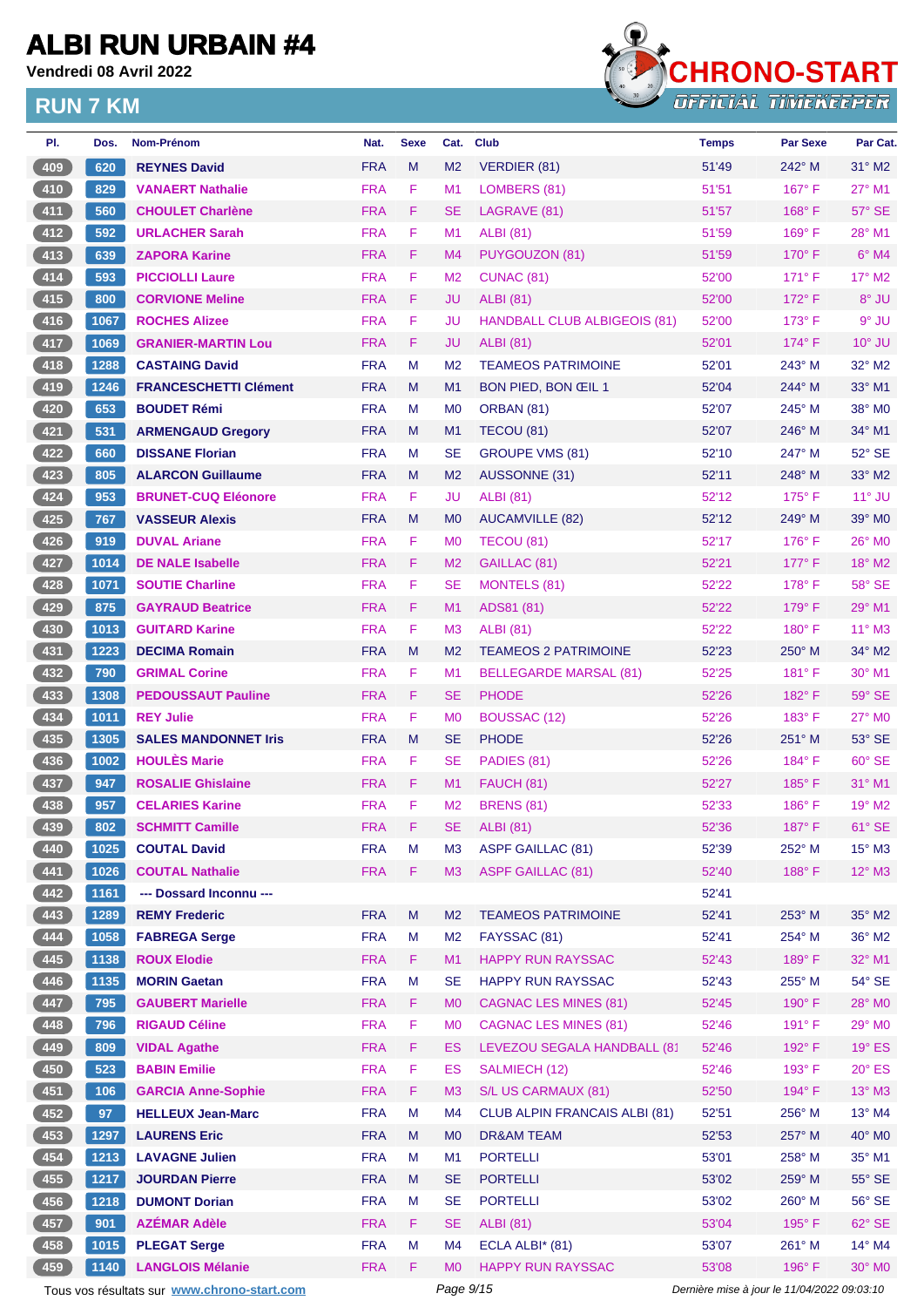**Vendredi 08 Avril 2022**



| PI.             | Dos. | <b>Nom-Prénom</b>                           | Nat.       | <b>Sexe</b> | Cat.           | <b>Club</b>                          | <b>Temps</b>                                | <b>Par Sexe</b> | Par Cat.        |
|-----------------|------|---------------------------------------------|------------|-------------|----------------|--------------------------------------|---------------------------------------------|-----------------|-----------------|
| 409             | 620  | <b>REYNES David</b>                         | <b>FRA</b> | M           | M <sub>2</sub> | VERDIER (81)                         | 51'49                                       | $242^\circ$ M   | $31^\circ$ M2   |
| $410$           | 829  | <b>VANAERT Nathalie</b>                     | <b>FRA</b> | F           | M <sub>1</sub> | LOMBERS (81)                         | 51'51                                       | 167°F           | 27° M1          |
| $411$           | 560  | <b>CHOULET Charlène</b>                     | <b>FRA</b> | F           | <b>SE</b>      | LAGRAVE (81)                         | 51'57                                       | $168^\circ$ F   | $57^\circ$ SE   |
| $412$           | 592  | <b>URLACHER Sarah</b>                       | <b>FRA</b> | F           | M1             | <b>ALBI (81)</b>                     | 51'59                                       | $169^\circ$ F   | 28° M1          |
| 413             | 639  | <b>ZAPORA Karine</b>                        | <b>FRA</b> | F           | M4             | PUYGOUZON (81)                       | 51'59                                       | $170^\circ$ F   | $6°$ M4         |
| 414             | 593  | <b>PICCIOLLI Laure</b>                      | <b>FRA</b> | F           | M <sub>2</sub> | CUNAC <sub>(81)</sub>                | 52'00                                       | $171^\circ$ F   | $17^\circ$ M2   |
| $415$           | 800  | <b>CORVIONE Meline</b>                      | <b>FRA</b> | F           | JU             | <b>ALBI</b> (81)                     | 52'00                                       | $172^\circ$ F   | 8° JU           |
| $416$           | 1067 | <b>ROCHES Alizee</b>                        | <b>FRA</b> | F           | JU             | <b>HANDBALL CLUB ALBIGEOIS (81)</b>  | 52'00                                       | $173^\circ$ F   | $9^\circ$ JU    |
| 417             | 1069 | <b>GRANIER-MARTIN Lou</b>                   | <b>FRA</b> | F           | JU             | <b>ALBI</b> (81)                     | 52'01                                       | 174°F           | $10^{\circ}$ JU |
| 418             | 1288 | <b>CASTAING David</b>                       | <b>FRA</b> | М           | M <sub>2</sub> | <b>TEAMEOS PATRIMOINE</b>            | 52'01                                       | $243^\circ$ M   | 32° M2          |
| $419$           | 1246 | <b>FRANCESCHETTI Clément</b>                | <b>FRA</b> | M           | M1             | BON PIED, BON ŒIL 1                  | 52'04                                       | 244° M          | 33° M1          |
| 420             | 653  | <b>BOUDET Rémi</b>                          | <b>FRA</b> | М           | M <sub>0</sub> | ORBAN (81)                           | 52'07                                       | $245^\circ$ M   | 38° M0          |
| $421$           | 531  | <b>ARMENGAUD Gregory</b>                    | <b>FRA</b> | M           | M1             | TECOU (81)                           | 52'07                                       | $246^\circ$ M   | 34° M1          |
| 422             | 660  | <b>DISSANE Florian</b>                      | <b>FRA</b> | М           | <b>SE</b>      | <b>GROUPE VMS (81)</b>               | 52'10                                       | 247° M          | $52^\circ$ SE   |
| 423             | 805  | <b>ALARCON Guillaume</b>                    | <b>FRA</b> | M           | M <sub>2</sub> | AUSSONNE (31)                        | 52'11                                       | $248^\circ$ M   | $33^\circ$ M2   |
| $424$           | 953  | <b>BRUNET-CUQ Eléonore</b>                  | <b>FRA</b> | F           | JU             | <b>ALBI (81)</b>                     | 52'12                                       | $175^\circ$ F   | $11^\circ$ JU   |
| 425             | 767  | <b>VASSEUR Alexis</b>                       | <b>FRA</b> | M           | M <sub>0</sub> | AUCAMVILLE (82)                      | 52'12                                       | $249^\circ$ M   | $39^\circ$ MO   |
| 426             | 919  | <b>DUVAL Ariane</b>                         | <b>FRA</b> | F.          | M <sub>0</sub> | TECOU (81)                           | 52'17                                       | 176°F           | 26° M0          |
| $\frac{427}{ }$ | 1014 | <b>DE NALE Isabelle</b>                     | <b>FRA</b> | F           | M <sub>2</sub> | GAILLAC (81)                         | 52'21                                       | $177^\circ$ F   | $18^\circ$ M2   |
| 428             | 1071 | <b>SOUTIE Charline</b>                      | <b>FRA</b> | F           | <b>SE</b>      | <b>MONTELS (81)</b>                  | 52'22                                       | $178^\circ$ F   | 58° SE          |
| 429             | 875  | <b>GAYRAUD Beatrice</b>                     | <b>FRA</b> | F.          | M1             | ADS81 (81)                           | 52'22                                       | $179^\circ$ F   | 29° M1          |
|                 |      | <b>GUITARD Karine</b>                       |            | F           |                |                                      |                                             |                 |                 |
| 430             | 1013 |                                             | <b>FRA</b> |             | M <sub>3</sub> | <b>ALBI</b> (81)                     | 52'22                                       | $180^\circ$ F   | 11° M3          |
| $431$           | 1223 | <b>DECIMA Romain</b>                        | <b>FRA</b> | M           | M <sub>2</sub> | <b>TEAMEOS 2 PATRIMOINE</b>          | 52'23                                       | $250^\circ$ M   | $34^\circ$ M2   |
| $432$           | 790  | <b>GRIMAL Corine</b>                        | <b>FRA</b> | F           | M1             | <b>BELLEGARDE MARSAL (81)</b>        | 52'25                                       | $181^\circ$ F   | 30° M1          |
| 433             | 1308 | <b>PEDOUSSAUT Pauline</b>                   | <b>FRA</b> | F.          | <b>SE</b>      | <b>PHODE</b>                         | 52'26                                       | 182°F           | $59^\circ$ SE   |
| 434             | 1011 | <b>REY Julie</b>                            | <b>FRA</b> | F           | M <sub>0</sub> | <b>BOUSSAC (12)</b>                  | 52'26                                       | $183^\circ$ F   | 27° M0          |
| $435$           | 1305 | <b>SALES MANDONNET Iris</b>                 | <b>FRA</b> | M           | <b>SE</b>      | <b>PHODE</b>                         | 52'26                                       | 251° M          | 53° SE          |
| 436             | 1002 | <b>HOULES Marie</b>                         | <b>FRA</b> | F           | <b>SE</b>      | PADIES (81)                          | 52'26                                       | $184^\circ$ F   | 60° SE          |
| 437             | 947  | <b>ROSALIE Ghislaine</b>                    | <b>FRA</b> | F           | M1             | FAUCH (81)                           | 52'27                                       | $185^\circ$ F   | 31° M1          |
| $438$           | 957  | <b>CELARIES Karine</b>                      | <b>FRA</b> | F           | M <sub>2</sub> | <b>BRENS (81)</b>                    | 52'33                                       | $186^\circ$ F   | $19^\circ$ M2   |
| 439             | 802  | <b>SCHMITT Camille</b>                      | <b>FRA</b> | F           | SE             | <b>ALBI</b> (81)                     | 52'36                                       | $187^\circ$ F   | 61° SE          |
| 440             | 1025 | <b>COUTAL David</b>                         | <b>FRA</b> | М           | M <sub>3</sub> | <b>ASPF GAILLAC (81)</b>             | 52'39                                       | 252° M          | $15^{\circ}$ M3 |
| 441             | 1026 | <b>COUTAL Nathalie</b>                      | <b>FRA</b> | F           | M3             | <b>ASPF GAILLAC (81)</b>             | 52'40                                       | 188°F           | $12^{\circ}$ M3 |
| $442$           | 1161 | --- Dossard Inconnu ---                     |            |             |                |                                      | 52'41                                       |                 |                 |
| 443             | 1289 | <b>REMY Frederic</b>                        | <b>FRA</b> | M           | M <sub>2</sub> | <b>TEAMEOS PATRIMOINE</b>            | 52'41                                       | 253° M          | 35° M2          |
| 444             | 1058 | <b>FABREGA Serge</b>                        | <b>FRA</b> | M           | M <sub>2</sub> | FAYSSAC (81)                         | 52'41                                       | 254° M          | $36^\circ$ M2   |
| 445             | 1138 | <b>ROUX Elodie</b>                          | <b>FRA</b> | F.          | M1             | <b>HAPPY RUN RAYSSAC</b>             | 52'43                                       | 189°F           | 32° M1          |
| $446$           | 1135 | <b>MORIN Gaetan</b>                         | <b>FRA</b> | M           | <b>SE</b>      | <b>HAPPY RUN RAYSSAC</b>             | 52'43                                       | 255° M          | 54° SE          |
| 447             | 795  | <b>GAUBERT Marielle</b>                     | <b>FRA</b> | F           | M <sub>0</sub> | <b>CAGNAC LES MINES (81)</b>         | 52'45                                       | 190° F          | 28° M0          |
| 448             | 796  | <b>RIGAUD Céline</b>                        | <b>FRA</b> | $\mathsf F$ | M <sub>0</sub> | <b>CAGNAC LES MINES (81)</b>         | 52'46                                       | 191° F          | 29° MO          |
| 449             | 809  | <b>VIDAL Agathe</b>                         | <b>FRA</b> | F           | <b>ES</b>      | LEVEZOU SEGALA HANDBALL (8'          | 52'46                                       | $192^\circ$ F   | $19^\circ$ ES   |
| 450             | 523  | <b>BABIN Emilie</b>                         | <b>FRA</b> | F           | ES             | SALMIECH (12)                        | 52'46                                       | $193^\circ$ F   | $20^\circ$ ES   |
| 451             | 106  | <b>GARCIA Anne-Sophie</b>                   | <b>FRA</b> | F           | M <sub>3</sub> | S/L US CARMAUX (81)                  | 52'50                                       | 194°F           | 13° M3          |
| $452$           | 97   | <b>HELLEUX Jean-Marc</b>                    | <b>FRA</b> | M           | M4             | <b>CLUB ALPIN FRANCAIS ALBI (81)</b> | 52'51                                       | 256° M          | $13^{\circ}$ M4 |
| 453             | 1297 | <b>LAURENS Eric</b>                         | <b>FRA</b> | M           | M <sub>0</sub> | <b>DR&amp;AM TEAM</b>                | 52'53                                       | 257° M          | 40° M0          |
| 454             | 1213 | <b>LAVAGNE Julien</b>                       | <b>FRA</b> | M           | M1             | <b>PORTELLI</b>                      | 53'01                                       | 258° M          | 35° M1          |
| 455             | 1217 | <b>JOURDAN Pierre</b>                       | <b>FRA</b> | M           | <b>SE</b>      | <b>PORTELLI</b>                      | 53'02                                       | 259° M          | $55^\circ$ SE   |
| 456             | 1218 | <b>DUMONT Dorian</b>                        | <b>FRA</b> | M           | <b>SE</b>      | <b>PORTELLI</b>                      | 53'02                                       | 260° M          | 56° SE          |
| 457             | 901  | <b>AZÉMAR Adèle</b>                         | <b>FRA</b> | F           | <b>SE</b>      | <b>ALBI</b> (81)                     | 53'04                                       | 195°F           | 62° SE          |
| 458             | 1015 | <b>PLEGAT Serge</b>                         | <b>FRA</b> | M           | M4             | ECLA ALBI* (81)                      | 53'07                                       | 261° M          | $14^{\circ}$ M4 |
| 459             | 1140 | <b>LANGLOIS Mélanie</b>                     | <b>FRA</b> | F.          | M <sub>0</sub> | <b>HAPPY RUN RAYSSAC</b>             | 53'08                                       | 196°F           | 30° M0          |
|                 |      | Tous vos résultats sur www.chrono-start.com |            |             | Page 9/15      |                                      | Dernière mise à jour le 11/04/2022 09:03:10 |                 |                 |
|                 |      |                                             |            |             |                |                                      |                                             |                 |                 |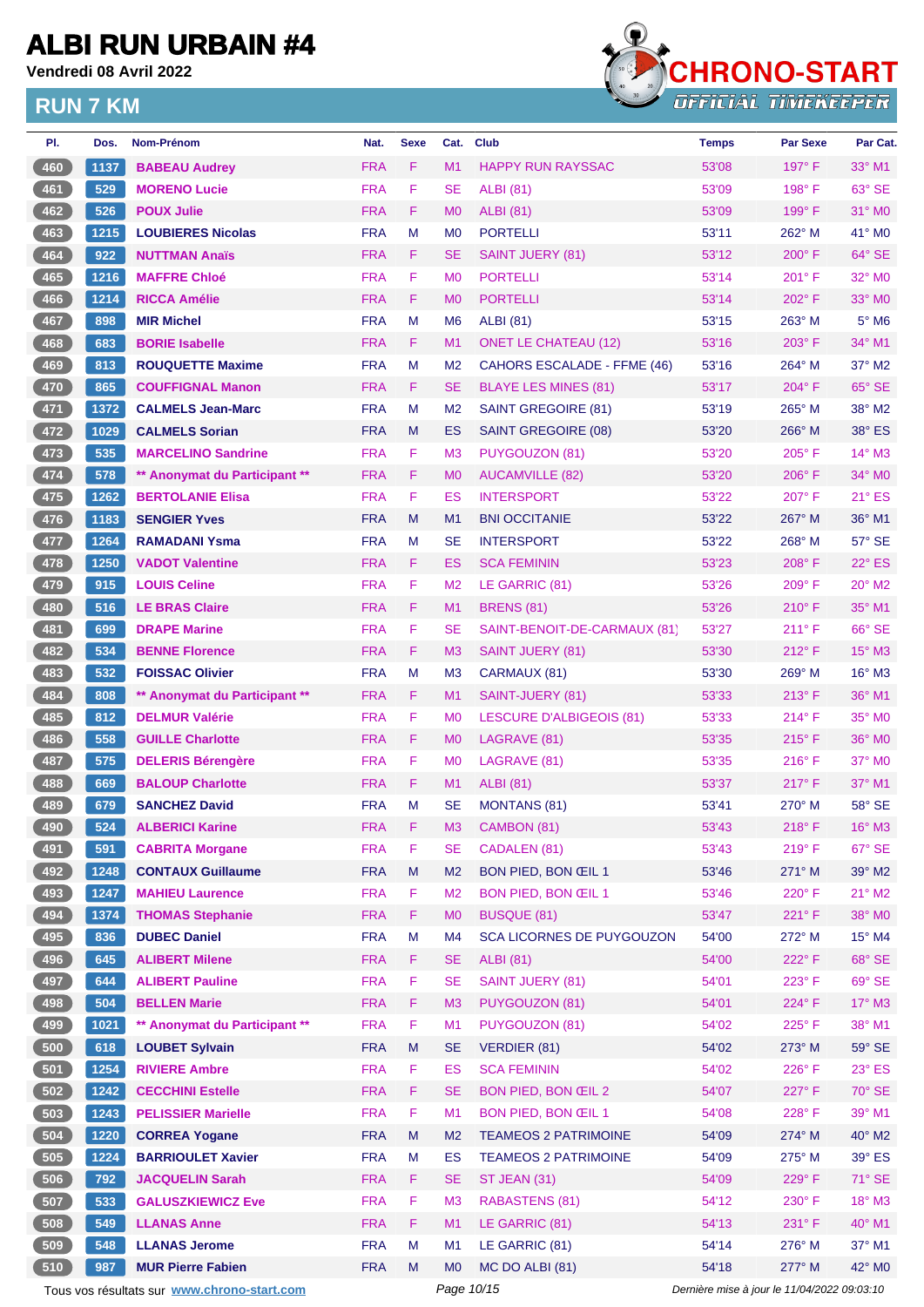**Vendredi 08 Avril 2022**



| PI.   | Dos. | Nom-Prénom                                  | Nat.       | <b>Sexe</b> | Cat.           | <b>Club</b>                      | <b>Temps</b>                                | <b>Par Sexe</b> | Par Cat.        |
|-------|------|---------------------------------------------|------------|-------------|----------------|----------------------------------|---------------------------------------------|-----------------|-----------------|
| 460   | 1137 | <b>BABEAU Audrey</b>                        | <b>FRA</b> | F           | M1             | <b>HAPPY RUN RAYSSAC</b>         | 53'08                                       | $197^\circ$ F   | $33^\circ$ M1   |
| 461   | 529  | <b>MORENO Lucie</b>                         | <b>FRA</b> | F           | <b>SE</b>      | <b>ALBI</b> (81)                 | 53'09                                       | $198^\circ$ F   | 63° SE          |
| 462   | 526  | <b>POUX Julie</b>                           | <b>FRA</b> | F           | M <sub>0</sub> | <b>ALBI</b> (81)                 | 53'09                                       | $199^\circ$ F   | $31^\circ$ MO   |
| 463   | 1215 | <b>LOUBIERES Nicolas</b>                    | <b>FRA</b> | м           | M <sub>0</sub> | <b>PORTELLI</b>                  | 53'11                                       | $262^\circ$ M   | 41° MO          |
| 464   | 922  | <b>NUTTMAN Anaïs</b>                        | <b>FRA</b> | F           | <b>SE</b>      | <b>SAINT JUERY (81)</b>          | 53'12                                       | $200^\circ$ F   | 64° SE          |
| 465   | 1216 | <b>MAFFRE Chloé</b>                         | <b>FRA</b> | F           | M <sub>0</sub> | <b>PORTELLI</b>                  | 53'14                                       | $201^\circ$ F   | 32° M0          |
| 466   | 1214 | <b>RICCA Amélie</b>                         | <b>FRA</b> | F           | M <sub>0</sub> | <b>PORTELLI</b>                  | 53'14                                       | $202^{\circ}$ F | $33^\circ$ MO   |
| 467   | 898  | <b>MIR Michel</b>                           | <b>FRA</b> | M           | M <sub>6</sub> | <b>ALBI</b> (81)                 | 53'15                                       | 263° M          | $5^\circ$ M6    |
| 468   | 683  | <b>BORIE Isabelle</b>                       | <b>FRA</b> | F           | M1             | <b>ONET LE CHATEAU (12)</b>      | 53'16                                       | $203^\circ$ F   | 34° M1          |
| 469   | 813  | <b>ROUQUETTE Maxime</b>                     | <b>FRA</b> | м           | M <sub>2</sub> | CAHORS ESCALADE - FFME (46)      | 53'16                                       | $264^\circ$ M   | 37° M2          |
| 470   | 865  | <b>COUFFIGNAL Manon</b>                     | <b>FRA</b> | F           | <b>SE</b>      | <b>BLAYE LES MINES (81)</b>      | 53'17                                       | $204^\circ$ F   | 65° SE          |
| 471   | 1372 | <b>CALMELS Jean-Marc</b>                    | <b>FRA</b> | м           | M <sub>2</sub> | SAINT GREGOIRE (81)              | 53'19                                       | $265^\circ$ M   | 38° M2          |
| 472   | 1029 | <b>CALMELS Sorian</b>                       | <b>FRA</b> | M           | ES             | SAINT GREGOIRE (08)              | 53'20                                       | $266^\circ$ M   | 38° ES          |
| $473$ | 535  | <b>MARCELINO Sandrine</b>                   | <b>FRA</b> | F           | M <sub>3</sub> | PUYGOUZON (81)                   | 53'20                                       | $205^{\circ}$ F | $14^{\circ}$ M3 |
| 474   | 578  | ** Anonymat du Participant **               | <b>FRA</b> | F           | M <sub>0</sub> | <b>AUCAMVILLE (82)</b>           | 53'20                                       | $206^\circ$ F   | 34° M0          |
| 475   | 1262 | <b>BERTOLANIE Elisa</b>                     | <b>FRA</b> | F           | ES             | <b>INTERSPORT</b>                | 53'22                                       | $207^\circ$ F   | $21^\circ$ ES   |
| 476   | 1183 | <b>SENGIER Yves</b>                         | <b>FRA</b> | M           | M1             | <b>BNI OCCITANIE</b>             | 53'22                                       | 267° M          | 36° M1          |
| 477   | 1264 | <b>RAMADANI Ysma</b>                        | <b>FRA</b> | М           | <b>SE</b>      | <b>INTERSPORT</b>                | 53'22                                       | $268^\circ$ M   | 57° SE          |
| 478   | 1250 | <b>VADOT Valentine</b>                      | <b>FRA</b> | F           | ES             | <b>SCA FEMININ</b>               | 53'23                                       | $208^\circ$ F   | $22^{\circ}$ ES |
| 479   | 915  | <b>LOUIS Celine</b>                         | <b>FRA</b> | F           | M <sub>2</sub> | LE GARRIC (81)                   | 53'26                                       | $209^\circ$ F   | $20^\circ$ M2   |
| 480   | 516  | <b>LE BRAS Claire</b>                       | <b>FRA</b> | F           | M1             | <b>BRENS (81)</b>                | 53'26                                       | $210^{\circ}$ F | 35° M1          |
| 481   | 699  | <b>DRAPE Marine</b>                         | <b>FRA</b> | F           | <b>SE</b>      | SAINT-BENOIT-DE-CARMAUX (81)     | 53'27                                       | 211° F          | 66° SE          |
| 482   | 534  | <b>BENNE Florence</b>                       | <b>FRA</b> | F           | M <sub>3</sub> | SAINT JUERY (81)                 | 53'30                                       | $212^{\circ}$ F | $15^\circ$ M3   |
| 483   | 532  | <b>FOISSAC Olivier</b>                      | <b>FRA</b> | M           | M <sub>3</sub> | CARMAUX (81)                     | 53'30                                       | $269^\circ$ M   | 16° M3          |
| 484   | 808  | ** Anonymat du Participant **               | <b>FRA</b> | F           | M1             | SAINT-JUERY (81)                 | 53'33                                       | $213^\circ$ F   | $36^\circ$ M1   |
| 485   | 812  | <b>DELMUR Valérie</b>                       | <b>FRA</b> | F           | M <sub>0</sub> | LESCURE D'ALBIGEOIS (81)         | 53'33                                       | $214^{\circ}$ F | $35^\circ$ MO   |
| 486   | 558  | <b>GUILLE Charlotte</b>                     | <b>FRA</b> | F           | M <sub>0</sub> | LAGRAVE (81)                     | 53'35                                       | $215^{\circ}$ F | 36° MO          |
| 487   | 575  | <b>DELERIS Bérengère</b>                    | <b>FRA</b> | F           | M <sub>0</sub> | LAGRAVE (81)                     | 53'35                                       | 216° F          | $37^\circ$ MO   |
| 488   | 669  | <b>BALOUP Charlotte</b>                     | <b>FRA</b> | F           | M1             | <b>ALBI</b> (81)                 | 53'37                                       | $217^\circ$ F   | $37^\circ$ M1   |
| 489   | 679  | <b>SANCHEZ David</b>                        | <b>FRA</b> | м           | <b>SE</b>      | MONTANS (81)                     | 53'41                                       | $270^\circ$ M   | $58^\circ$ SE   |
| 490   | 524  | <b>ALBERICI Karine</b>                      | <b>FRA</b> | F           | M <sub>3</sub> | CAMBON (81)                      | 53'43                                       | $218^\circ$ F   | $16^\circ$ M3   |
| 491   | 591  | <b>CABRITA Morgane</b>                      | <b>FRA</b> | F           | <b>SE</b>      | CADALEN (81)                     | 53'43                                       | 219° F          | 67° SE          |
| 492   | 1248 | <b>CONTAUX Guillaume</b>                    | <b>FRA</b> | ${\sf M}$   | M <sub>2</sub> | BON PIED, BON ŒIL 1              | 53'46                                       | 271° M          | 39° M2          |
| 493   | 1247 | <b>MAHIEU Laurence</b>                      | <b>FRA</b> | F           | M <sub>2</sub> | <b>BON PIED, BON ŒIL 1</b>       | 53'46                                       | 220°F           | $21^{\circ}$ M2 |
| 494   | 1374 | <b>THOMAS Stephanie</b>                     | <b>FRA</b> | F.          | M <sub>0</sub> | <b>BUSQUE (81)</b>               | 53'47                                       | 221°F           | 38° MO          |
| 495   | 836  | <b>DUBEC Daniel</b>                         | <b>FRA</b> | M           | M4             | <b>SCA LICORNES DE PUYGOUZON</b> | 54'00                                       | 272° M          | 15° M4          |
| 496   | 645  | <b>ALIBERT Milene</b>                       | <b>FRA</b> | F.          | <b>SE</b>      | <b>ALBI</b> (81)                 | 54'00                                       | 222°F           | 68° SE          |
| 497   | 644  | <b>ALIBERT Pauline</b>                      | <b>FRA</b> | F           | <b>SE</b>      | <b>SAINT JUERY (81)</b>          | 54'01                                       | $223^\circ$ F   | 69° SE          |
| 498   | 504  | <b>BELLEN Marie</b>                         | <b>FRA</b> | F.          | M <sub>3</sub> | PUYGOUZON (81)                   | 54'01                                       | 224°F           | $17^\circ$ M3   |
| 499   | 1021 | ** Anonymat du Participant **               | <b>FRA</b> | F           | M1             | PUYGOUZON (81)                   | 54'02                                       | $225^\circ$ F   | 38° M1          |
| 500   | 618  | <b>LOUBET Sylvain</b>                       | <b>FRA</b> | M           | <b>SE</b>      | VERDIER (81)                     | 54'02                                       | 273° M          | 59° SE          |
| 501   | 1254 | <b>RIVIERE Ambre</b>                        | <b>FRA</b> | F           | ES             | <b>SCA FEMININ</b>               | 54'02                                       | $226^\circ$ F   | $23^\circ$ ES   |
| 502   | 1242 | <b>CECCHINI Estelle</b>                     | <b>FRA</b> | F.          | <b>SE</b>      | BON PIED, BON ŒIL 2              | 54'07                                       | 227°F           | 70° SE          |
| 503   | 1243 | <b>PELISSIER Marielle</b>                   | <b>FRA</b> | F           | M1             | BON PIED, BON ŒIL 1              | 54'08                                       | 228°F           | 39° M1          |
| 504   | 1220 | <b>CORREA Yogane</b>                        | <b>FRA</b> | M           | M <sub>2</sub> | <b>TEAMEOS 2 PATRIMOINE</b>      | 54'09                                       | 274° M          | $40^\circ$ M2   |
| 505   | 1224 | <b>BARRIOULET Xavier</b>                    | <b>FRA</b> | M           | ES             | <b>TEAMEOS 2 PATRIMOINE</b>      | 54'09                                       | 275° M          | 39° ES          |
| 506   | 792  | <b>JACQUELIN Sarah</b>                      | <b>FRA</b> | F.          | <b>SE</b>      | <b>ST JEAN (31)</b>              | 54'09                                       | 229°F           | 71° SE          |
| 507   | 533  | <b>GALUSZKIEWICZ Eve</b>                    | <b>FRA</b> | F           | M <sub>3</sub> | <b>RABASTENS (81)</b>            | 54'12                                       | $230^\circ$ F   | 18° M3          |
| 508   | 549  | <b>LLANAS Anne</b>                          | <b>FRA</b> | F           | M1             | LE GARRIC (81)                   | 54'13                                       | 231° F          | 40° M1          |
| 509   | 548  | <b>LLANAS Jerome</b>                        | <b>FRA</b> | M           | M1             | LE GARRIC (81)                   | 54'14                                       | 276° M          | 37° M1          |
| 510   | 987  | <b>MUR Pierre Fabien</b>                    | <b>FRA</b> | M           | M <sub>0</sub> | MC DO ALBI (81)                  | 54'18                                       | 277° M          | 42° M0          |
|       |      | Tous vos résultats sur www.chrono-start.com |            |             | Page 10/15     |                                  | Dernière mise à jour le 11/04/2022 09:03:10 |                 |                 |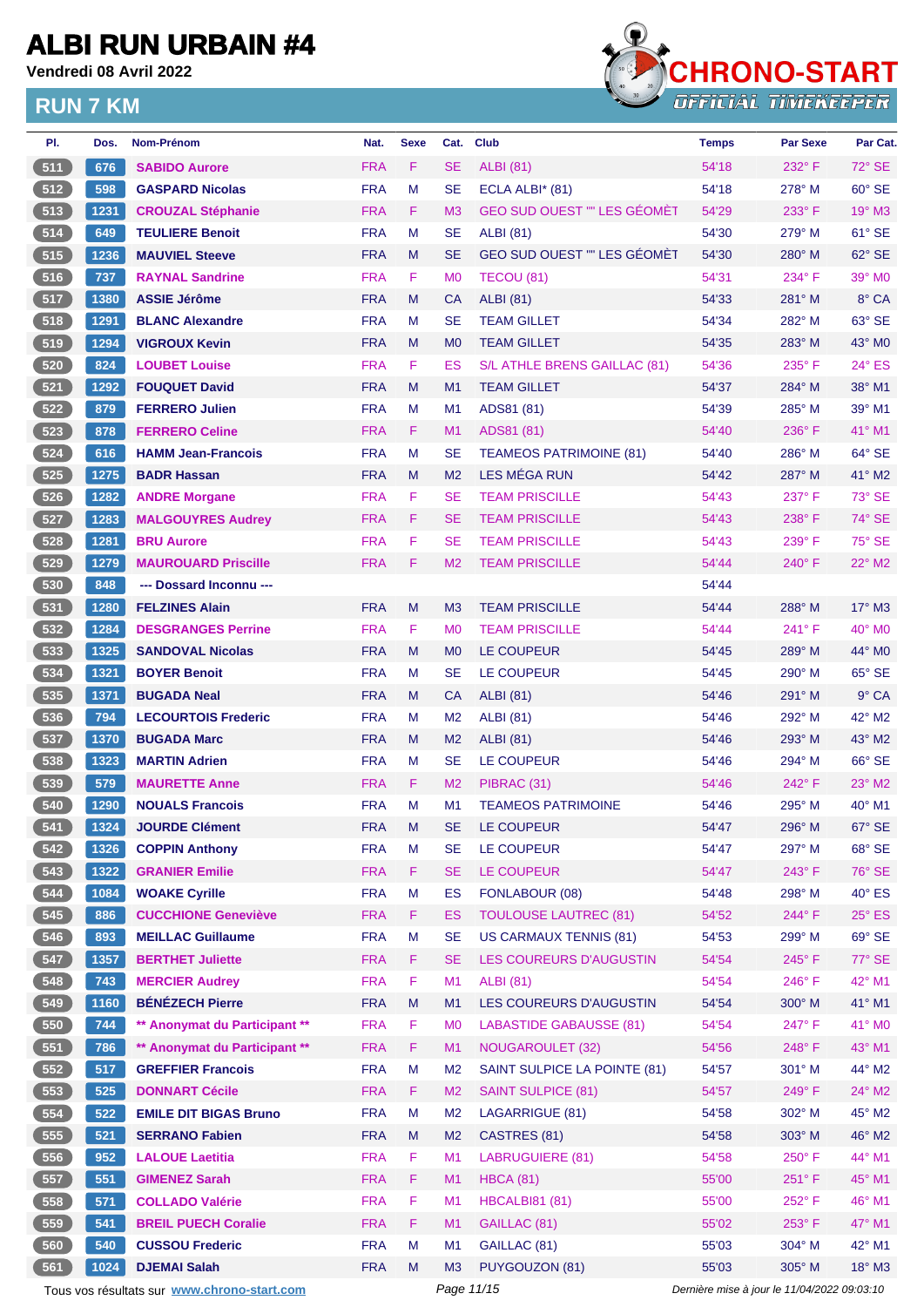**Vendredi 08 Avril 2022**



| PI.           | Dos. | <b>Nom-Prénom</b>                           | Nat.       | <b>Sexe</b> | Cat.           | <b>Club</b>                        | <b>Temps</b>                                | <b>Par Sexe</b> | Par Cat.        |
|---------------|------|---------------------------------------------|------------|-------------|----------------|------------------------------------|---------------------------------------------|-----------------|-----------------|
| 511           | 676  | <b>SABIDO Aurore</b>                        | <b>FRA</b> | F           | <b>SE</b>      | <b>ALBI</b> (81)                   | 54'18                                       | $232^\circ$ F   | 72° SE          |
| 512           | 598  | <b>GASPARD Nicolas</b>                      | <b>FRA</b> | M           | <b>SE</b>      | ECLA ALBI* (81)                    | 54'18                                       | $278^\circ$ M   | 60° SE          |
| 513           | 1231 | <b>CROUZAL Stéphanie</b>                    | <b>FRA</b> | F           | M <sub>3</sub> | <b>GEO SUD OUEST "" LES GÉOMÈT</b> | 54'29                                       | $233^\circ$ F   | $19^\circ$ M3   |
| 514           | 649  | <b>TEULIERE Benoit</b>                      | <b>FRA</b> | M           | SE             | <b>ALBI (81)</b>                   | 54'30                                       | 279° M          | 61° SE          |
| 515           | 1236 | <b>MAUVIEL Steeve</b>                       | <b>FRA</b> | M           | SE             | <b>GEO SUD OUEST "" LES GÉOMÈT</b> | 54'30                                       | $280^\circ$ M   | $62^\circ$ SE   |
| 516           | 737  | <b>RAYNAL Sandrine</b>                      | <b>FRA</b> | F           | M <sub>0</sub> | TECOU (81)                         | 54'31                                       | $234^\circ$ F   | 39° M0          |
| 517           | 1380 | <b>ASSIE Jérôme</b>                         | <b>FRA</b> | M           | СA             | <b>ALBI</b> (81)                   | 54'33                                       | $281^\circ$ M   | 8° CA           |
| 518           | 1291 | <b>BLANC Alexandre</b>                      | <b>FRA</b> | M           | <b>SE</b>      | <b>TEAM GILLET</b>                 | 54'34                                       | 282° M          | 63° SE          |
| 519           | 1294 | <b>VIGROUX Kevin</b>                        | <b>FRA</b> | М           | M <sub>0</sub> | <b>TEAM GILLET</b>                 | 54'35                                       | 283° M          | 43° MO          |
| 520           | 824  | <b>LOUBET Louise</b>                        | <b>FRA</b> | F           | ES             | S/L ATHLE BRENS GAILLAC (81)       | 54'36                                       | $235^\circ$ F   | $24^{\circ}$ ES |
| 521           | 1292 | <b>FOUQUET David</b>                        | <b>FRA</b> | M           | M1             | <b>TEAM GILLET</b>                 | 54'37                                       | 284° M          | 38° M1          |
| 522           | 879  | <b>FERRERO Julien</b>                       | <b>FRA</b> | М           | M1             | ADS81 (81)                         | 54'39                                       | $285^\circ$ M   | 39° M1          |
| 523           | 878  | <b>FERRERO Celine</b>                       | <b>FRA</b> | F           | M1             | ADS81 (81)                         | 54'40                                       | $236^\circ$ F   | 41° M1          |
| 524           | 616  | <b>HAMM Jean-Francois</b>                   | <b>FRA</b> | М           | SE             | <b>TEAMEOS PATRIMOINE (81)</b>     | 54'40                                       | 286° M          | $64^{\circ}$ SE |
| 525           | 1275 | <b>BADR Hassan</b>                          | <b>FRA</b> | M           | M <sub>2</sub> | <b>LES MÉGA RUN</b>                | 54'42                                       | 287° M          | 41° M2          |
| 526           | 1282 | <b>ANDRE Morgane</b>                        | <b>FRA</b> | F           | SE             | <b>TEAM PRISCILLE</b>              | 54'43                                       | $237^\circ$ F   | 73° SE          |
| 527           | 1283 | <b>MALGOUYRES Audrey</b>                    | <b>FRA</b> | F.          | <b>SE</b>      | <b>TEAM PRISCILLE</b>              | 54'43                                       | $238^\circ$ F   | 74° SE          |
| 528           | 1281 | <b>BRU Aurore</b>                           | <b>FRA</b> | F           | SЕ             | <b>TEAM PRISCILLE</b>              | 54'43                                       | $239^\circ$ F   | 75° SE          |
| 529           | 1279 | <b>MAUROUARD Priscille</b>                  | <b>FRA</b> | F           | M <sub>2</sub> | <b>TEAM PRISCILLE</b>              | 54'44                                       | $240^\circ$ F   | 22° M2          |
| 530           | 848  | --- Dossard Inconnu ---                     |            |             |                |                                    | 54'44                                       |                 |                 |
| $-531$        | 1280 | <b>FELZINES Alain</b>                       | <b>FRA</b> | M           | M <sub>3</sub> | <b>TEAM PRISCILLE</b>              | 54'44                                       | 288° M          | $17^\circ$ M3   |
| $\boxed{532}$ | 1284 | <b>DESGRANGES Perrine</b>                   | <b>FRA</b> | F           | M0             | <b>TEAM PRISCILLE</b>              | 54'44                                       | 241°F           | 40° M0          |
| 533           | 1325 | <b>SANDOVAL Nicolas</b>                     | <b>FRA</b> | M           | M <sub>0</sub> | LE COUPEUR                         | 54'45                                       | 289° M          | 44° MO          |
| 534           | 1321 | <b>BOYER Benoit</b>                         | <b>FRA</b> | М           | SE             | <b>LE COUPEUR</b>                  | 54'45                                       | $290^\circ$ M   | 65° SE          |
| $535$         | 1371 | <b>BUGADA Neal</b>                          | <b>FRA</b> | М           | СA             | <b>ALBI</b> (81)                   | 54'46                                       | 291° M          | $9^\circ$ CA    |
| 536           | 794  | <b>LECOURTOIS Frederic</b>                  | <b>FRA</b> | М           | M <sub>2</sub> | <b>ALBI</b> (81)                   | 54'46                                       | 292° M          | 42° M2          |
| 537           | 1370 | <b>BUGADA Marc</b>                          | <b>FRA</b> | M           | M <sub>2</sub> | ALBI (81)                          | 54'46                                       | 293° M          | 43° M2          |
| 538           | 1323 | <b>MARTIN Adrien</b>                        | <b>FRA</b> | M           | <b>SE</b>      | <b>LE COUPEUR</b>                  | 54'46                                       | $294^\circ$ M   | 66° SE          |
| $539$         | 579  | <b>MAURETTE Anne</b>                        | <b>FRA</b> | F           | M <sub>2</sub> | PIBRAC (31)                        | 54'46                                       | $242^{\circ}$ F | $23^\circ$ M2   |
| 540           | 1290 | <b>NOUALS Francois</b>                      | <b>FRA</b> | M           | M1             | <b>TEAMEOS PATRIMOINE</b>          | 54'46                                       | 295° M          | $40^{\circ}$ M1 |
| 541           | 1324 | <b>JOURDE Clément</b>                       | <b>FRA</b> | M           | SE.            | <b>LE COUPEUR</b>                  | 54'47                                       | 296° M          | 67° SE          |
| 542           | 1326 | <b>COPPIN Anthony</b>                       | <b>FRA</b> | M           | SE             | LE COUPEUR                         | 54'47                                       | 297° M          | 68° SE          |
| 543           | 1322 | <b>GRANIER Emilie</b>                       | <b>FRA</b> | F           | SE             | LE COUPEUR                         | 54'47                                       | 243° F          | 76° SE          |
| 544           | 1084 | <b>WOAKE Cyrille</b>                        | <b>FRA</b> | M           | ES             | FONLABOUR (08)                     | 54'48                                       | 298° M          | 40° ES          |
| 545           | 886  | <b>CUCCHIONE Geneviève</b>                  | <b>FRA</b> | F.          | <b>ES</b>      | <b>TOULOUSE LAUTREC (81)</b>       | 54'52                                       | 244°F           | 25° ES          |
| 546           | 893  | <b>MEILLAC Guillaume</b>                    | <b>FRA</b> | M           | <b>SE</b>      | <b>US CARMAUX TENNIS (81)</b>      | 54'53                                       | 299° M          | 69° SE          |
| 547           | 1357 | <b>BERTHET Juliette</b>                     | <b>FRA</b> | F           | SE             | LES COUREURS D'AUGUSTIN            | 54'54                                       | 245°F           | 77° SE          |
| 548           | 743  | <b>MERCIER Audrey</b>                       | <b>FRA</b> | F           | M1             | <b>ALBI</b> (81)                   | 54'54                                       | 246°F           | 42° M1          |
| 549           | 1160 | <b>BÉNÉZECH Pierre</b>                      | <b>FRA</b> | M           | M1             | LES COUREURS D'AUGUSTIN            | 54'54                                       | 300° M          | 41° M1          |
| 550           | 744  | ** Anonymat du Participant **               | <b>FRA</b> | F           | M <sub>0</sub> | <b>LABASTIDE GABAUSSE (81)</b>     | 54'54                                       | 247°F           | 41° MO          |
| 551           | 786  | ** Anonymat du Participant **               | <b>FRA</b> | F           | M1             | <b>NOUGAROULET (32)</b>            | 54'56                                       | 248°F           | 43° M1          |
| 552           | 517  | <b>GREFFIER Francois</b>                    | <b>FRA</b> | M           | M2             | SAINT SULPICE LA POINTE (81)       | 54'57                                       | 301° M          | 44° M2          |
| 553           | 525  | <b>DONNART Cécile</b>                       | <b>FRA</b> | F           | M <sub>2</sub> | <b>SAINT SULPICE (81)</b>          | 54'57                                       | 249°F           | 24° M2          |
| 554           | 522  | <b>EMILE DIT BIGAS Bruno</b>                | <b>FRA</b> | M           | M2             | LAGARRIGUE (81)                    | 54'58                                       | 302° M          | 45° M2          |
| 555           | 521  | <b>SERRANO Fabien</b>                       | <b>FRA</b> | M           | M <sub>2</sub> | CASTRES (81)                       | 54'58                                       | 303° M          | 46° M2          |
| 556           | 952  | <b>LALOUE Laetitia</b>                      | <b>FRA</b> | F           | M1             | <b>LABRUGUIERE (81)</b>            | 54'58                                       | 250°F           | 44° M1          |
| 557           | 551  | <b>GIMENEZ Sarah</b>                        | <b>FRA</b> | F.          | M1             | <b>HBCA (81)</b>                   | 55'00                                       | 251°F           | 45° M1          |
| 558           | 571  | <b>COLLADO Valérie</b>                      | <b>FRA</b> | F           | M1             | <b>HBCALBI81 (81)</b>              | 55'00                                       | 252°F           | 46° M1          |
| 559           | 541  | <b>BREIL PUECH Coralie</b>                  | <b>FRA</b> | F           | M1             | GAILLAC (81)                       | 55'02                                       | 253°F           | 47° M1          |
| 560           | 540  | <b>CUSSOU Frederic</b>                      | <b>FRA</b> | М           | M1             | GAILLAC (81)                       | 55'03                                       | 304° M          | 42° M1          |
| 561           | 1024 | <b>DJEMAI Salah</b>                         | <b>FRA</b> | M           | M3             | PUYGOUZON (81)                     | 55'03                                       | 305° M          | $18^\circ$ M3   |
|               |      | Tous vos résultats sur www.chrono-start.com |            |             | Page 11/15     |                                    | Dernière mise à jour le 11/04/2022 09:03:10 |                 |                 |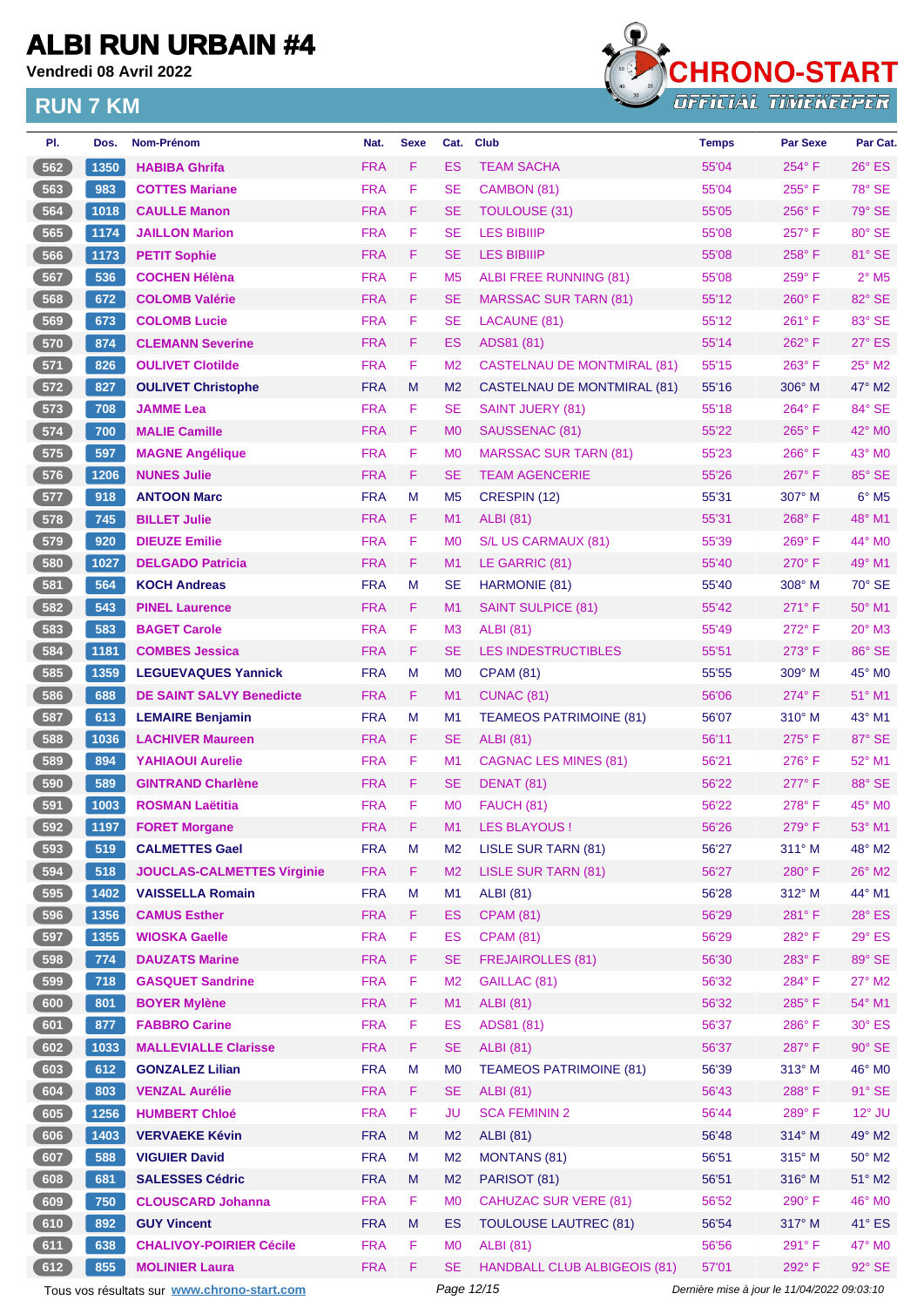**Vendredi 08 Avril 2022**

### **RUN 7 KM**



| PI.   | Dos.  | Nom-Prénom                        | Nat.       | <b>Sexe</b> | Cat.           | <b>Club</b>                         | <b>Temps</b> | <b>Par Sexe</b> | Par Cat.                   |
|-------|-------|-----------------------------------|------------|-------------|----------------|-------------------------------------|--------------|-----------------|----------------------------|
| 562   | 1350  | <b>HABIBA Ghrifa</b>              | <b>FRA</b> | F           | <b>ES</b>      | <b>TEAM SACHA</b>                   | 55'04        | 254°F           | $26^\circ$ ES              |
| 563   | 983   | <b>COTTES Mariane</b>             | <b>FRA</b> | F           | <b>SE</b>      | CAMBON (81)                         | 55'04        | $255^{\circ}$ F | $78^\circ$ SE              |
| 564   | 1018  | <b>CAULLE Manon</b>               | <b>FRA</b> | F.          | <b>SE</b>      | <b>TOULOUSE (31)</b>                | 55'05        | $256^{\circ}$ F | 79° SE                     |
| 565   | 1174  | <b>JAILLON Marion</b>             | <b>FRA</b> | F           | <b>SE</b>      | <b>LES BIBIIIP</b>                  | 55'08        | $257^\circ$ F   | 80° SE                     |
| 566   | 1173  | <b>PETIT Sophie</b>               | <b>FRA</b> | F.          | <b>SE</b>      | <b>LES BIBIIIP</b>                  | 55'08        | $258^{\circ}$ F | 81° SE                     |
| 567   | 536   | <b>COCHEN Hélèna</b>              | <b>FRA</b> | F           | M <sub>5</sub> | ALBI FREE RUNNING (81)              | 55'08        | 259°F           | $2°$ M <sub>5</sub>        |
| 568   | 672   | <b>COLOMB Valérie</b>             | <b>FRA</b> | F           | <b>SE</b>      | <b>MARSSAC SUR TARN (81)</b>        | 55'12        | $260^\circ$ F   | 82° SE                     |
| 569   | 673   | <b>COLOMB Lucie</b>               | <b>FRA</b> | F           | <b>SE</b>      | LACAUNE (81)                        | 55'12        | $261^\circ$ F   | 83° SE                     |
| 570   | 874   | <b>CLEMANN Severine</b>           | <b>FRA</b> | F           | ES             | ADS81 (81)                          | 55'14        | $262^{\circ}$ F | $27^\circ$ ES              |
| 571   | 826   | <b>OULIVET Clotilde</b>           | <b>FRA</b> | F.          | M <sub>2</sub> | <b>CASTELNAU DE MONTMIRAL (81)</b>  | 55'15        | $263^\circ$ F   | 25° M2                     |
| 572   | 827   | <b>OULIVET Christophe</b>         | <b>FRA</b> | M           | M <sub>2</sub> | CASTELNAU DE MONTMIRAL (81)         | 55'16        | $306^\circ$ M   | $47^\circ$ M2              |
| $573$ | 708   | <b>JAMME Lea</b>                  | <b>FRA</b> | F           | <b>SE</b>      | SAINT JUERY (81)                    | 55'18        | $264^\circ$ F   | 84° SE                     |
| 574   | 700   | <b>MALIE Camille</b>              | <b>FRA</b> | F.          | M <sub>0</sub> | SAUSSENAC (81)                      | 55'22        | $265^{\circ}$ F | $42^{\circ}$ MO            |
| 575   | 597   | <b>MAGNE Angélique</b>            | <b>FRA</b> | F           | M <sub>0</sub> | <b>MARSSAC SUR TARN (81)</b>        | 55'23        | $266^\circ$ F   | 43° MO                     |
| 576   | 1206  | <b>NUNES Julie</b>                | <b>FRA</b> | F           | <b>SE</b>      | <b>TEAM AGENCERIE</b>               | 55'26        | $267^\circ$ F   | 85° SE                     |
| 577   | 918   | <b>ANTOON Marc</b>                | <b>FRA</b> | М           | M <sub>5</sub> | CRESPIN (12)                        | 55'31        | $307^\circ$ M   | $6^{\circ}$ M <sub>5</sub> |
| 578   | 745   | <b>BILLET Julie</b>               | <b>FRA</b> | F           | M1             | <b>ALBI</b> (81)                    | 55'31        | $268^\circ$ F   | 48° M1                     |
| $579$ | 920   | <b>DIEUZE Emilie</b>              | <b>FRA</b> | F           | M <sub>0</sub> | S/L US CARMAUX (81)                 | 55'39        | $269^\circ$ F   | 44° MO                     |
| 580   | 1027  | <b>DELGADO Patricia</b>           | <b>FRA</b> | F           | M <sub>1</sub> | LE GARRIC (81)                      | 55'40        | $270^\circ$ F   | $49°$ M1                   |
| 581   | 564   | <b>KOCH Andreas</b>               | <b>FRA</b> | М           | <b>SE</b>      | HARMONIE (81)                       | 55'40        | $308^\circ$ M   | $70^\circ$ SE              |
| 582   | 543   | <b>PINEL Laurence</b>             | <b>FRA</b> | F.          | M1             | <b>SAINT SULPICE (81)</b>           | 55'42        | $271^\circ$ F   | 50° M1                     |
| 583   | 583   | <b>BAGET Carole</b>               | <b>FRA</b> | F           | M <sub>3</sub> | <b>ALBI</b> (81)                    | 55'49        | $272^{\circ}$ F | 20° M3                     |
| 584   | 1181  | <b>COMBES Jessica</b>             | <b>FRA</b> | F           | <b>SE</b>      | <b>LES INDESTRUCTIBLES</b>          | 55'51        | $273^\circ$ F   | 86° SE                     |
| 585   | 1359  | <b>LEGUEVAQUES Yannick</b>        | <b>FRA</b> | М           | M0             | <b>CPAM (81)</b>                    | 55'55        | $309^\circ$ M   | 45° M <sub>0</sub>         |
| 586   | 688   | <b>DE SAINT SALVY Benedicte</b>   | <b>FRA</b> | F.          | M1             | <b>CUNAC (81)</b>                   | 56'06        | $274^\circ$ F   | 51° M1                     |
| 587   | 613   | <b>LEMAIRE Benjamin</b>           | <b>FRA</b> | М           | M1             | <b>TEAMEOS PATRIMOINE (81)</b>      | 56'07        | $310^\circ$ M   | 43° M1                     |
| 588   | 1036  | <b>LACHIVER Maureen</b>           | <b>FRA</b> | F.          | <b>SE</b>      | <b>ALBI</b> (81)                    | 56'11        | $275^{\circ}$ F | 87° SE                     |
| 589   | 894   | <b>YAHIAOUI Aurelie</b>           | <b>FRA</b> | F.          | M1             | <b>CAGNAC LES MINES (81)</b>        | 56'21        | $276^\circ$ F   | 52° M1                     |
| (590  | 589   | <b>GINTRAND Charlène</b>          | <b>FRA</b> | F           | <b>SE</b>      | DENAT (81)                          | 56'22        | $277^\circ$ F   | 88° SE                     |
| 591   | 1003  | <b>ROSMAN Laëtitia</b>            | <b>FRA</b> | F           | M <sub>0</sub> | FAUCH (81)                          | 56'22        | $278^\circ$ F   | 45° M0                     |
| (592) | 1197  | <b>FORET Morgane</b>              | <b>FRA</b> | F           | M1             | LES BLAYOUS!                        | 56'26        | 279°F           | 53° M1                     |
| 593   | 519   | <b>CALMETTES Gael</b>             | <b>FRA</b> | M           | M <sub>2</sub> | LISLE SUR TARN (81)                 | 56'27        | $311^\circ$ M   | 48° M2                     |
| 594   | 518   | <b>JOUCLAS-CALMETTES Virginie</b> | <b>FRA</b> | F.          | M <sub>2</sub> | <b>LISLE SUR TARN (81)</b>          | 56'27        | 280°F           | $26^\circ$ M2              |
| 595   | 1402  | <b>VAISSELLA Romain</b>           | <b>FRA</b> | М           | M1             | <b>ALBI</b> (81)                    | 56'28        | 312° M          | 44° M1                     |
| 596   | 1356  | <b>CAMUS Esther</b>               | <b>FRA</b> | F.          | <b>ES</b>      | <b>CPAM (81)</b>                    | 56'29        | 281°F           | $28^\circ$ ES              |
| 597   | 1355  | <b>WIOSKA Gaelle</b>              | <b>FRA</b> | F           | <b>ES</b>      | <b>CPAM (81)</b>                    | 56'29        | 282°F           | $29^\circ$ ES              |
| 598   | $774$ | <b>DAUZATS Marine</b>             | <b>FRA</b> | F           | <b>SE</b>      | <b>FREJAIROLLES (81)</b>            | 56'30        | 283°F           | 89° SE                     |
| 599   | 718   | <b>GASQUET Sandrine</b>           | <b>FRA</b> | F           | M <sub>2</sub> | GAILLAC (81)                        | 56'32        | 284°F           | $27^\circ$ M2              |
| 600   | 801   | <b>BOYER Mylène</b>               | <b>FRA</b> | F           | M1             | <b>ALBI</b> (81)                    | 56'32        | 285°F           | 54° M1                     |
| 601   | 877   | <b>FABBRO Carine</b>              | <b>FRA</b> | F           | <b>ES</b>      | ADS81 (81)                          | 56'37        | 286°F           | $30^\circ$ ES              |
| 602   | 1033  | <b>MALLEVIALLE Clarisse</b>       | <b>FRA</b> | F.          | <b>SE</b>      | <b>ALBI</b> (81)                    | 56'37        | 287°F           | $90^\circ$ SE              |
| 603   | 612   | <b>GONZALEZ Lilian</b>            | <b>FRA</b> | M           | M <sub>0</sub> | <b>TEAMEOS PATRIMOINE (81)</b>      | 56'39        | $313^\circ$ M   | 46° MO                     |
| 604   | 803   | <b>VENZAL Aurélie</b>             | <b>FRA</b> | F.          | <b>SE</b>      | <b>ALBI</b> (81)                    | 56'43        | 288°F           | $91^\circ$ SE              |
| 605   | 1256  | <b>HUMBERT Chloé</b>              | <b>FRA</b> | F.          | <b>JU</b>      | <b>SCA FEMININ 2</b>                | 56'44        | 289°F           | $12^{\circ}$ JU            |
| 606   | 1403  | <b>VERVAEKE Kévin</b>             | <b>FRA</b> | M           | M <sub>2</sub> | <b>ALBI</b> (81)                    | 56'48        | 314° M          | 49° M2                     |
| 607   | 588   | <b>VIGUIER David</b>              | <b>FRA</b> | М           | M <sub>2</sub> | <b>MONTANS (81)</b>                 | 56'51        | $315^\circ$ M   | $50^\circ$ M2              |
| 608   | 681   | <b>SALESSES Cédric</b>            | <b>FRA</b> | Μ           | M <sub>2</sub> | PARISOT (81)                        | 56'51        | 316° M          | $51^\circ$ M2              |
| 609   | 750   | <b>CLOUSCARD Johanna</b>          | <b>FRA</b> | F           | M <sub>0</sub> | <b>CAHUZAC SUR VERE (81)</b>        | 56'52        | 290°F           | 46° MO                     |
| 610   | 892   | <b>GUY Vincent</b>                | <b>FRA</b> | M           | <b>ES</b>      | <b>TOULOUSE LAUTREC (81)</b>        | 56'54        | 317° M          | $41^\circ$ ES              |
| 611   | 638   | <b>CHALIVOY-POIRIER Cécile</b>    | <b>FRA</b> | F           | M <sub>0</sub> | <b>ALBI</b> (81)                    | 56'56        | 291°F           | 47° MO                     |
| 612   | 855   | <b>MOLINIER Laura</b>             | <b>FRA</b> | F.          | <b>SE</b>      | <b>HANDBALL CLUB ALBIGEOIS (81)</b> | 57'01        | 292°F           | $92^\circ$ SE              |

Tous vos résultats sur **[www.chrono-start.com](https://www.chrono-start.com/)** Page 12/15 Page 12/15 Dernière mise à jour le 11/04/2022 09:03:10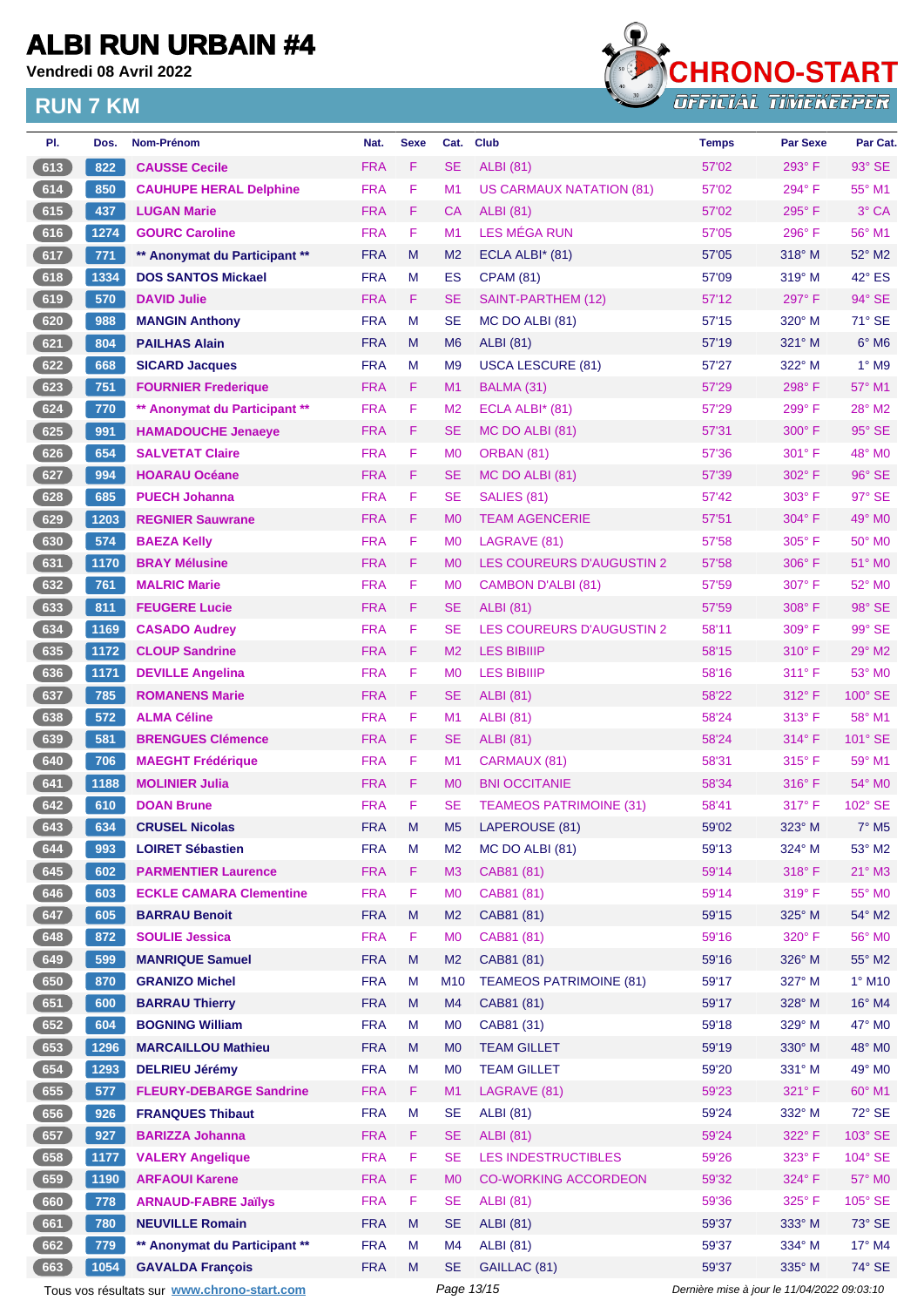**Vendredi 08 Avril 2022**



| PI.    | Dos. | <b>Nom-Prénom</b>                           | Nat.       | <b>Sexe</b> | Cat.           | <b>Club</b>                      | <b>Temps</b>                                | <b>Par Sexe</b> | Par Cat.                 |  |
|--------|------|---------------------------------------------|------------|-------------|----------------|----------------------------------|---------------------------------------------|-----------------|--------------------------|--|
| 613    | 822  | <b>CAUSSE Cecile</b>                        | <b>FRA</b> | F           | <b>SE</b>      | <b>ALBI</b> (81)                 | 57'02                                       | 293° F          | 93° SE                   |  |
| 614    | 850  | <b>CAUHUPE HERAL Delphine</b>               | <b>FRA</b> | F           | M <sub>1</sub> | <b>US CARMAUX NATATION (81)</b>  | 57'02                                       | 294°F           | 55° M1                   |  |
| 615    | 437  | <b>LUGAN Marie</b>                          | <b>FRA</b> | F.          | CA             | <b>ALBI</b> (81)                 | 57'02                                       | 295°F           | 3° CA                    |  |
| 616    | 1274 | <b>GOURC Caroline</b>                       | <b>FRA</b> | F           | M1             | <b>LES MÉGA RUN</b>              | 57'05                                       | 296°F           | 56° M1                   |  |
| 617    | 771  | ** Anonymat du Participant **               | <b>FRA</b> | M           | M <sub>2</sub> | ECLA ALBI* (81)                  | 57'05                                       | 318° M          | 52° M2                   |  |
| 618    | 1334 | <b>DOS SANTOS Mickael</b>                   | <b>FRA</b> | M           | ES             | <b>CPAM (81)</b>                 | 57'09                                       | $319^\circ$ M   | 42° ES                   |  |
| 619    | 570  | <b>DAVID Julie</b>                          | <b>FRA</b> | F.          | <b>SE</b>      | SAINT-PARTHEM (12)               | 57'12                                       | 297°F           | 94° SE                   |  |
| 620    | 988  | <b>MANGIN Anthony</b>                       | <b>FRA</b> | М           | <b>SE</b>      | MC DO ALBI (81)                  | 57'15                                       | $320^\circ$ M   | 71° SE                   |  |
| 621    | 804  | <b>PAILHAS Alain</b>                        | <b>FRA</b> | M           | M <sub>6</sub> | <b>ALBI</b> (81)                 | 57'19                                       | 321° M          | $6^\circ$ M6             |  |
| 622    | 668  | <b>SICARD Jacques</b>                       | <b>FRA</b> | М           | M <sub>9</sub> | USCA LESCURE (81)                | 57'27                                       | 322° M          | $1^\circ$ M9             |  |
| 623    | 751  | <b>FOURNIER Frederique</b>                  | <b>FRA</b> | F           | M1             | BALMA (31)                       | 57'29                                       | $298^\circ$ F   | 57° M1                   |  |
| $624$  | 770  | ** Anonymat du Participant **               | <b>FRA</b> | F           | M <sub>2</sub> | ECLA ALBI $*$ (81)               | 57'29                                       | 299°F           | $28^\circ$ M2            |  |
| 625    | 991  | <b>HAMADOUCHE Jenaeye</b>                   | <b>FRA</b> | F           | <b>SE</b>      | MC DO ALBI (81)                  | 57'31                                       | $300^\circ$ F   | 95° SE                   |  |
| 626    | 654  | <b>SALVETAT Claire</b>                      | <b>FRA</b> | F           | M <sub>0</sub> | ORBAN (81)                       | 57'36                                       | 301° F          | 48° M0                   |  |
| 627    | 994  | <b>HOARAU Océane</b>                        | <b>FRA</b> | F           | <b>SE</b>      | MC DO ALBI (81)                  | 57'39                                       | $302^{\circ}$ F | 96° SE                   |  |
| 628    | 685  | <b>PUECH Johanna</b>                        | <b>FRA</b> | F           | <b>SE</b>      | SALIES (81)                      | 57'42                                       | $303^\circ$ F   | 97° SE                   |  |
| 629    | 1203 | <b>REGNIER Sauwrane</b>                     | <b>FRA</b> | F.          | M <sub>0</sub> | <b>TEAM AGENCERIE</b>            | 57'51                                       | 304° F          | 49° M0                   |  |
| 630    | 574  | <b>BAEZA Kelly</b>                          | <b>FRA</b> | F           | M <sub>0</sub> | LAGRAVE (81)                     | 57'58                                       | $305^{\circ}$ F | $50^\circ$ MO            |  |
| 631    | 1170 | <b>BRAY Mélusine</b>                        | <b>FRA</b> | F           | M <sub>0</sub> | <b>LES COUREURS D'AUGUSTIN 2</b> | 57'58                                       | $306^\circ$ F   | 51° MO                   |  |
| 632    | 761  | <b>MALRIC Marie</b>                         | <b>FRA</b> | F           | M <sub>0</sub> | CAMBON D'ALBI (81)               | 57'59                                       | $307^\circ$ F   | 52° M <sub>0</sub>       |  |
| 633    | 811  | <b>FEUGERE Lucie</b>                        | <b>FRA</b> | F.          | <b>SE</b>      | <b>ALBI</b> (81)                 | 57'59                                       | 308°F           | $98^\circ$ SE            |  |
| 634    | 1169 | <b>CASADO Audrey</b>                        | <b>FRA</b> | F           | <b>SE</b>      | <b>LES COUREURS D'AUGUSTIN 2</b> | 58'11                                       | 309° F          | 99° SE                   |  |
| 635    | 1172 | <b>CLOUP Sandrine</b>                       | <b>FRA</b> | F           | M <sub>2</sub> | <b>LES BIBIIIP</b>               | 58'15                                       | $310^\circ$ F   | 29° M2                   |  |
| 636    | 1171 | <b>DEVILLE Angelina</b>                     | <b>FRA</b> | F           | M <sub>0</sub> | <b>LES BIBIIIP</b>               | 58'16                                       | $311^\circ$ F   | 53° MO                   |  |
| 637    | 785  | <b>ROMANENS Marie</b>                       | <b>FRA</b> | F.          | <b>SE</b>      | <b>ALBI</b> (81)                 | 58'22                                       | 312°F           | 100° SE                  |  |
| 638    | 572  | <b>ALMA Céline</b>                          | <b>FRA</b> | F           | M1             | <b>ALBI (81)</b>                 | 58'24                                       | $313^\circ$ F   | 58° M1                   |  |
| 639    | 581  | <b>BRENGUES Clémence</b>                    | <b>FRA</b> | F           | <b>SE</b>      | <b>ALBI</b> (81)                 | 58'24                                       | $314^{\circ}$ F | 101° SE                  |  |
| 640    | 706  | <b>MAEGHT Frédérique</b>                    | <b>FRA</b> | F           | M1             | CARMAUX (81)                     | 58'31                                       | $315^{\circ}$ F | 59° M1                   |  |
| 641    | 1188 | <b>MOLINIER Julia</b>                       | <b>FRA</b> | F.          | M <sub>0</sub> | <b>BNI OCCITANIE</b>             | 58'34                                       | $316^\circ$ F   | 54° MO                   |  |
| 642    | 610  | <b>DOAN Brune</b>                           | <b>FRA</b> | F           | <b>SE</b>      | <b>TEAMEOS PATRIMOINE (31)</b>   | 58'41                                       | $317^\circ$ F   | 102° SE                  |  |
| $643)$ | 634  | <b>CRUSEL Nicolas</b>                       | <b>FRA</b> | M           | M <sub>5</sub> | LAPEROUSE (81)                   | 59'02                                       | 323° M          | $7^\circ$ M <sub>5</sub> |  |
| 644    | 993  | <b>LOIRET Sébastien</b>                     | <b>FRA</b> | M           | M <sub>2</sub> | MC DO ALBI (81)                  | 59'13                                       | $324^\circ$ M   | $53^\circ$ M2            |  |
| 645    | 602  | <b>PARMENTIER Laurence</b>                  | <b>FRA</b> | F           | M <sub>3</sub> | CAB81 (81)                       | 59'14                                       | $318^\circ$ F   | $21^\circ$ M3            |  |
| 646    | 603  | <b>ECKLE CAMARA Clementine</b>              | <b>FRA</b> | F           | M <sub>0</sub> | CAB81 (81)                       | 59'14                                       | $319^\circ$ F   | 55° MO                   |  |
| 647    | 605  | <b>BARRAU Benoit</b>                        | <b>FRA</b> | Μ           | M <sub>2</sub> | CAB81 (81)                       | 59'15                                       | 325° M          | 54° M2                   |  |
| 648    | 872  | <b>SOULIE Jessica</b>                       | <b>FRA</b> | F           | M <sub>0</sub> | CAB81 (81)                       | 59'16                                       | 320° F          | 56° MO                   |  |
| 649    | 599  | <b>MANRIQUE Samuel</b>                      | <b>FRA</b> | M           | M <sub>2</sub> | CAB81 (81)                       | 59'16                                       | 326° M          | 55° M2                   |  |
| 650    | 870  | <b>GRANIZO Michel</b>                       | <b>FRA</b> | M           | M10            | <b>TEAMEOS PATRIMOINE (81)</b>   | 59'17                                       | 327° M          | $1^\circ$ M10            |  |
| 651    | 600  | <b>BARRAU Thierry</b>                       | <b>FRA</b> | M           | M4             | CAB81 (81)                       | 59'17                                       | 328° M          | 16° M4                   |  |
| 652    | 604  | <b>BOGNING William</b>                      | <b>FRA</b> | М           | M <sub>0</sub> | CAB81 (31)                       | 59'18                                       | 329° M          | 47° MO                   |  |
| 653    | 1296 | <b>MARCAILLOU Mathieu</b>                   | <b>FRA</b> | Μ           | M <sub>0</sub> | <b>TEAM GILLET</b>               | 59'19                                       | 330° M          | 48° M0                   |  |
| 654    | 1293 | <b>DELRIEU Jérémy</b>                       | <b>FRA</b> | M           | M <sub>0</sub> | <b>TEAM GILLET</b>               | 59'20                                       | 331° M          | 49° M0                   |  |
| 655    | 577  | <b>FLEURY-DEBARGE Sandrine</b>              | <b>FRA</b> | F.          | M1             | LAGRAVE (81)                     | 59'23                                       | 321° F          | 60° M1                   |  |
| 656    | 926  | <b>FRANQUES Thibaut</b>                     | <b>FRA</b> | M           | <b>SE</b>      | <b>ALBI</b> (81)                 | 59'24                                       | 332° M          | 72° SE                   |  |
| 657    | 927  | <b>BARIZZA Johanna</b>                      | <b>FRA</b> | F.          | <b>SE</b>      | <b>ALBI</b> (81)                 | 59'24                                       | 322° F          | 103° SE                  |  |
| 658    | 1177 | <b>VALERY Angelique</b>                     | <b>FRA</b> | F           | <b>SE</b>      | <b>LES INDESTRUCTIBLES</b>       | 59'26                                       | 323° F          | 104° SE                  |  |
| 659    | 1190 | <b>ARFAOUI Karene</b>                       | <b>FRA</b> | F           | M <sub>0</sub> | <b>CO-WORKING ACCORDEON</b>      | 59'32                                       | 324° F          | 57° MO                   |  |
| 660    | 778  | <b>ARNAUD-FABRE Jaïlys</b>                  | <b>FRA</b> | F           | <b>SE</b>      | <b>ALBI (81)</b>                 | 59'36                                       | $325^{\circ}$ F | $105^\circ$ SE           |  |
| 661    | 780  | <b>NEUVILLE Romain</b>                      | <b>FRA</b> | M           | <b>SE</b>      | <b>ALBI</b> (81)                 | 59'37                                       | 333° M          | 73° SE                   |  |
| 662    | 779  | ** Anonymat du Participant **               | <b>FRA</b> | М           | M4             | <b>ALBI</b> (81)                 | 59'37                                       | 334° M          | 17° M4                   |  |
| 663    | 1054 | <b>GAVALDA François</b>                     | <b>FRA</b> | М           | <b>SE</b>      | GAILLAC (81)                     | 59'37                                       | 335° M          | 74° SE                   |  |
|        |      | Tous vos résultats sur www.chrono-start.com |            |             | Page 13/15     |                                  | Dernière mise à jour le 11/04/2022 09:03:10 |                 |                          |  |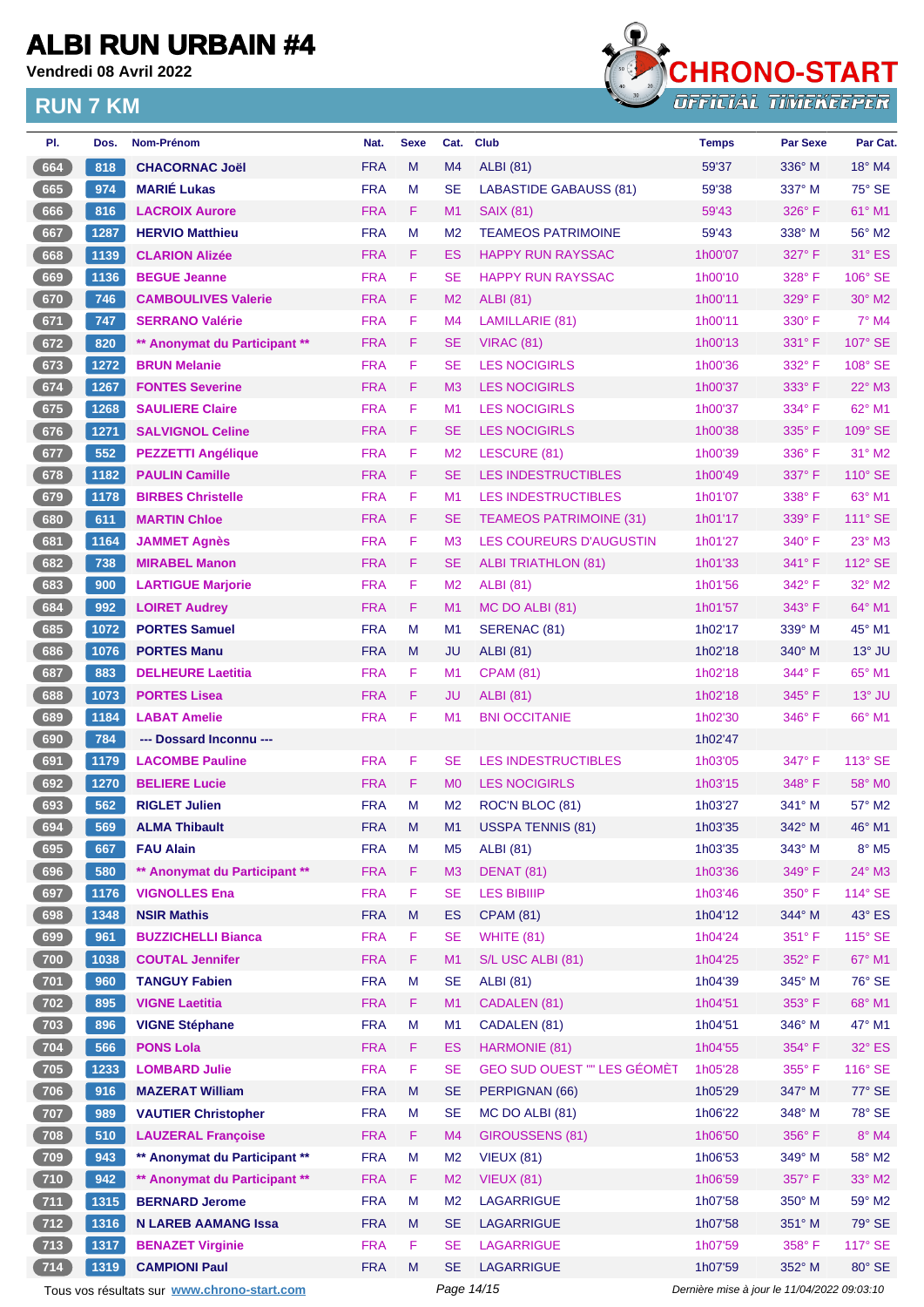**Vendredi 08 Avril 2022**



| PI.                                                                                                      | Dos. | Nom-Prénom                    | Nat.       | <b>Sexe</b> | Cat.           | <b>Club</b>                        | <b>Temps</b> | <b>Par Sexe</b> | Par Cat.        |
|----------------------------------------------------------------------------------------------------------|------|-------------------------------|------------|-------------|----------------|------------------------------------|--------------|-----------------|-----------------|
| 664                                                                                                      | 818  | <b>CHACORNAC Joël</b>         | <b>FRA</b> | M           | M <sub>4</sub> | ALBI (81)                          | 59'37        | $336^\circ$ M   | $18^\circ$ M4   |
| 665                                                                                                      | 974  | <b>MARIÉ Lukas</b>            | <b>FRA</b> | M           | <b>SE</b>      | <b>LABASTIDE GABAUSS (81)</b>      | 59'38        | 337° M          | 75° SE          |
| 666                                                                                                      | 816  | <b>LACROIX Aurore</b>         | <b>FRA</b> | F           | M1             | <b>SAIX (81)</b>                   | 59'43        | $326^\circ$ F   | 61° M1          |
| 667                                                                                                      | 1287 | <b>HERVIO Matthieu</b>        | <b>FRA</b> | M           | M <sub>2</sub> | <b>TEAMEOS PATRIMOINE</b>          | 59'43        | $338^\circ$ M   | 56° M2          |
| 668                                                                                                      | 1139 | <b>CLARION Alizée</b>         | <b>FRA</b> | F           | ES             | <b>HAPPY RUN RAYSSAC</b>           | 1h00'07      | $327^\circ$ F   | $31^\circ$ ES   |
| 669                                                                                                      | 1136 | <b>BEGUE Jeanne</b>           | <b>FRA</b> | F           | <b>SE</b>      | <b>HAPPY RUN RAYSSAC</b>           | 1h00'10      | 328°F           | 106° SE         |
| 670                                                                                                      | 746  | <b>CAMBOULIVES Valerie</b>    | <b>FRA</b> | F           | M <sub>2</sub> | ALBI (81)                          | 1h00'11      | 329°F           | $30^\circ$ M2   |
| 671                                                                                                      | 747  | <b>SERRANO Valérie</b>        | <b>FRA</b> | F           | M4             | LAMILLARIE (81)                    | 1h00'11      | $330^\circ$ F   | 7° M4           |
| 672                                                                                                      | 820  | ** Anonymat du Participant ** | <b>FRA</b> | F.          | <b>SE</b>      | <b>VIRAC (81)</b>                  | 1h00'13      | $331^\circ$ F   | 107° SE         |
| 673                                                                                                      | 1272 | <b>BRUN Melanie</b>           | <b>FRA</b> | F           | <b>SE</b>      | <b>LES NOCIGIRLS</b>               | 1h00'36      | $332^\circ$ F   | 108° SE         |
| 674                                                                                                      | 1267 | <b>FONTES Severine</b>        | <b>FRA</b> | F           | M <sub>3</sub> | <b>LES NOCIGIRLS</b>               | 1h00'37      | $333^\circ$ F   | $22^{\circ}$ M3 |
| 675                                                                                                      | 1268 | <b>SAULIERE Claire</b>        | <b>FRA</b> | F           | M1             | <b>LES NOCIGIRLS</b>               | 1h00'37      | 334° F          | 62° M1          |
| 676                                                                                                      | 1271 | <b>SALVIGNOL Celine</b>       | <b>FRA</b> | F           | <b>SE</b>      | <b>LES NOCIGIRLS</b>               | 1h00'38      | $335^\circ$ F   | 109° SE         |
| 677                                                                                                      | 552  | <b>PEZZETTI Angélique</b>     | <b>FRA</b> | F           | M <sub>2</sub> | LESCURE (81)                       | 1h00'39      | $336^\circ$ F   | 31° M2          |
| 678                                                                                                      | 1182 | <b>PAULIN Camille</b>         | <b>FRA</b> | F           | <b>SE</b>      | <b>LES INDESTRUCTIBLES</b>         | 1h00'49      | 337° F          | 110° SE         |
| 679                                                                                                      | 1178 | <b>BIRBES Christelle</b>      | <b>FRA</b> | F           | M1             | <b>LES INDESTRUCTIBLES</b>         | 1h01'07      | 338° F          | 63° M1          |
| 680                                                                                                      | 611  | <b>MARTIN Chloe</b>           | <b>FRA</b> | F           | <b>SE</b>      | <b>TEAMEOS PATRIMOINE (31)</b>     | 1h01'17      | 339° F          | 111° SE         |
| 681                                                                                                      | 1164 | <b>JAMMET Agnès</b>           | <b>FRA</b> | F           | M <sub>3</sub> | LES COUREURS D'AUGUSTIN            | 1h01'27      | $340^\circ$ F   | 23° M3          |
| 682                                                                                                      | 738  | <b>MIRABEL Manon</b>          | <b>FRA</b> | F           | <b>SE</b>      | <b>ALBI TRIATHLON (81)</b>         | 1h01'33      | 341° F          | 112° SE         |
| 683                                                                                                      | 900  | <b>LARTIGUE Marjorie</b>      | <b>FRA</b> | F           | M <sub>2</sub> | <b>ALBI</b> (81)                   | 1h01'56      | 342°F           | 32° M2          |
| 684                                                                                                      | 992  | <b>LOIRET Audrey</b>          | <b>FRA</b> | F.          | M1             | MC DO ALBI (81)                    | 1h01'57      | $343^\circ$ F   | 64° M1          |
| 685                                                                                                      | 1072 | <b>PORTES Samuel</b>          | <b>FRA</b> | M           | M1             | SERENAC (81)                       | 1h02'17      | $339^\circ$ M   | 45° M1          |
| 686                                                                                                      | 1076 | <b>PORTES Manu</b>            | <b>FRA</b> | M           | JU             | <b>ALBI</b> (81)                   | 1h02'18      | $340^\circ$ M   | $13^\circ$ JU   |
| 687                                                                                                      | 883  | <b>DELHEURE Laetitia</b>      | <b>FRA</b> | F           | M1             | <b>CPAM (81)</b>                   | 1h02'18      | 344°F           | 65° M1          |
| 688                                                                                                      | 1073 | <b>PORTES Lisea</b>           | <b>FRA</b> | F           | JU             | ALBI (81)                          | 1h02'18      | $345^\circ$ F   | $13^\circ$ JU   |
| 689                                                                                                      | 1184 | <b>LABAT Amelie</b>           | <b>FRA</b> | F           | M1             | <b>BNI OCCITANIE</b>               | 1h02'30      | $346^{\circ}$ F | 66° M1          |
| 690                                                                                                      | 784  | --- Dossard Inconnu ---       |            |             |                |                                    | 1h02'47      |                 |                 |
| 691                                                                                                      | 1179 | <b>LACOMBE Pauline</b>        | <b>FRA</b> | F           | <b>SE</b>      | <b>LES INDESTRUCTIBLES</b>         | 1h03'05      | 347°F           | 113° SE         |
| 692                                                                                                      | 1270 | <b>BELIERE Lucie</b>          | <b>FRA</b> | F           | M <sub>0</sub> | <b>LES NOCIGIRLS</b>               | 1h03'15      | 348°F           | 58° MO          |
| 693                                                                                                      | 562  | <b>RIGLET Julien</b>          | <b>FRA</b> | M           | M <sub>2</sub> | ROC'N BLOC (81)                    | 1h03'27      | 341° M          | 57° M2          |
| $694$                                                                                                    | 569  | <b>ALMA Thibault</b>          | <b>FRA</b> | M           |                | M1 USSPA TENNIS (81)               | 1h03'35      | 342° M          | 46° M1          |
| 695                                                                                                      | 667  | <b>FAU Alain</b>              | <b>FRA</b> | M           | M <sub>5</sub> | <b>ALBI</b> (81)                   | 1h03'35      | 343° M          | $8^\circ$ M5    |
| 696                                                                                                      | 580  | ** Anonymat du Participant ** | <b>FRA</b> | F           | M <sub>3</sub> | DENAT (81)                         | 1h03'36      | 349°F           | 24° M3          |
| 697                                                                                                      | 1176 | <b>VIGNOLLES Ena</b>          | <b>FRA</b> | F           | <b>SE</b>      | <b>LES BIBIIIP</b>                 | 1h03'46      | 350° F          | 114° SE         |
| 698                                                                                                      | 1348 | <b>NSIR Mathis</b>            | <b>FRA</b> | M           | <b>ES</b>      | <b>CPAM (81)</b>                   | 1h04'12      | 344° M          | 43° ES          |
| 699                                                                                                      | 961  | <b>BUZZICHELLI Bianca</b>     | <b>FRA</b> | F           | <b>SE</b>      | <b>WHITE (81)</b>                  | 1h04'24      | $351^\circ$ F   | 115° SE         |
| 700                                                                                                      | 1038 | <b>COUTAL Jennifer</b>        | <b>FRA</b> | F           | M1             | S/L USC ALBI (81)                  | 1h04'25      | 352° F          | 67° M1          |
| $701$                                                                                                    | 960  | <b>TANGUY Fabien</b>          | <b>FRA</b> | M           | <b>SE</b>      | <b>ALBI</b> (81)                   | 1h04'39      | 345° M          | 76° SE          |
| $702$                                                                                                    | 895  | <b>VIGNE Laetitia</b>         | <b>FRA</b> | F.          | M1             | CADALEN (81)                       | 1h04'51      | 353°F           | 68° M1          |
| $703$                                                                                                    | 896  | <b>VIGNE Stéphane</b>         | <b>FRA</b> | M           | M1             | CADALEN (81)                       | 1h04'51      | 346° M          | 47° M1          |
| $704$                                                                                                    | 566  | <b>PONS Lola</b>              | <b>FRA</b> | F.          | ES             | HARMONIE (81)                      | 1h04'55      | 354°F           | 32° ES          |
| $705$                                                                                                    | 1233 | <b>LOMBARD Julie</b>          | <b>FRA</b> | F           | <b>SE</b>      | <b>GEO SUD OUEST "" LES GÉOMÈT</b> | 1h05'28      | $355^{\circ}$ F | 116° SE         |
| 706                                                                                                      | 916  | <b>MAZERAT William</b>        | <b>FRA</b> | M           | <b>SE</b>      | PERPIGNAN (66)                     | 1h05'29      | 347° M          | 77° SE          |
| $707$                                                                                                    | 989  | <b>VAUTIER Christopher</b>    | <b>FRA</b> | M           | <b>SE</b>      | MC DO ALBI (81)                    | 1h06'22      | 348° M          | 78° SE          |
| 708                                                                                                      | 510  | <b>LAUZERAL Françoise</b>     | <b>FRA</b> | F.          | M4             | GIROUSSENS (81)                    | 1h06'50      | 356°F           | $8^\circ$ M4    |
| $709$                                                                                                    | 943  | ** Anonymat du Participant ** | <b>FRA</b> | M           | M <sub>2</sub> | <b>VIEUX (81)</b>                  | 1h06'53      | 349° M          | 58° M2          |
| 710                                                                                                      | 942  | ** Anonymat du Participant ** | <b>FRA</b> | F           | M <sub>2</sub> | <b>VIEUX (81)</b>                  | 1h06'59      | 357°F           | 33° M2          |
| $711$                                                                                                    | 1315 | <b>BERNARD Jerome</b>         | <b>FRA</b> | M           | M <sub>2</sub> | LAGARRIGUE                         | 1h07'58      | 350° M          | 59° M2          |
| 712                                                                                                      | 1316 | <b>N LAREB AAMANG Issa</b>    | <b>FRA</b> | M           | <b>SE</b>      | <b>LAGARRIGUE</b>                  | 1h07'58      | 351° M          | 79° SE          |
| $713$                                                                                                    | 1317 | <b>BENAZET Virginie</b>       | <b>FRA</b> | F           | <b>SE</b>      | <b>LAGARRIGUE</b>                  | 1h07'59      | $358^\circ$ F   | 117° SE         |
| 714                                                                                                      | 1319 | <b>CAMPIONI Paul</b>          | <b>FRA</b> | M           | <b>SE</b>      | LAGARRIGUE                         | 1h07'59      | 352° M          | 80° SE          |
|                                                                                                          |      |                               |            |             |                |                                    |              |                 |                 |
| Dernière mise à jour le 11/04/2022 09:03:10<br>Tous vos résultats sur www.chrono-start.com<br>Page 14/15 |      |                               |            |             |                |                                    |              |                 |                 |